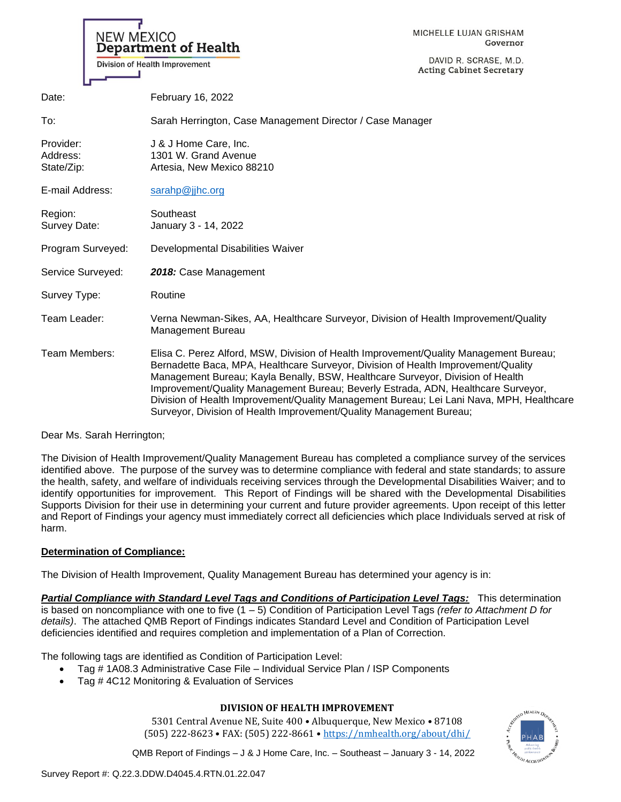| <b>NEW MEXICO</b>                   | <b>Department of Health</b><br>Division of Health Improvement                                                                                                                                                                                                                                                                                                                                                                                                                                                        | MICHELLE LUJAN GRISHAM<br>Governor<br>DAVID R. SCRASE, M.D.<br><b>Acting Cabinet Secretary</b> |
|-------------------------------------|----------------------------------------------------------------------------------------------------------------------------------------------------------------------------------------------------------------------------------------------------------------------------------------------------------------------------------------------------------------------------------------------------------------------------------------------------------------------------------------------------------------------|------------------------------------------------------------------------------------------------|
| Date:                               | February 16, 2022                                                                                                                                                                                                                                                                                                                                                                                                                                                                                                    |                                                                                                |
| To:                                 | Sarah Herrington, Case Management Director / Case Manager                                                                                                                                                                                                                                                                                                                                                                                                                                                            |                                                                                                |
| Provider:<br>Address:<br>State/Zip: | J & J Home Care, Inc.<br>1301 W. Grand Avenue<br>Artesia, New Mexico 88210                                                                                                                                                                                                                                                                                                                                                                                                                                           |                                                                                                |
| E-mail Address:                     | sarahp@jjhc.org                                                                                                                                                                                                                                                                                                                                                                                                                                                                                                      |                                                                                                |
| Region:<br>Survey Date:             | Southeast<br>January 3 - 14, 2022                                                                                                                                                                                                                                                                                                                                                                                                                                                                                    |                                                                                                |
| Program Surveyed:                   | Developmental Disabilities Waiver                                                                                                                                                                                                                                                                                                                                                                                                                                                                                    |                                                                                                |
| Service Surveyed:                   | 2018: Case Management                                                                                                                                                                                                                                                                                                                                                                                                                                                                                                |                                                                                                |
| Survey Type:                        | Routine                                                                                                                                                                                                                                                                                                                                                                                                                                                                                                              |                                                                                                |
| Team Leader:                        | Verna Newman-Sikes, AA, Healthcare Surveyor, Division of Health Improvement/Quality<br>Management Bureau                                                                                                                                                                                                                                                                                                                                                                                                             |                                                                                                |
| Team Members:                       | Elisa C. Perez Alford, MSW, Division of Health Improvement/Quality Management Bureau;<br>Bernadette Baca, MPA, Healthcare Surveyor, Division of Health Improvement/Quality<br>Management Bureau; Kayla Benally, BSW, Healthcare Surveyor, Division of Health<br>Improvement/Quality Management Bureau; Beverly Estrada, ADN, Healthcare Surveyor,<br>Division of Health Improvement/Quality Management Bureau; Lei Lani Nava, MPH, Healthcare<br>Surveyor, Division of Health Improvement/Quality Management Bureau; |                                                                                                |

Dear Ms. Sarah Herrington;

The Division of Health Improvement/Quality Management Bureau has completed a compliance survey of the services identified above. The purpose of the survey was to determine compliance with federal and state standards; to assure the health, safety, and welfare of individuals receiving services through the Developmental Disabilities Waiver; and to identify opportunities for improvement. This Report of Findings will be shared with the Developmental Disabilities Supports Division for their use in determining your current and future provider agreements. Upon receipt of this letter and Report of Findings your agency must immediately correct all deficiencies which place Individuals served at risk of harm.

## **Determination of Compliance:**

The Division of Health Improvement, Quality Management Bureau has determined your agency is in:

*Partial Compliance with Standard Level Tags and Conditions of Participation Level Tags:* This determination is based on noncompliance with one to five (1 – 5) Condition of Participation Level Tags *(refer to Attachment D for details)*. The attached QMB Report of Findings indicates Standard Level and Condition of Participation Level deficiencies identified and requires completion and implementation of a Plan of Correction.

The following tags are identified as Condition of Participation Level:

- Tag # 1A08.3 Administrative Case File Individual Service Plan / ISP Components
- Tag # 4C12 Monitoring & Evaluation of Services

# **DIVISION OF HEALTH IMPROVEMENT**

5301 Central Avenue NE, Suite 400 • Albuquerque, New Mexico • 87108 (505) 222-8623 • FAX: (505) 222-8661 • <https://nmhealth.org/about/dhi/>

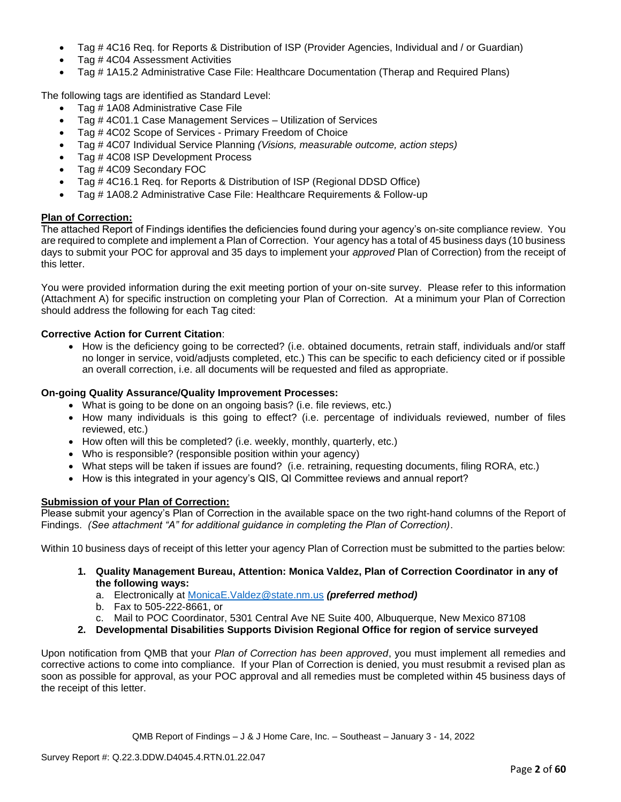- Tag # 4C16 Req. for Reports & Distribution of ISP (Provider Agencies, Individual and / or Guardian)
- Tag # 4C04 Assessment Activities
- Tag # 1A15.2 Administrative Case File: Healthcare Documentation (Therap and Required Plans)

The following tags are identified as Standard Level:

- Tag # 1A08 Administrative Case File
- Tag # 4C01.1 Case Management Services Utilization of Services
- Tag # 4C02 Scope of Services Primary Freedom of Choice
- Tag # 4C07 Individual Service Planning *(Visions, measurable outcome, action steps)*
- Tag # 4C08 ISP Development Process
- Tag # 4C09 Secondary FOC
- Tag # 4C16.1 Req. for Reports & Distribution of ISP (Regional DDSD Office)
- Tag # 1A08.2 Administrative Case File: Healthcare Requirements & Follow-up

## **Plan of Correction:**

The attached Report of Findings identifies the deficiencies found during your agency's on-site compliance review. You are required to complete and implement a Plan of Correction. Your agency has a total of 45 business days (10 business days to submit your POC for approval and 35 days to implement your *approved* Plan of Correction) from the receipt of this letter.

You were provided information during the exit meeting portion of your on-site survey. Please refer to this information (Attachment A) for specific instruction on completing your Plan of Correction. At a minimum your Plan of Correction should address the following for each Tag cited:

## **Corrective Action for Current Citation**:

• How is the deficiency going to be corrected? (i.e. obtained documents, retrain staff, individuals and/or staff no longer in service, void/adjusts completed, etc.) This can be specific to each deficiency cited or if possible an overall correction, i.e. all documents will be requested and filed as appropriate.

### **On-going Quality Assurance/Quality Improvement Processes:**

- What is going to be done on an ongoing basis? (i.e. file reviews, etc.)
- How many individuals is this going to effect? (i.e. percentage of individuals reviewed, number of files reviewed, etc.)
- How often will this be completed? (i.e. weekly, monthly, quarterly, etc.)
- Who is responsible? (responsible position within your agency)
- What steps will be taken if issues are found? (i.e. retraining, requesting documents, filing RORA, etc.)
- How is this integrated in your agency's QIS, QI Committee reviews and annual report?

## **Submission of your Plan of Correction:**

Please submit your agency's Plan of Correction in the available space on the two right-hand columns of the Report of Findings. *(See attachment "A" for additional guidance in completing the Plan of Correction)*.

Within 10 business days of receipt of this letter your agency Plan of Correction must be submitted to the parties below:

- **1. Quality Management Bureau, Attention: Monica Valdez, Plan of Correction Coordinator in any of the following ways:**
	- a. Electronically at [MonicaE.Valdez@state.nm.us](mailto:MonicaE.Valdez@state.nm.us) *(preferred method)*
	- b. Fax to 505-222-8661, or
	- c. Mail to POC Coordinator, 5301 Central Ave NE Suite 400, Albuquerque, New Mexico 87108
- **2. Developmental Disabilities Supports Division Regional Office for region of service surveyed**

Upon notification from QMB that your *Plan of Correction has been approved*, you must implement all remedies and corrective actions to come into compliance. If your Plan of Correction is denied, you must resubmit a revised plan as soon as possible for approval, as your POC approval and all remedies must be completed within 45 business days of the receipt of this letter.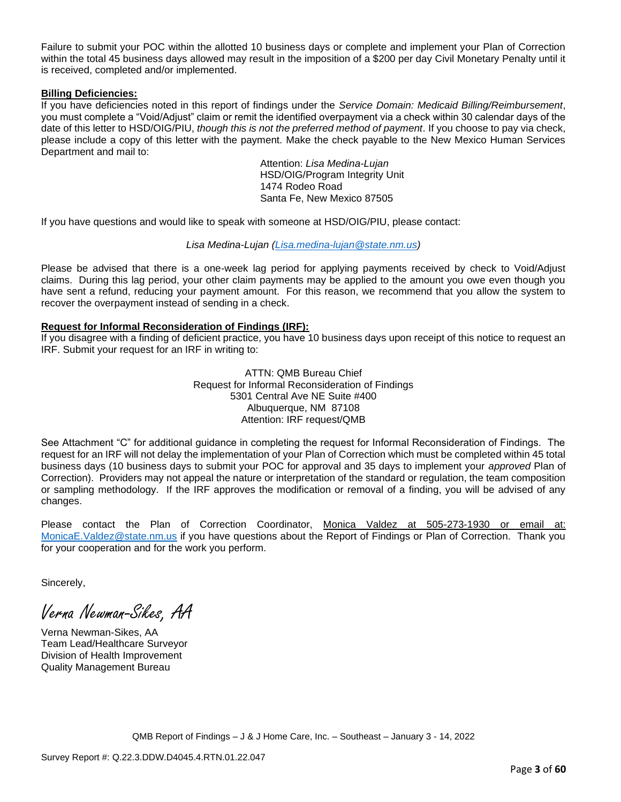Failure to submit your POC within the allotted 10 business days or complete and implement your Plan of Correction within the total 45 business days allowed may result in the imposition of a \$200 per day Civil Monetary Penalty until it is received, completed and/or implemented.

### **Billing Deficiencies:**

If you have deficiencies noted in this report of findings under the *Service Domain: Medicaid Billing/Reimbursement*, you must complete a "Void/Adjust" claim or remit the identified overpayment via a check within 30 calendar days of the date of this letter to HSD/OIG/PIU, *though this is not the preferred method of payment*. If you choose to pay via check, please include a copy of this letter with the payment. Make the check payable to the New Mexico Human Services Department and mail to:

> Attention: *Lisa Medina-Lujan* HSD/OIG/Program Integrity Unit 1474 Rodeo Road Santa Fe, New Mexico 87505

If you have questions and would like to speak with someone at HSD/OIG/PIU, please contact:

### *Lisa Medina-Lujan [\(Lisa.medina-lujan@state.nm.us\)](mailto:Lisa.medina-lujan@state.nm.us)*

Please be advised that there is a one-week lag period for applying payments received by check to Void/Adjust claims. During this lag period, your other claim payments may be applied to the amount you owe even though you have sent a refund, reducing your payment amount. For this reason, we recommend that you allow the system to recover the overpayment instead of sending in a check.

### **Request for Informal Reconsideration of Findings (IRF):**

If you disagree with a finding of deficient practice, you have 10 business days upon receipt of this notice to request an IRF. Submit your request for an IRF in writing to:

> ATTN: QMB Bureau Chief Request for Informal Reconsideration of Findings 5301 Central Ave NE Suite #400 Albuquerque, NM 87108 Attention: IRF request/QMB

See Attachment "C" for additional guidance in completing the request for Informal Reconsideration of Findings. The request for an IRF will not delay the implementation of your Plan of Correction which must be completed within 45 total business days (10 business days to submit your POC for approval and 35 days to implement your *approved* Plan of Correction). Providers may not appeal the nature or interpretation of the standard or regulation, the team composition or sampling methodology. If the IRF approves the modification or removal of a finding, you will be advised of any changes.

Please contact the Plan of Correction Coordinator, Monica Valdez at 505-273-1930 or email at: [MonicaE.Valdez@state.nm.us](mailto:MonicaE.Valdez@state.nm.us) if you have questions about the Report of Findings or Plan of Correction. Thank you for your cooperation and for the work you perform.

Sincerely,

Verna Newman-Sikes, AA

Verna Newman-Sikes, AA Team Lead/Healthcare Surveyor Division of Health Improvement Quality Management Bureau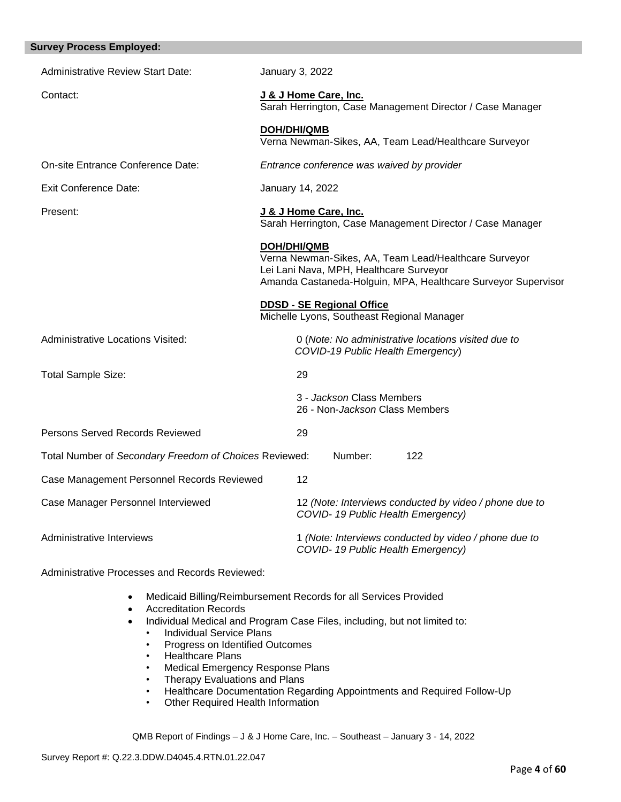| <b>Survey Process Employed:</b>                        |                                                                                                                                                                                  |
|--------------------------------------------------------|----------------------------------------------------------------------------------------------------------------------------------------------------------------------------------|
| <b>Administrative Review Start Date:</b>               | January 3, 2022                                                                                                                                                                  |
| Contact:                                               | J & J Home Care, Inc.<br>Sarah Herrington, Case Management Director / Case Manager                                                                                               |
|                                                        | <b>DOH/DHI/QMB</b><br>Verna Newman-Sikes, AA, Team Lead/Healthcare Surveyor                                                                                                      |
| On-site Entrance Conference Date:                      | Entrance conference was waived by provider                                                                                                                                       |
| <b>Exit Conference Date:</b>                           | January 14, 2022                                                                                                                                                                 |
| Present:                                               | J & J Home Care, Inc.<br>Sarah Herrington, Case Management Director / Case Manager                                                                                               |
|                                                        | DOH/DHI/QMB<br>Verna Newman-Sikes, AA, Team Lead/Healthcare Surveyor<br>Lei Lani Nava, MPH, Healthcare Surveyor<br>Amanda Castaneda-Holguin, MPA, Healthcare Surveyor Supervisor |
|                                                        | <b>DDSD - SE Regional Office</b><br>Michelle Lyons, Southeast Regional Manager                                                                                                   |
| Administrative Locations Visited:                      | 0 (Note: No administrative locations visited due to<br>COVID-19 Public Health Emergency)                                                                                         |
| <b>Total Sample Size:</b>                              | 29                                                                                                                                                                               |
|                                                        | 3 - Jackson Class Members<br>26 - Non-Jackson Class Members                                                                                                                      |
| Persons Served Records Reviewed                        | 29                                                                                                                                                                               |
| Total Number of Secondary Freedom of Choices Reviewed: | Number:<br>122                                                                                                                                                                   |
| Case Management Personnel Records Reviewed             | 12                                                                                                                                                                               |
| Case Manager Personnel Interviewed                     | 12 (Note: Interviews conducted by video / phone due to<br>COVID-19 Public Health Emergency)                                                                                      |
| Administrative Interviews                              | 1 (Note: Interviews conducted by video / phone due to<br>COVID-19 Public Health Emergency)                                                                                       |

Administrative Processes and Records Reviewed:

- Medicaid Billing/Reimbursement Records for all Services Provided
- Accreditation Records
- Individual Medical and Program Case Files, including, but not limited to:
	- Individual Service Plans
	- Progress on Identified Outcomes
	- Healthcare Plans
	- Medical Emergency Response Plans
	- Therapy Evaluations and Plans
	- Healthcare Documentation Regarding Appointments and Required Follow-Up
	- Other Required Health Information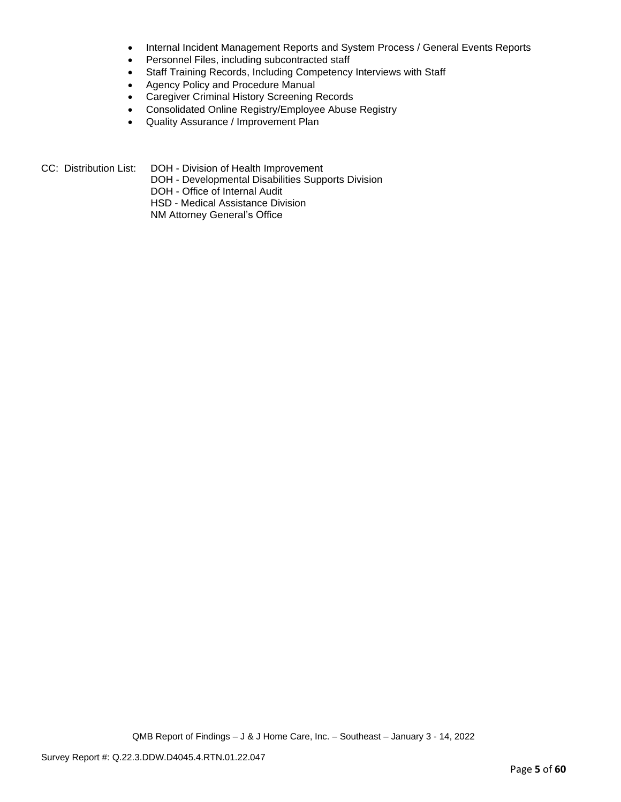- Internal Incident Management Reports and System Process / General Events Reports
- Personnel Files, including subcontracted staff
- Staff Training Records, Including Competency Interviews with Staff
- Agency Policy and Procedure Manual
- Caregiver Criminal History Screening Records
- Consolidated Online Registry/Employee Abuse Registry
- Quality Assurance / Improvement Plan
- CC: Distribution List: DOH Division of Health Improvement
	- DOH Developmental Disabilities Supports Division
	- DOH Office of Internal Audit
	- HSD Medical Assistance Division
	- NM Attorney General's Office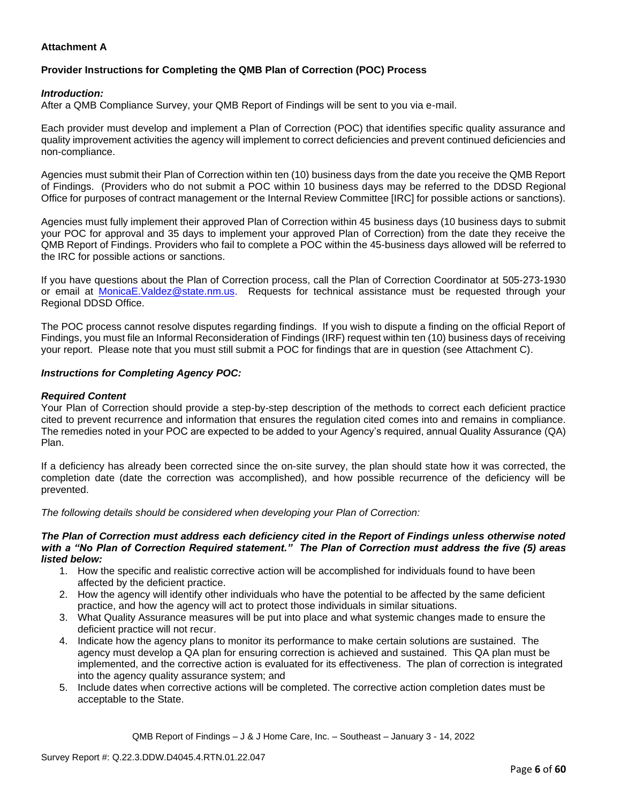## **Attachment A**

## **Provider Instructions for Completing the QMB Plan of Correction (POC) Process**

### *Introduction:*

After a QMB Compliance Survey, your QMB Report of Findings will be sent to you via e-mail.

Each provider must develop and implement a Plan of Correction (POC) that identifies specific quality assurance and quality improvement activities the agency will implement to correct deficiencies and prevent continued deficiencies and non-compliance.

Agencies must submit their Plan of Correction within ten (10) business days from the date you receive the QMB Report of Findings. (Providers who do not submit a POC within 10 business days may be referred to the DDSD Regional Office for purposes of contract management or the Internal Review Committee [IRC] for possible actions or sanctions).

Agencies must fully implement their approved Plan of Correction within 45 business days (10 business days to submit your POC for approval and 35 days to implement your approved Plan of Correction) from the date they receive the QMB Report of Findings. Providers who fail to complete a POC within the 45-business days allowed will be referred to the IRC for possible actions or sanctions.

If you have questions about the Plan of Correction process, call the Plan of Correction Coordinator at 505-273-1930 or email at [MonicaE.Valdez@state.nm.us.](mailto:MonicaE.Valdez@state.nm.us) Requests for technical assistance must be requested through your Regional DDSD Office.

The POC process cannot resolve disputes regarding findings. If you wish to dispute a finding on the official Report of Findings, you must file an Informal Reconsideration of Findings (IRF) request within ten (10) business days of receiving your report. Please note that you must still submit a POC for findings that are in question (see Attachment C).

#### *Instructions for Completing Agency POC:*

### *Required Content*

Your Plan of Correction should provide a step-by-step description of the methods to correct each deficient practice cited to prevent recurrence and information that ensures the regulation cited comes into and remains in compliance. The remedies noted in your POC are expected to be added to your Agency's required, annual Quality Assurance (QA) Plan.

If a deficiency has already been corrected since the on-site survey, the plan should state how it was corrected, the completion date (date the correction was accomplished), and how possible recurrence of the deficiency will be prevented.

*The following details should be considered when developing your Plan of Correction:*

#### *The Plan of Correction must address each deficiency cited in the Report of Findings unless otherwise noted with a "No Plan of Correction Required statement." The Plan of Correction must address the five (5) areas listed below:*

- 1. How the specific and realistic corrective action will be accomplished for individuals found to have been affected by the deficient practice.
- 2. How the agency will identify other individuals who have the potential to be affected by the same deficient practice, and how the agency will act to protect those individuals in similar situations.
- 3. What Quality Assurance measures will be put into place and what systemic changes made to ensure the deficient practice will not recur.
- 4. Indicate how the agency plans to monitor its performance to make certain solutions are sustained. The agency must develop a QA plan for ensuring correction is achieved and sustained. This QA plan must be implemented, and the corrective action is evaluated for its effectiveness. The plan of correction is integrated into the agency quality assurance system; and
- 5. Include dates when corrective actions will be completed. The corrective action completion dates must be acceptable to the State.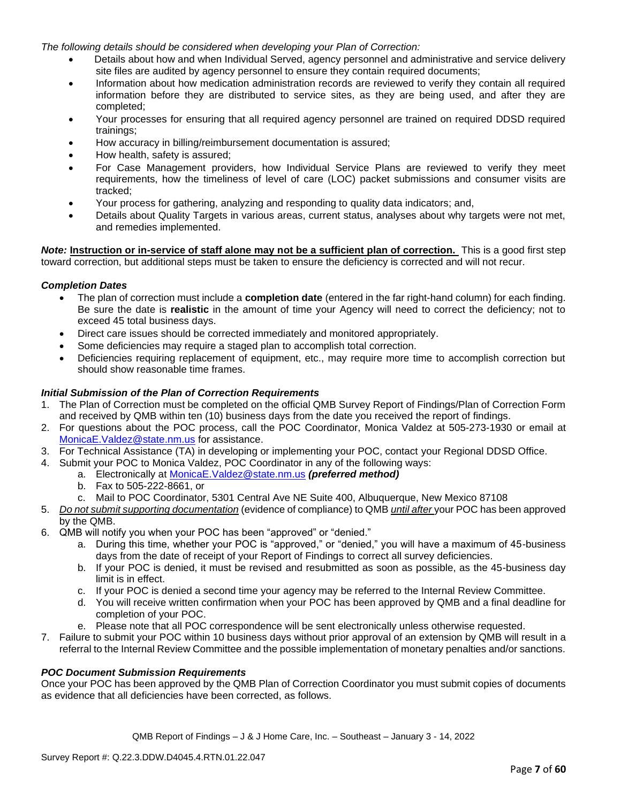*The following details should be considered when developing your Plan of Correction:*

- Details about how and when Individual Served, agency personnel and administrative and service delivery site files are audited by agency personnel to ensure they contain required documents;
- Information about how medication administration records are reviewed to verify they contain all required information before they are distributed to service sites, as they are being used, and after they are completed;
- Your processes for ensuring that all required agency personnel are trained on required DDSD required trainings;
- How accuracy in billing/reimbursement documentation is assured;
- How health, safety is assured;
- For Case Management providers, how Individual Service Plans are reviewed to verify they meet requirements, how the timeliness of level of care (LOC) packet submissions and consumer visits are tracked;
- Your process for gathering, analyzing and responding to quality data indicators; and,
- Details about Quality Targets in various areas, current status, analyses about why targets were not met, and remedies implemented.

*Note:* **Instruction or in-service of staff alone may not be a sufficient plan of correction.** This is a good first step toward correction, but additional steps must be taken to ensure the deficiency is corrected and will not recur.

### *Completion Dates*

- The plan of correction must include a **completion date** (entered in the far right-hand column) for each finding. Be sure the date is **realistic** in the amount of time your Agency will need to correct the deficiency; not to exceed 45 total business days.
- Direct care issues should be corrected immediately and monitored appropriately.
- Some deficiencies may require a staged plan to accomplish total correction.
- Deficiencies requiring replacement of equipment, etc., may require more time to accomplish correction but should show reasonable time frames.

### *Initial Submission of the Plan of Correction Requirements*

- 1. The Plan of Correction must be completed on the official QMB Survey Report of Findings/Plan of Correction Form and received by QMB within ten (10) business days from the date you received the report of findings.
- 2. For questions about the POC process, call the POC Coordinator, Monica Valdez at 505-273-1930 or email at [MonicaE.Valdez@state.nm.us](mailto:MonicaE.Valdez@state.nm.us) for assistance.
- 3. For Technical Assistance (TA) in developing or implementing your POC, contact your Regional DDSD Office.
- 4. Submit your POC to Monica Valdez, POC Coordinator in any of the following ways:
	- a. Electronically at [MonicaE.Valdez@state.nm.us](mailto:MonicaE.Valdez@state.nm.us) *(preferred method)*
	- b. Fax to 505-222-8661, or
	- c. Mail to POC Coordinator, 5301 Central Ave NE Suite 400, Albuquerque, New Mexico 87108
- 5. *Do not submit supporting documentation* (evidence of compliance) to QMB *until after* your POC has been approved by the QMB.
- 6. QMB will notify you when your POC has been "approved" or "denied."
	- a. During this time, whether your POC is "approved," or "denied," you will have a maximum of 45-business days from the date of receipt of your Report of Findings to correct all survey deficiencies.
	- b. If your POC is denied, it must be revised and resubmitted as soon as possible, as the 45-business day limit is in effect.
	- c. If your POC is denied a second time your agency may be referred to the Internal Review Committee.
	- d. You will receive written confirmation when your POC has been approved by QMB and a final deadline for completion of your POC.
	- e. Please note that all POC correspondence will be sent electronically unless otherwise requested.
- 7. Failure to submit your POC within 10 business days without prior approval of an extension by QMB will result in a referral to the Internal Review Committee and the possible implementation of monetary penalties and/or sanctions.

#### *POC Document Submission Requirements*

Once your POC has been approved by the QMB Plan of Correction Coordinator you must submit copies of documents as evidence that all deficiencies have been corrected, as follows.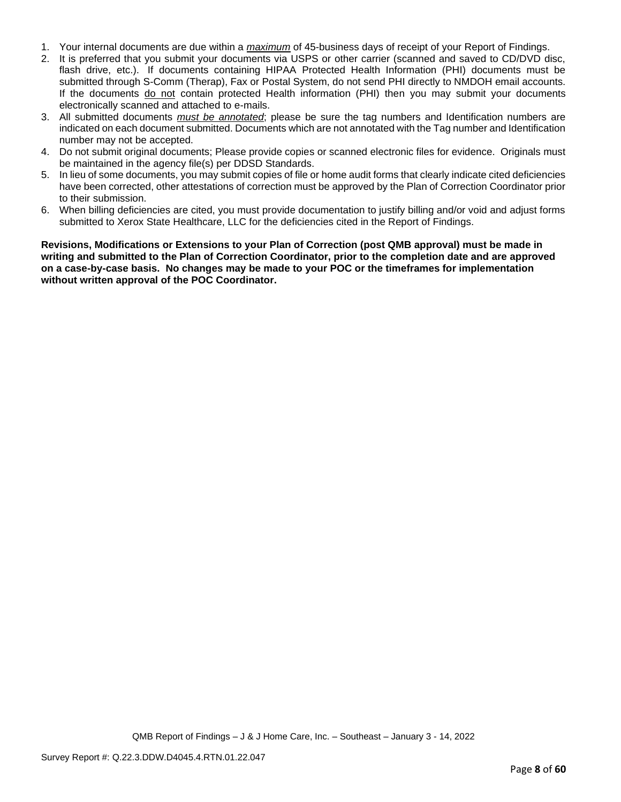- 1. Your internal documents are due within a *maximum* of 45-business days of receipt of your Report of Findings.
- 2. It is preferred that you submit your documents via USPS or other carrier (scanned and saved to CD/DVD disc, flash drive, etc.). If documents containing HIPAA Protected Health Information (PHI) documents must be submitted through S-Comm (Therap), Fax or Postal System, do not send PHI directly to NMDOH email accounts. If the documents do not contain protected Health information (PHI) then you may submit your documents electronically scanned and attached to e-mails.
- 3. All submitted documents *must be annotated*; please be sure the tag numbers and Identification numbers are indicated on each document submitted. Documents which are not annotated with the Tag number and Identification number may not be accepted.
- 4. Do not submit original documents; Please provide copies or scanned electronic files for evidence. Originals must be maintained in the agency file(s) per DDSD Standards.
- 5. In lieu of some documents, you may submit copies of file or home audit forms that clearly indicate cited deficiencies have been corrected, other attestations of correction must be approved by the Plan of Correction Coordinator prior to their submission.
- 6. When billing deficiencies are cited, you must provide documentation to justify billing and/or void and adjust forms submitted to Xerox State Healthcare, LLC for the deficiencies cited in the Report of Findings.

**Revisions, Modifications or Extensions to your Plan of Correction (post QMB approval) must be made in writing and submitted to the Plan of Correction Coordinator, prior to the completion date and are approved on a case-by-case basis. No changes may be made to your POC or the timeframes for implementation without written approval of the POC Coordinator.**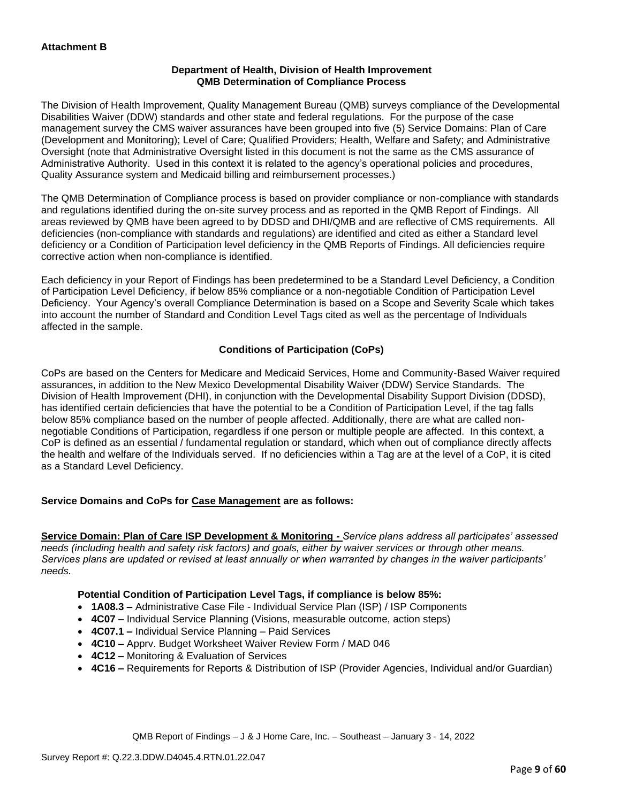### **Department of Health, Division of Health Improvement QMB Determination of Compliance Process**

The Division of Health Improvement, Quality Management Bureau (QMB) surveys compliance of the Developmental Disabilities Waiver (DDW) standards and other state and federal regulations. For the purpose of the case management survey the CMS waiver assurances have been grouped into five (5) Service Domains: Plan of Care (Development and Monitoring); Level of Care; Qualified Providers; Health, Welfare and Safety; and Administrative Oversight (note that Administrative Oversight listed in this document is not the same as the CMS assurance of Administrative Authority. Used in this context it is related to the agency's operational policies and procedures, Quality Assurance system and Medicaid billing and reimbursement processes.)

The QMB Determination of Compliance process is based on provider compliance or non-compliance with standards and regulations identified during the on-site survey process and as reported in the QMB Report of Findings. All areas reviewed by QMB have been agreed to by DDSD and DHI/QMB and are reflective of CMS requirements. All deficiencies (non-compliance with standards and regulations) are identified and cited as either a Standard level deficiency or a Condition of Participation level deficiency in the QMB Reports of Findings. All deficiencies require corrective action when non-compliance is identified.

Each deficiency in your Report of Findings has been predetermined to be a Standard Level Deficiency, a Condition of Participation Level Deficiency, if below 85% compliance or a non-negotiable Condition of Participation Level Deficiency. Your Agency's overall Compliance Determination is based on a Scope and Severity Scale which takes into account the number of Standard and Condition Level Tags cited as well as the percentage of Individuals affected in the sample.

## **Conditions of Participation (CoPs)**

CoPs are based on the Centers for Medicare and Medicaid Services, Home and Community-Based Waiver required assurances, in addition to the New Mexico Developmental Disability Waiver (DDW) Service Standards. The Division of Health Improvement (DHI), in conjunction with the Developmental Disability Support Division (DDSD), has identified certain deficiencies that have the potential to be a Condition of Participation Level, if the tag falls below 85% compliance based on the number of people affected. Additionally, there are what are called nonnegotiable Conditions of Participation, regardless if one person or multiple people are affected. In this context, a CoP is defined as an essential / fundamental regulation or standard, which when out of compliance directly affects the health and welfare of the Individuals served. If no deficiencies within a Tag are at the level of a CoP, it is cited as a Standard Level Deficiency.

## **Service Domains and CoPs for Case Management are as follows:**

**Service Domain: Plan of Care ISP Development & Monitoring -** *Service plans address all participates' assessed needs (including health and safety risk factors) and goals, either by waiver services or through other means. Services plans are updated or revised at least annually or when warranted by changes in the waiver participants' needs.*

## **Potential Condition of Participation Level Tags, if compliance is below 85%:**

- **1A08.3 –** Administrative Case File Individual Service Plan (ISP) / ISP Components
- **4C07 –** Individual Service Planning (Visions, measurable outcome, action steps)
- **4C07.1 –** Individual Service Planning Paid Services
- **4C10 –** Apprv. Budget Worksheet Waiver Review Form / MAD 046
- **4C12 –** Monitoring & Evaluation of Services
- **4C16 –** Requirements for Reports & Distribution of ISP (Provider Agencies, Individual and/or Guardian)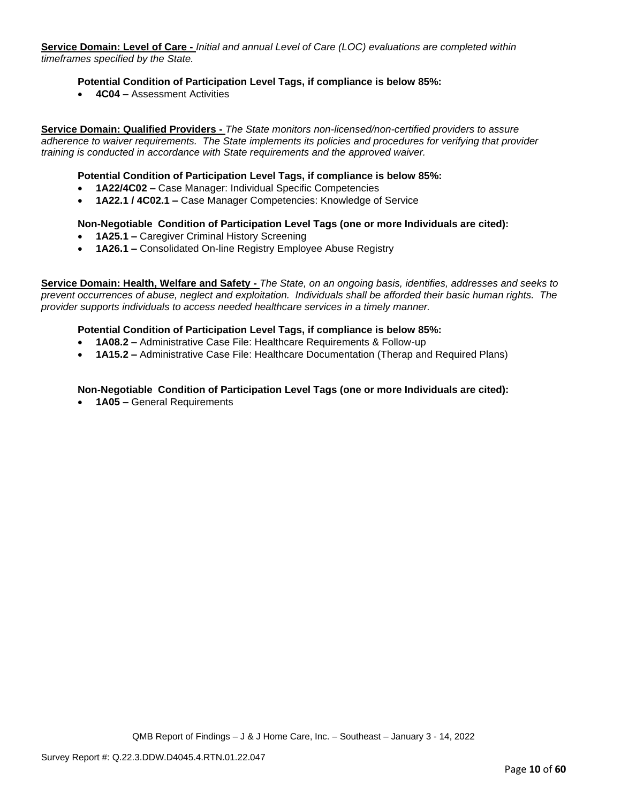**Service Domain: Level of Care -** *Initial and annual Level of Care (LOC) evaluations are completed within timeframes specified by the State.*

### **Potential Condition of Participation Level Tags, if compliance is below 85%:**

• **4C04 –** Assessment Activities

**Service Domain: Qualified Providers -** *The State monitors non-licensed/non-certified providers to assure adherence to waiver requirements. The State implements its policies and procedures for verifying that provider training is conducted in accordance with State requirements and the approved waiver.*

#### **Potential Condition of Participation Level Tags, if compliance is below 85%:**

- **1A22/4C02 –** Case Manager: Individual Specific Competencies
- **1A22.1 / 4C02.1 –** Case Manager Competencies: Knowledge of Service

#### **Non-Negotiable Condition of Participation Level Tags (one or more Individuals are cited):**

- **1A25.1 –** Caregiver Criminal History Screening
- **1A26.1 –** Consolidated On-line Registry Employee Abuse Registry

**Service Domain: Health, Welfare and Safety -** *The State, on an ongoing basis, identifies, addresses and seeks to prevent occurrences of abuse, neglect and exploitation. Individuals shall be afforded their basic human rights. The provider supports individuals to access needed healthcare services in a timely manner.*

#### **Potential Condition of Participation Level Tags, if compliance is below 85%:**

- **1A08.2 –** Administrative Case File: Healthcare Requirements & Follow-up
- **1A15.2 –** Administrative Case File: Healthcare Documentation (Therap and Required Plans)

#### **Non-Negotiable Condition of Participation Level Tags (one or more Individuals are cited):**

• **1A05 –** General Requirements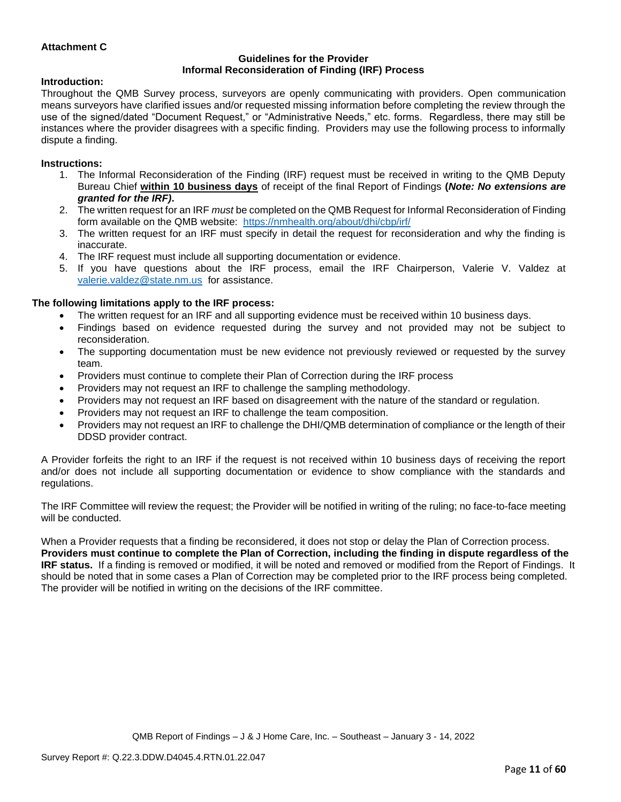### **Attachment C**

#### **Guidelines for the Provider Informal Reconsideration of Finding (IRF) Process**

#### **Introduction:**

Throughout the QMB Survey process, surveyors are openly communicating with providers. Open communication means surveyors have clarified issues and/or requested missing information before completing the review through the use of the signed/dated "Document Request," or "Administrative Needs," etc. forms. Regardless, there may still be instances where the provider disagrees with a specific finding. Providers may use the following process to informally dispute a finding.

#### **Instructions:**

- 1. The Informal Reconsideration of the Finding (IRF) request must be received in writing to the QMB Deputy Bureau Chief **within 10 business days** of receipt of the final Report of Findings **(***Note: No extensions are granted for the IRF)***.**
- 2. The written request for an IRF *must* be completed on the QMB Request for Informal Reconsideration of Finding form available on the QMB website: <https://nmhealth.org/about/dhi/cbp/irf/>
- 3. The written request for an IRF must specify in detail the request for reconsideration and why the finding is inaccurate.
- 4. The IRF request must include all supporting documentation or evidence.
- 5. If you have questions about the IRF process, email the IRF Chairperson, Valerie V. Valdez at [valerie.valdez@state.nm.us](mailto:valerie.valdez@state.nm.us) for assistance.

#### **The following limitations apply to the IRF process:**

- The written request for an IRF and all supporting evidence must be received within 10 business days.
- Findings based on evidence requested during the survey and not provided may not be subject to reconsideration.
- The supporting documentation must be new evidence not previously reviewed or requested by the survey team.
- Providers must continue to complete their Plan of Correction during the IRF process
- Providers may not request an IRF to challenge the sampling methodology.
- Providers may not request an IRF based on disagreement with the nature of the standard or regulation.
- Providers may not request an IRF to challenge the team composition.
- Providers may not request an IRF to challenge the DHI/QMB determination of compliance or the length of their DDSD provider contract.

A Provider forfeits the right to an IRF if the request is not received within 10 business days of receiving the report and/or does not include all supporting documentation or evidence to show compliance with the standards and regulations.

The IRF Committee will review the request; the Provider will be notified in writing of the ruling; no face-to-face meeting will be conducted.

When a Provider requests that a finding be reconsidered, it does not stop or delay the Plan of Correction process. **Providers must continue to complete the Plan of Correction, including the finding in dispute regardless of the IRF status.** If a finding is removed or modified, it will be noted and removed or modified from the Report of Findings. It should be noted that in some cases a Plan of Correction may be completed prior to the IRF process being completed. The provider will be notified in writing on the decisions of the IRF committee.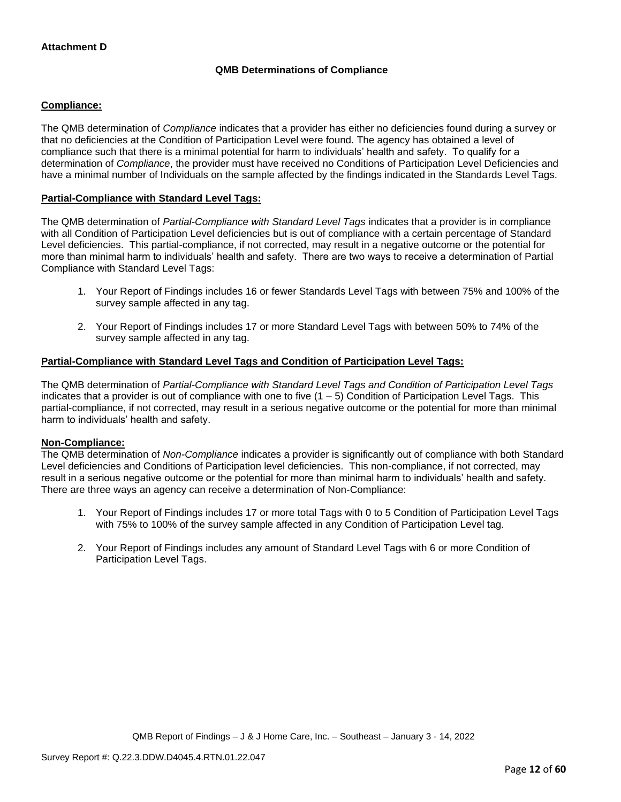## **QMB Determinations of Compliance**

### **Compliance:**

The QMB determination of *Compliance* indicates that a provider has either no deficiencies found during a survey or that no deficiencies at the Condition of Participation Level were found. The agency has obtained a level of compliance such that there is a minimal potential for harm to individuals' health and safety. To qualify for a determination of *Compliance*, the provider must have received no Conditions of Participation Level Deficiencies and have a minimal number of Individuals on the sample affected by the findings indicated in the Standards Level Tags.

### **Partial-Compliance with Standard Level Tags:**

The QMB determination of *Partial-Compliance with Standard Level Tags* indicates that a provider is in compliance with all Condition of Participation Level deficiencies but is out of compliance with a certain percentage of Standard Level deficiencies. This partial-compliance, if not corrected, may result in a negative outcome or the potential for more than minimal harm to individuals' health and safety. There are two ways to receive a determination of Partial Compliance with Standard Level Tags:

- 1. Your Report of Findings includes 16 or fewer Standards Level Tags with between 75% and 100% of the survey sample affected in any tag.
- 2. Your Report of Findings includes 17 or more Standard Level Tags with between 50% to 74% of the survey sample affected in any tag.

## **Partial-Compliance with Standard Level Tags and Condition of Participation Level Tags:**

The QMB determination of *Partial-Compliance with Standard Level Tags and Condition of Participation Level Tags*  indicates that a provider is out of compliance with one to five  $(1 - 5)$  Condition of Participation Level Tags. This partial-compliance, if not corrected, may result in a serious negative outcome or the potential for more than minimal harm to individuals' health and safety.

#### **Non-Compliance:**

The QMB determination of *Non-Compliance* indicates a provider is significantly out of compliance with both Standard Level deficiencies and Conditions of Participation level deficiencies. This non-compliance, if not corrected, may result in a serious negative outcome or the potential for more than minimal harm to individuals' health and safety. There are three ways an agency can receive a determination of Non-Compliance:

- 1. Your Report of Findings includes 17 or more total Tags with 0 to 5 Condition of Participation Level Tags with 75% to 100% of the survey sample affected in any Condition of Participation Level tag.
- 2. Your Report of Findings includes any amount of Standard Level Tags with 6 or more Condition of Participation Level Tags.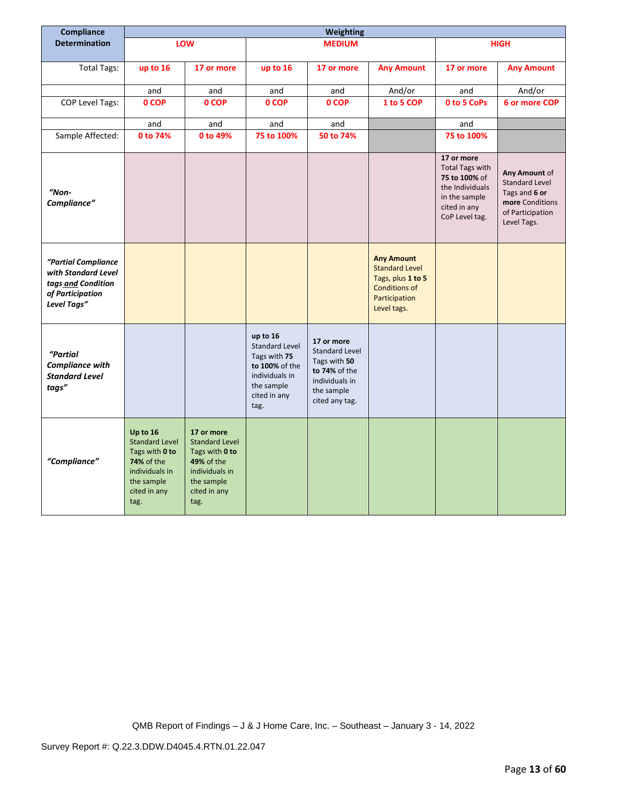| Compliance                                                                                          | Weighting                                                                                                                 |                                                                                                                                    |                                                                                                                             |                                                                                                                        |                                                                                                                         |                                                                                                                             |                                                                                                               |
|-----------------------------------------------------------------------------------------------------|---------------------------------------------------------------------------------------------------------------------------|------------------------------------------------------------------------------------------------------------------------------------|-----------------------------------------------------------------------------------------------------------------------------|------------------------------------------------------------------------------------------------------------------------|-------------------------------------------------------------------------------------------------------------------------|-----------------------------------------------------------------------------------------------------------------------------|---------------------------------------------------------------------------------------------------------------|
| <b>Determination</b>                                                                                |                                                                                                                           | LOW                                                                                                                                |                                                                                                                             | <b>MEDIUM</b>                                                                                                          |                                                                                                                         |                                                                                                                             | <b>HIGH</b>                                                                                                   |
|                                                                                                     |                                                                                                                           |                                                                                                                                    |                                                                                                                             |                                                                                                                        |                                                                                                                         |                                                                                                                             |                                                                                                               |
| <b>Total Tags:</b>                                                                                  | up to 16                                                                                                                  | 17 or more                                                                                                                         | up to 16                                                                                                                    | 17 or more                                                                                                             | <b>Any Amount</b>                                                                                                       | 17 or more                                                                                                                  | <b>Any Amount</b>                                                                                             |
|                                                                                                     | and                                                                                                                       | and                                                                                                                                | and                                                                                                                         | and                                                                                                                    | And/or                                                                                                                  | and                                                                                                                         | And/or                                                                                                        |
| COP Level Tags:                                                                                     | 0 COP                                                                                                                     | 0 COP                                                                                                                              | 0 COP                                                                                                                       | 0 COP                                                                                                                  | 1 to 5 COP                                                                                                              | 0 to 5 CoPs                                                                                                                 | 6 or more COP                                                                                                 |
|                                                                                                     | and                                                                                                                       | and                                                                                                                                | and                                                                                                                         | and                                                                                                                    |                                                                                                                         | and                                                                                                                         |                                                                                                               |
| Sample Affected:                                                                                    | 0 to 74%                                                                                                                  | 0 to 49%                                                                                                                           | 75 to 100%                                                                                                                  | 50 to 74%                                                                                                              |                                                                                                                         | 75 to 100%                                                                                                                  |                                                                                                               |
| "Non-<br>Compliance"                                                                                |                                                                                                                           |                                                                                                                                    |                                                                                                                             |                                                                                                                        |                                                                                                                         | 17 or more<br><b>Total Tags with</b><br>75 to 100% of<br>the Individuals<br>in the sample<br>cited in any<br>CoP Level tag. | Any Amount of<br><b>Standard Level</b><br>Tags and 6 or<br>more Conditions<br>of Participation<br>Level Tags. |
| "Partial Compliance<br>with Standard Level<br>tags and Condition<br>of Participation<br>Level Tags" |                                                                                                                           |                                                                                                                                    |                                                                                                                             |                                                                                                                        | <b>Any Amount</b><br><b>Standard Level</b><br>Tags, plus 1 to 5<br><b>Conditions of</b><br>Participation<br>Level tags. |                                                                                                                             |                                                                                                               |
| "Partial<br><b>Compliance with</b><br><b>Standard Level</b><br>tags"                                |                                                                                                                           |                                                                                                                                    | up to 16<br><b>Standard Level</b><br>Tags with 75<br>to 100% of the<br>individuals in<br>the sample<br>cited in any<br>tag. | 17 or more<br><b>Standard Level</b><br>Tags with 50<br>to 74% of the<br>individuals in<br>the sample<br>cited any tag. |                                                                                                                         |                                                                                                                             |                                                                                                               |
| "Compliance"                                                                                        | Up to 16<br><b>Standard Level</b><br>Tags with 0 to<br>74% of the<br>individuals in<br>the sample<br>cited in any<br>tag. | 17 or more<br><b>Standard Level</b><br>Tags with 0 to<br><b>49% of the</b><br>individuals in<br>the sample<br>cited in any<br>tag. |                                                                                                                             |                                                                                                                        |                                                                                                                         |                                                                                                                             |                                                                                                               |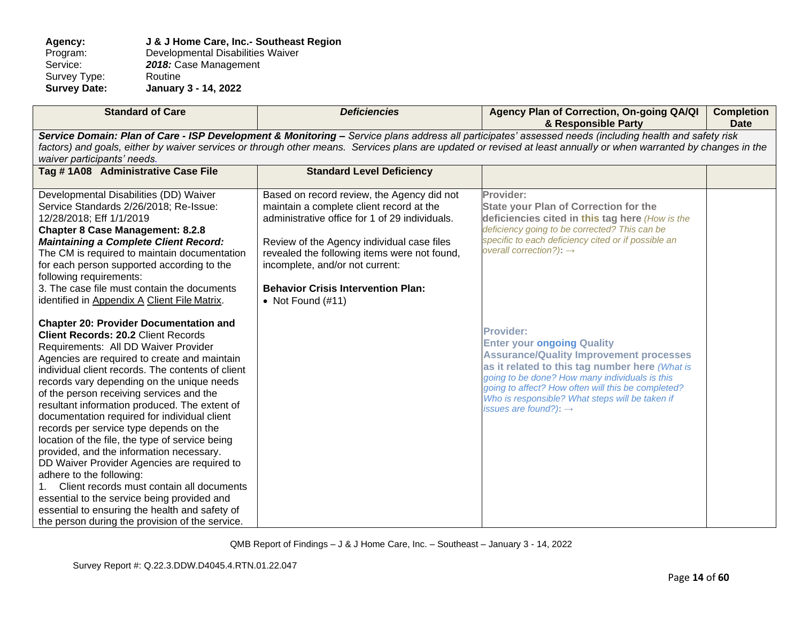Agency: **J & J Home Care, Inc.- Southeast Region**<br>Program: Developmental Disabilities Waiver Program: Developmental Disabilities Waiver<br>Service: 2018: Case Management 2018: Case Management<br>Routine Survey Type:<br>Survey Date: **Survey Date: January 3 - 14, 2022**

| <b>Standard of Care</b>                                                                                                                                                                                                                                                                                                                                                                                                                                                                                                                                                                                                                                                                                                                                                                                                                                   | <b>Deficiencies</b>                                                                                                                                                                                                                                                                                                                           | Agency Plan of Correction, On-going QA/QI<br>& Responsible Party                                                                                                                                                                                                                                                                                          | <b>Completion</b><br><b>Date</b> |  |  |
|-----------------------------------------------------------------------------------------------------------------------------------------------------------------------------------------------------------------------------------------------------------------------------------------------------------------------------------------------------------------------------------------------------------------------------------------------------------------------------------------------------------------------------------------------------------------------------------------------------------------------------------------------------------------------------------------------------------------------------------------------------------------------------------------------------------------------------------------------------------|-----------------------------------------------------------------------------------------------------------------------------------------------------------------------------------------------------------------------------------------------------------------------------------------------------------------------------------------------|-----------------------------------------------------------------------------------------------------------------------------------------------------------------------------------------------------------------------------------------------------------------------------------------------------------------------------------------------------------|----------------------------------|--|--|
| Service Domain: Plan of Care - ISP Development & Monitoring - Service plans address all participates' assessed needs (including health and safety risk<br>factors) and goals, either by waiver services or through other means. Services plans are updated or revised at least annually or when warranted by changes in the<br>waiver participants' needs.                                                                                                                                                                                                                                                                                                                                                                                                                                                                                                |                                                                                                                                                                                                                                                                                                                                               |                                                                                                                                                                                                                                                                                                                                                           |                                  |  |  |
| Tag #1A08 Administrative Case File                                                                                                                                                                                                                                                                                                                                                                                                                                                                                                                                                                                                                                                                                                                                                                                                                        | <b>Standard Level Deficiency</b>                                                                                                                                                                                                                                                                                                              |                                                                                                                                                                                                                                                                                                                                                           |                                  |  |  |
| Developmental Disabilities (DD) Waiver<br>Service Standards 2/26/2018; Re-Issue:<br>12/28/2018; Eff 1/1/2019<br><b>Chapter 8 Case Management: 8.2.8</b><br><b>Maintaining a Complete Client Record:</b><br>The CM is required to maintain documentation<br>for each person supported according to the<br>following requirements:<br>3. The case file must contain the documents<br>identified in Appendix A Client File Matrix.                                                                                                                                                                                                                                                                                                                                                                                                                           | Based on record review, the Agency did not<br>maintain a complete client record at the<br>administrative office for 1 of 29 individuals.<br>Review of the Agency individual case files<br>revealed the following items were not found,<br>incomplete, and/or not current:<br><b>Behavior Crisis Intervention Plan:</b><br>• Not Found $(H11)$ | Provider:<br><b>State your Plan of Correction for the</b><br>deficiencies cited in this tag here (How is the<br>deficiency going to be corrected? This can be<br>specific to each deficiency cited or if possible an<br>overall correction?): $\rightarrow$                                                                                               |                                  |  |  |
| <b>Chapter 20: Provider Documentation and</b><br><b>Client Records: 20.2 Client Records</b><br>Requirements: All DD Waiver Provider<br>Agencies are required to create and maintain<br>individual client records. The contents of client<br>records vary depending on the unique needs<br>of the person receiving services and the<br>resultant information produced. The extent of<br>documentation required for individual client<br>records per service type depends on the<br>location of the file, the type of service being<br>provided, and the information necessary.<br>DD Waiver Provider Agencies are required to<br>adhere to the following:<br>Client records must contain all documents<br>essential to the service being provided and<br>essential to ensuring the health and safety of<br>the person during the provision of the service. |                                                                                                                                                                                                                                                                                                                                               | <b>Provider:</b><br><b>Enter your ongoing Quality</b><br><b>Assurance/Quality Improvement processes</b><br>as it related to this tag number here (What is<br>going to be done? How many individuals is this<br>going to affect? How often will this be completed?<br>Who is responsible? What steps will be taken if<br>issues are found?): $\rightarrow$ |                                  |  |  |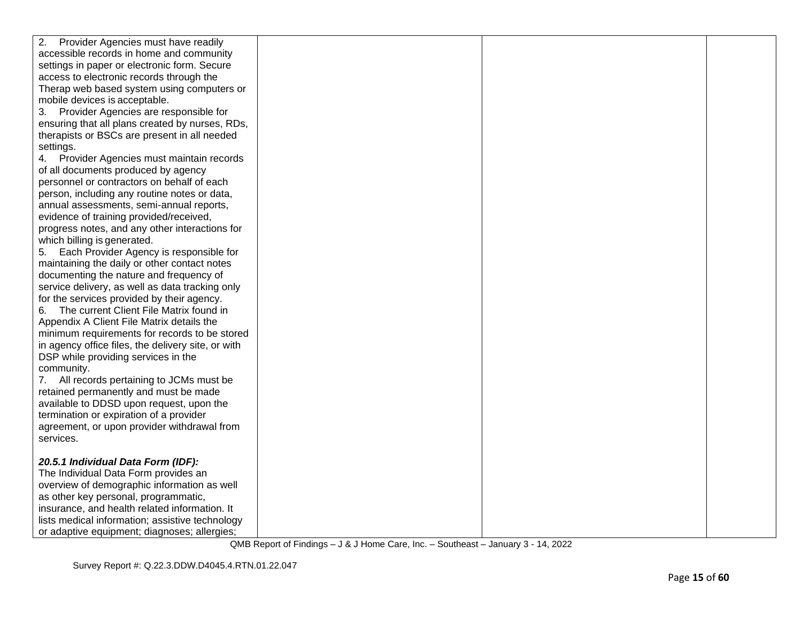| 2.<br>Provider Agencies must have readily          |  |  |
|----------------------------------------------------|--|--|
| accessible records in home and community           |  |  |
| settings in paper or electronic form. Secure       |  |  |
| access to electronic records through the           |  |  |
| Therap web based system using computers or         |  |  |
| mobile devices is acceptable.                      |  |  |
| 3. Provider Agencies are responsible for           |  |  |
| ensuring that all plans created by nurses, RDs,    |  |  |
| therapists or BSCs are present in all needed       |  |  |
| settings.                                          |  |  |
| 4. Provider Agencies must maintain records         |  |  |
| of all documents produced by agency                |  |  |
| personnel or contractors on behalf of each         |  |  |
| person, including any routine notes or data,       |  |  |
| annual assessments, semi-annual reports,           |  |  |
| evidence of training provided/received,            |  |  |
| progress notes, and any other interactions for     |  |  |
| which billing is generated.                        |  |  |
| 5. Each Provider Agency is responsible for         |  |  |
| maintaining the daily or other contact notes       |  |  |
| documenting the nature and frequency of            |  |  |
| service delivery, as well as data tracking only    |  |  |
| for the services provided by their agency.         |  |  |
| The current Client File Matrix found in<br>6.      |  |  |
| Appendix A Client File Matrix details the          |  |  |
| minimum requirements for records to be stored      |  |  |
| in agency office files, the delivery site, or with |  |  |
| DSP while providing services in the                |  |  |
| community.                                         |  |  |
| 7. All records pertaining to JCMs must be          |  |  |
| retained permanently and must be made              |  |  |
| available to DDSD upon request, upon the           |  |  |
| termination or expiration of a provider            |  |  |
| agreement, or upon provider withdrawal from        |  |  |
| services.                                          |  |  |
|                                                    |  |  |
| 20.5.1 Individual Data Form (IDF):                 |  |  |
| The Individual Data Form provides an               |  |  |
| overview of demographic information as well        |  |  |
| as other key personal, programmatic,               |  |  |
| insurance, and health related information. It      |  |  |
| lists medical information; assistive technology    |  |  |
| or adaptive equipment; diagnoses; allergies;       |  |  |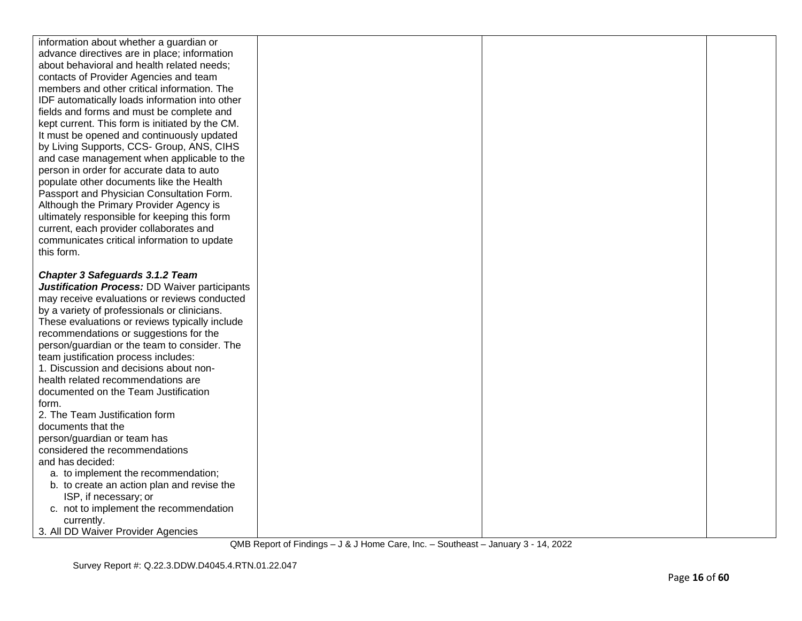| information about whether a guardian or         |  |
|-------------------------------------------------|--|
| advance directives are in place; information    |  |
| about behavioral and health related needs;      |  |
| contacts of Provider Agencies and team          |  |
| members and other critical information. The     |  |
| IDF automatically loads information into other  |  |
| fields and forms and must be complete and       |  |
| kept current. This form is initiated by the CM. |  |
| It must be opened and continuously updated      |  |
| by Living Supports, CCS- Group, ANS, CIHS       |  |
| and case management when applicable to the      |  |
| person in order for accurate data to auto       |  |
| populate other documents like the Health        |  |
| Passport and Physician Consultation Form.       |  |
| Although the Primary Provider Agency is         |  |
| ultimately responsible for keeping this form    |  |
| current, each provider collaborates and         |  |
| communicates critical information to update     |  |
| this form.                                      |  |
|                                                 |  |
| <b>Chapter 3 Safeguards 3.1.2 Team</b>          |  |
| Justification Process: DD Waiver participants   |  |
| may receive evaluations or reviews conducted    |  |
| by a variety of professionals or clinicians.    |  |
| These evaluations or reviews typically include  |  |
| recommendations or suggestions for the          |  |
| person/guardian or the team to consider. The    |  |
| team justification process includes:            |  |
| 1. Discussion and decisions about non-          |  |
| health related recommendations are              |  |
| documented on the Team Justification            |  |
| form.                                           |  |
| 2. The Team Justification form                  |  |
| documents that the                              |  |
| person/guardian or team has                     |  |
| considered the recommendations                  |  |
| and has decided:                                |  |
| a. to implement the recommendation;             |  |
| b. to create an action plan and revise the      |  |
| ISP, if necessary; or                           |  |
| c. not to implement the recommendation          |  |
| currently.                                      |  |
| 3. All DD Waiver Provider Agencies              |  |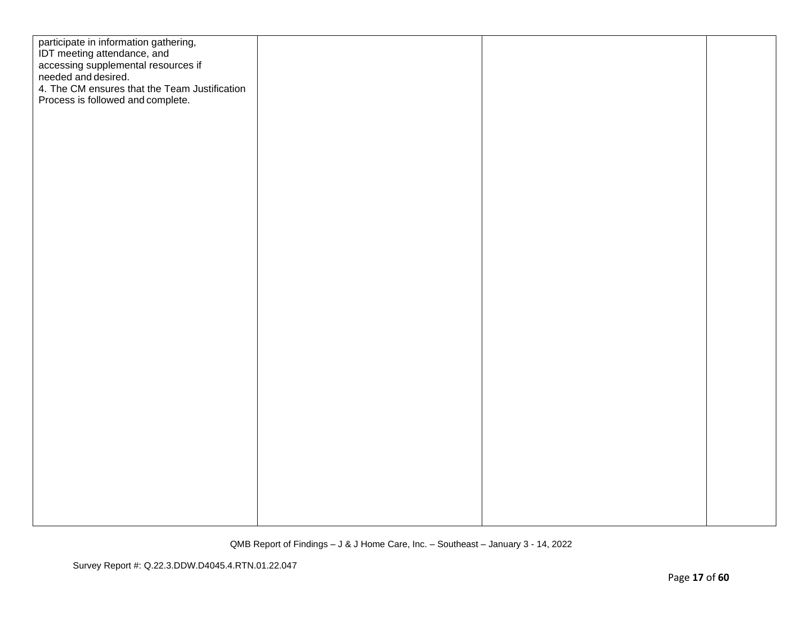| participate in information gathering,<br>IDT meeting attendance, and<br>accessing supplemental resources if<br>needed and desired.<br>4. The CM ensures that the Team Justification<br>Process is followed and complete. |  |  |
|--------------------------------------------------------------------------------------------------------------------------------------------------------------------------------------------------------------------------|--|--|
|                                                                                                                                                                                                                          |  |  |
|                                                                                                                                                                                                                          |  |  |
|                                                                                                                                                                                                                          |  |  |
|                                                                                                                                                                                                                          |  |  |
|                                                                                                                                                                                                                          |  |  |
|                                                                                                                                                                                                                          |  |  |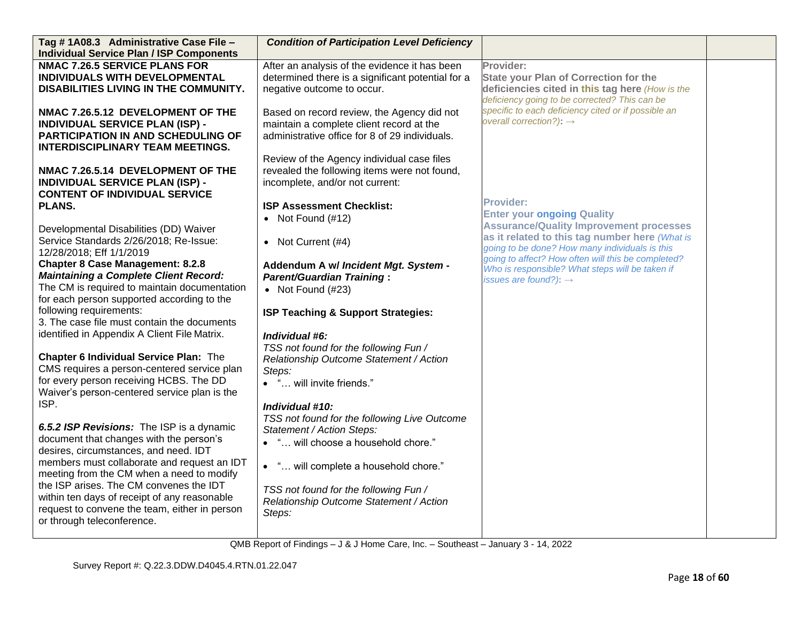| Tag #1A08.3 Administrative Case File -          | <b>Condition of Participation Level Deficiency</b> |                                                                                     |  |
|-------------------------------------------------|----------------------------------------------------|-------------------------------------------------------------------------------------|--|
| <b>Individual Service Plan / ISP Components</b> |                                                    |                                                                                     |  |
| <b>NMAC 7.26.5 SERVICE PLANS FOR</b>            | After an analysis of the evidence it has been      | Provider:                                                                           |  |
| INDIVIDUALS WITH DEVELOPMENTAL                  | determined there is a significant potential for a  | <b>State your Plan of Correction for the</b>                                        |  |
| DISABILITIES LIVING IN THE COMMUNITY.           | negative outcome to occur.                         | deficiencies cited in this tag here (How is the                                     |  |
|                                                 |                                                    | deficiency going to be corrected? This can be                                       |  |
| NMAC 7.26.5.12 DEVELOPMENT OF THE               | Based on record review, the Agency did not         | specific to each deficiency cited or if possible an                                 |  |
| <b>INDIVIDUAL SERVICE PLAN (ISP) -</b>          | maintain a complete client record at the           | overall correction?): $\rightarrow$                                                 |  |
| PARTICIPATION IN AND SCHEDULING OF              | administrative office for 8 of 29 individuals.     |                                                                                     |  |
| <b>INTERDISCIPLINARY TEAM MEETINGS.</b>         |                                                    |                                                                                     |  |
|                                                 | Review of the Agency individual case files         |                                                                                     |  |
| NMAC 7.26.5.14 DEVELOPMENT OF THE               | revealed the following items were not found,       |                                                                                     |  |
| <b>INDIVIDUAL SERVICE PLAN (ISP) -</b>          | incomplete, and/or not current:                    |                                                                                     |  |
| <b>CONTENT OF INDIVIDUAL SERVICE</b>            |                                                    | <b>Provider:</b>                                                                    |  |
| <b>PLANS.</b>                                   | <b>ISP Assessment Checklist:</b>                   |                                                                                     |  |
|                                                 | • Not Found $(\#12)$                               | <b>Enter your ongoing Quality</b><br><b>Assurance/Quality Improvement processes</b> |  |
| Developmental Disabilities (DD) Waiver          |                                                    | as it related to this tag number here (What is                                      |  |
| Service Standards 2/26/2018; Re-Issue:          | • Not Current $(#4)$                               | going to be done? How many individuals is this                                      |  |
| 12/28/2018; Eff 1/1/2019                        |                                                    | going to affect? How often will this be completed?                                  |  |
| <b>Chapter 8 Case Management: 8.2.8</b>         | Addendum A w/ Incident Mgt. System -               | Who is responsible? What steps will be taken if                                     |  |
| <b>Maintaining a Complete Client Record:</b>    | <b>Parent/Guardian Training:</b>                   | issues are found?): $\rightarrow$                                                   |  |
| The CM is required to maintain documentation    | • Not Found $(H23)$                                |                                                                                     |  |
| for each person supported according to the      |                                                    |                                                                                     |  |
| following requirements:                         | ISP Teaching & Support Strategies:                 |                                                                                     |  |
| 3. The case file must contain the documents     |                                                    |                                                                                     |  |
| identified in Appendix A Client File Matrix.    | Individual #6:                                     |                                                                                     |  |
|                                                 | TSS not found for the following Fun /              |                                                                                     |  |
| Chapter 6 Individual Service Plan: The          | Relationship Outcome Statement / Action            |                                                                                     |  |
| CMS requires a person-centered service plan     | Steps:                                             |                                                                                     |  |
| for every person receiving HCBS. The DD         | • " will invite friends."                          |                                                                                     |  |
| Waiver's person-centered service plan is the    |                                                    |                                                                                     |  |
| ISP.                                            | Individual #10:                                    |                                                                                     |  |
|                                                 | TSS not found for the following Live Outcome       |                                                                                     |  |
| 6.5.2 ISP Revisions: The ISP is a dynamic       | Statement / Action Steps:                          |                                                                                     |  |
| document that changes with the person's         | • " will choose a household chore."                |                                                                                     |  |
| desires, circumstances, and need. IDT           |                                                    |                                                                                     |  |
| members must collaborate and request an IDT     | • " will complete a household chore."              |                                                                                     |  |
| meeting from the CM when a need to modify       |                                                    |                                                                                     |  |
| the ISP arises. The CM convenes the IDT         | TSS not found for the following Fun /              |                                                                                     |  |
| within ten days of receipt of any reasonable    | Relationship Outcome Statement / Action            |                                                                                     |  |
| request to convene the team, either in person   | Steps:                                             |                                                                                     |  |
| or through teleconference.                      |                                                    |                                                                                     |  |
|                                                 |                                                    |                                                                                     |  |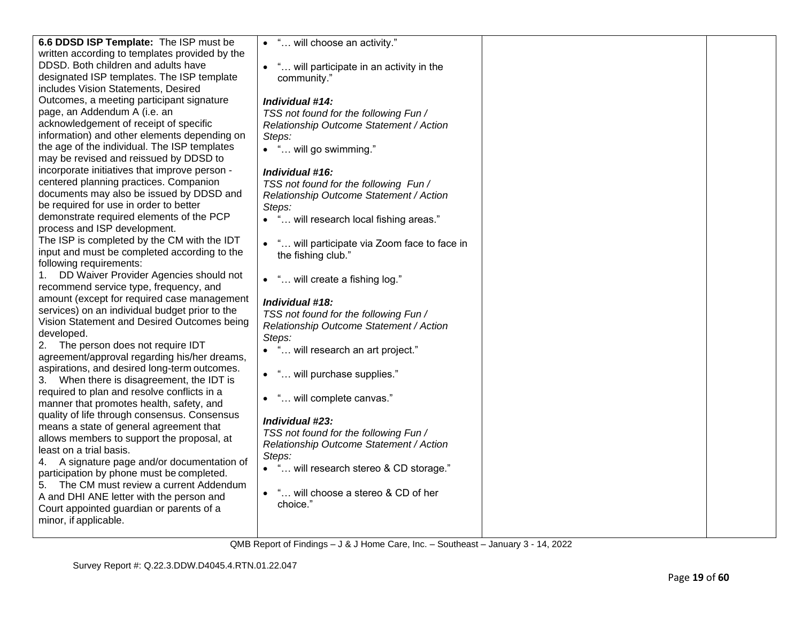| 6.6 DDSD ISP Template: The ISP must be         | • " will choose an activity."                            |  |
|------------------------------------------------|----------------------------------------------------------|--|
| written according to templates provided by the |                                                          |  |
| DDSD. Both children and adults have            | " will participate in an activity in the                 |  |
| designated ISP templates. The ISP template     | community."                                              |  |
| includes Vision Statements, Desired            |                                                          |  |
| Outcomes, a meeting participant signature      | Individual #14:                                          |  |
| page, an Addendum A (i.e. an                   | TSS not found for the following Fun /                    |  |
| acknowledgement of receipt of specific         | Relationship Outcome Statement / Action                  |  |
| information) and other elements depending on   | Steps:                                                   |  |
| the age of the individual. The ISP templates   | • " will go swimming."                                   |  |
| may be revised and reissued by DDSD to         |                                                          |  |
| incorporate initiatives that improve person -  | Individual #16:                                          |  |
| centered planning practices. Companion         | TSS not found for the following Fun /                    |  |
| documents may also be issued by DDSD and       | Relationship Outcome Statement / Action                  |  |
| be required for use in order to better         | Steps:                                                   |  |
| demonstrate required elements of the PCP       | • " will research local fishing areas."                  |  |
| process and ISP development.                   |                                                          |  |
| The ISP is completed by the CM with the IDT    | " will participate via Zoom face to face in<br>$\bullet$ |  |
| input and must be completed according to the   | the fishing club."                                       |  |
| following requirements:                        |                                                          |  |
| DD Waiver Provider Agencies should not<br>1.   | • " will create a fishing log."                          |  |
| recommend service type, frequency, and         |                                                          |  |
| amount (except for required case management    | Individual #18:                                          |  |
| services) on an individual budget prior to the | TSS not found for the following Fun /                    |  |
| Vision Statement and Desired Outcomes being    | Relationship Outcome Statement / Action                  |  |
| developed.                                     | Steps:                                                   |  |
| The person does not require IDT<br>2.          | • " will research an art project."                       |  |
| agreement/approval regarding his/her dreams,   |                                                          |  |
| aspirations, and desired long-term outcomes.   | • " will purchase supplies."                             |  |
| 3. When there is disagreement, the IDT is      |                                                          |  |
| required to plan and resolve conflicts in a    | • " will complete canvas."                               |  |
| manner that promotes health, safety, and       |                                                          |  |
| quality of life through consensus. Consensus   | Individual #23:                                          |  |
| means a state of general agreement that        | TSS not found for the following Fun /                    |  |
| allows members to support the proposal, at     | Relationship Outcome Statement / Action                  |  |
| least on a trial basis.                        | Steps:                                                   |  |
| 4. A signature page and/or documentation of    | " will research stereo & CD storage."                    |  |
| participation by phone must be completed.      |                                                          |  |
| 5. The CM must review a current Addendum       | " will choose a stereo & CD of her<br>$\bullet$          |  |
| A and DHI ANE letter with the person and       | choice."                                                 |  |
| Court appointed guardian or parents of a       |                                                          |  |
| minor, if applicable.                          |                                                          |  |
|                                                |                                                          |  |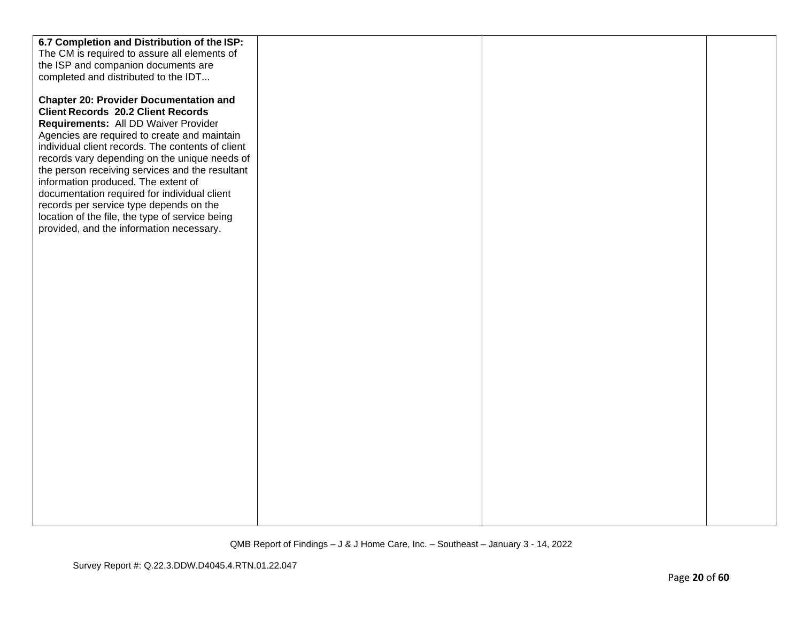| 6.7 Completion and Distribution of the ISP:       |  |  |
|---------------------------------------------------|--|--|
| The CM is required to assure all elements of      |  |  |
| the ISP and companion documents are               |  |  |
| completed and distributed to the IDT              |  |  |
|                                                   |  |  |
| <b>Chapter 20: Provider Documentation and</b>     |  |  |
| <b>Client Records 20.2 Client Records</b>         |  |  |
| Requirements: All DD Waiver Provider              |  |  |
| Agencies are required to create and maintain      |  |  |
| individual client records. The contents of client |  |  |
| records vary depending on the unique needs of     |  |  |
| the person receiving services and the resultant   |  |  |
| information produced. The extent of               |  |  |
| documentation required for individual client      |  |  |
| records per service type depends on the           |  |  |
| location of the file, the type of service being   |  |  |
| provided, and the information necessary.          |  |  |
|                                                   |  |  |
|                                                   |  |  |
|                                                   |  |  |
|                                                   |  |  |
|                                                   |  |  |
|                                                   |  |  |
|                                                   |  |  |
|                                                   |  |  |
|                                                   |  |  |
|                                                   |  |  |
|                                                   |  |  |
|                                                   |  |  |
|                                                   |  |  |
|                                                   |  |  |
|                                                   |  |  |
|                                                   |  |  |
|                                                   |  |  |
|                                                   |  |  |
|                                                   |  |  |
|                                                   |  |  |
|                                                   |  |  |
|                                                   |  |  |
|                                                   |  |  |
|                                                   |  |  |
|                                                   |  |  |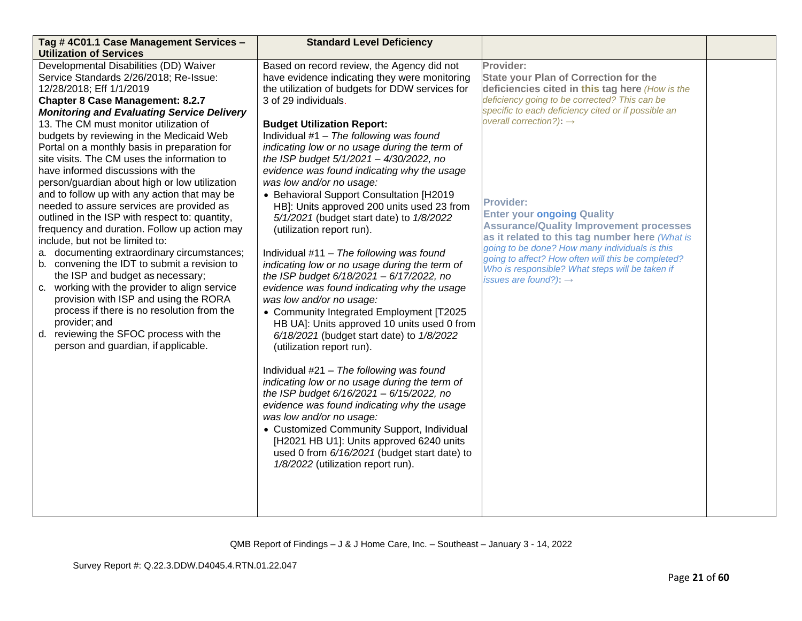| Tag # 4C01.1 Case Management Services -                                                                                                                                                                                                                                                                                                                                                                                                                                                                                                                                                                                                                                                                                                                                                                                                                                                                                                                                                                                                                                                                                                   | <b>Standard Level Deficiency</b>                                                                                                                                                                                                                                                                                                                                                                                                                                                                                                                                                                                                                                                                                                                                                                                                                                                                                                                                                                                                                                                                                                                                                                                                                                                                                                                                                                |                                                                                                                                                                                                                                                                                                                                                                                                                                                                                                                                                                                                                          |  |
|-------------------------------------------------------------------------------------------------------------------------------------------------------------------------------------------------------------------------------------------------------------------------------------------------------------------------------------------------------------------------------------------------------------------------------------------------------------------------------------------------------------------------------------------------------------------------------------------------------------------------------------------------------------------------------------------------------------------------------------------------------------------------------------------------------------------------------------------------------------------------------------------------------------------------------------------------------------------------------------------------------------------------------------------------------------------------------------------------------------------------------------------|-------------------------------------------------------------------------------------------------------------------------------------------------------------------------------------------------------------------------------------------------------------------------------------------------------------------------------------------------------------------------------------------------------------------------------------------------------------------------------------------------------------------------------------------------------------------------------------------------------------------------------------------------------------------------------------------------------------------------------------------------------------------------------------------------------------------------------------------------------------------------------------------------------------------------------------------------------------------------------------------------------------------------------------------------------------------------------------------------------------------------------------------------------------------------------------------------------------------------------------------------------------------------------------------------------------------------------------------------------------------------------------------------|--------------------------------------------------------------------------------------------------------------------------------------------------------------------------------------------------------------------------------------------------------------------------------------------------------------------------------------------------------------------------------------------------------------------------------------------------------------------------------------------------------------------------------------------------------------------------------------------------------------------------|--|
| <b>Utilization of Services</b><br>Developmental Disabilities (DD) Waiver<br>Service Standards 2/26/2018; Re-Issue:<br>12/28/2018; Eff 1/1/2019<br><b>Chapter 8 Case Management: 8.2.7</b><br><b>Monitoring and Evaluating Service Delivery</b><br>13. The CM must monitor utilization of<br>budgets by reviewing in the Medicaid Web<br>Portal on a monthly basis in preparation for<br>site visits. The CM uses the information to<br>have informed discussions with the<br>person/guardian about high or low utilization<br>and to follow up with any action that may be<br>needed to assure services are provided as<br>outlined in the ISP with respect to: quantity,<br>frequency and duration. Follow up action may<br>include, but not be limited to:<br>a. documenting extraordinary circumstances;<br>b. convening the IDT to submit a revision to<br>the ISP and budget as necessary;<br>c. working with the provider to align service<br>provision with ISP and using the RORA<br>process if there is no resolution from the<br>provider; and<br>d. reviewing the SFOC process with the<br>person and guardian, if applicable. | Based on record review, the Agency did not<br>have evidence indicating they were monitoring<br>the utilization of budgets for DDW services for<br>3 of 29 individuals.<br><b>Budget Utilization Report:</b><br>Individual #1 - The following was found<br>indicating low or no usage during the term of<br>the ISP budget 5/1/2021 - 4/30/2022, no<br>evidence was found indicating why the usage<br>was low and/or no usage:<br>• Behavioral Support Consultation [H2019<br>HB]: Units approved 200 units used 23 from<br>5/1/2021 (budget start date) to 1/8/2022<br>(utilization report run).<br>Individual $#11 - The following was found$<br>indicating low or no usage during the term of<br>the ISP budget 6/18/2021 - 6/17/2022, no<br>evidence was found indicating why the usage<br>was low and/or no usage:<br>• Community Integrated Employment [T2025<br>HB UA]: Units approved 10 units used 0 from<br>6/18/2021 (budget start date) to 1/8/2022<br>(utilization report run).<br>Individual #21 - The following was found<br>indicating low or no usage during the term of<br>the ISP budget 6/16/2021 - 6/15/2022, no<br>evidence was found indicating why the usage<br>was low and/or no usage:<br>• Customized Community Support, Individual<br>[H2021 HB U1]: Units approved 6240 units<br>used 0 from 6/16/2021 (budget start date) to<br>1/8/2022 (utilization report run). | Provider:<br><b>State your Plan of Correction for the</b><br>deficiencies cited in this tag here (How is the<br>deficiency going to be corrected? This can be<br>specific to each deficiency cited or if possible an<br>overall correction?): $\rightarrow$<br><b>Provider:</b><br><b>Enter your ongoing Quality</b><br><b>Assurance/Quality Improvement processes</b><br>as it related to this tag number here (What is<br>going to be done? How many individuals is this<br>going to affect? How often will this be completed?<br>Who is responsible? What steps will be taken if<br>issues are found?): $\rightarrow$ |  |
|                                                                                                                                                                                                                                                                                                                                                                                                                                                                                                                                                                                                                                                                                                                                                                                                                                                                                                                                                                                                                                                                                                                                           |                                                                                                                                                                                                                                                                                                                                                                                                                                                                                                                                                                                                                                                                                                                                                                                                                                                                                                                                                                                                                                                                                                                                                                                                                                                                                                                                                                                                 |                                                                                                                                                                                                                                                                                                                                                                                                                                                                                                                                                                                                                          |  |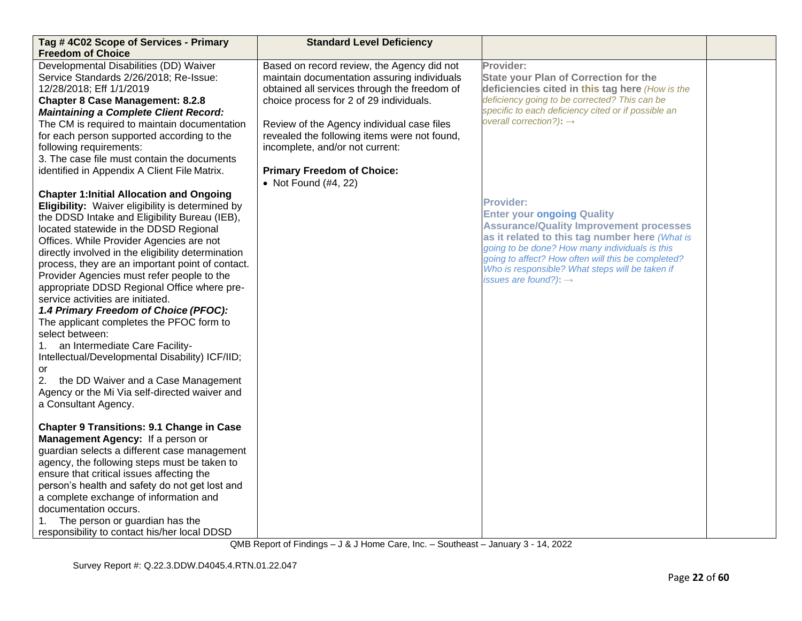| Tag #4C02 Scope of Services - Primary<br><b>Freedom of Choice</b>                                                                                                                                                                                                                                                                                                                                                                                                                                                                                                                                                                                                                                                                             | <b>Standard Level Deficiency</b>                                                                                                                                                                                                                                                                                                                           |                                                                                                                                                                                                                                                                                                                                                    |  |
|-----------------------------------------------------------------------------------------------------------------------------------------------------------------------------------------------------------------------------------------------------------------------------------------------------------------------------------------------------------------------------------------------------------------------------------------------------------------------------------------------------------------------------------------------------------------------------------------------------------------------------------------------------------------------------------------------------------------------------------------------|------------------------------------------------------------------------------------------------------------------------------------------------------------------------------------------------------------------------------------------------------------------------------------------------------------------------------------------------------------|----------------------------------------------------------------------------------------------------------------------------------------------------------------------------------------------------------------------------------------------------------------------------------------------------------------------------------------------------|--|
| Developmental Disabilities (DD) Waiver<br>Service Standards 2/26/2018; Re-Issue:<br>12/28/2018; Eff 1/1/2019<br><b>Chapter 8 Case Management: 8.2.8</b><br><b>Maintaining a Complete Client Record:</b><br>The CM is required to maintain documentation<br>for each person supported according to the<br>following requirements:<br>3. The case file must contain the documents<br>identified in Appendix A Client File Matrix.                                                                                                                                                                                                                                                                                                               | Based on record review, the Agency did not<br>maintain documentation assuring individuals<br>obtained all services through the freedom of<br>choice process for 2 of 29 individuals.<br>Review of the Agency individual case files<br>revealed the following items were not found,<br>incomplete, and/or not current:<br><b>Primary Freedom of Choice:</b> | Provider:<br><b>State your Plan of Correction for the</b><br>deficiencies cited in this tag here (How is the<br>deficiency going to be corrected? This can be<br>specific to each deficiency cited or if possible an<br>overall correction?): $\rightarrow$                                                                                        |  |
| <b>Chapter 1: Initial Allocation and Ongoing</b><br>Eligibility: Waiver eligibility is determined by<br>the DDSD Intake and Eligibility Bureau (IEB),<br>located statewide in the DDSD Regional<br>Offices. While Provider Agencies are not<br>directly involved in the eligibility determination<br>process, they are an important point of contact.<br>Provider Agencies must refer people to the<br>appropriate DDSD Regional Office where pre-<br>service activities are initiated.<br>1.4 Primary Freedom of Choice (PFOC):<br>The applicant completes the PFOC form to<br>select between:<br>an Intermediate Care Facility-<br>1.<br>Intellectual/Developmental Disability) ICF/IID;<br>or<br>2.<br>the DD Waiver and a Case Management | • Not Found (#4, 22)                                                                                                                                                                                                                                                                                                                                       | Provider:<br><b>Enter your ongoing Quality</b><br><b>Assurance/Quality Improvement processes</b><br>as it related to this tag number here (What is<br>going to be done? How many individuals is this<br>going to affect? How often will this be completed?<br>Who is responsible? What steps will be taken if<br>issues are found?): $\rightarrow$ |  |
| Agency or the Mi Via self-directed waiver and<br>a Consultant Agency.<br><b>Chapter 9 Transitions: 9.1 Change in Case</b><br>Management Agency: If a person or<br>guardian selects a different case management<br>agency, the following steps must be taken to<br>ensure that critical issues affecting the<br>person's health and safety do not get lost and<br>a complete exchange of information and<br>documentation occurs.<br>The person or guardian has the<br>responsibility to contact his/her local DDSD                                                                                                                                                                                                                            |                                                                                                                                                                                                                                                                                                                                                            |                                                                                                                                                                                                                                                                                                                                                    |  |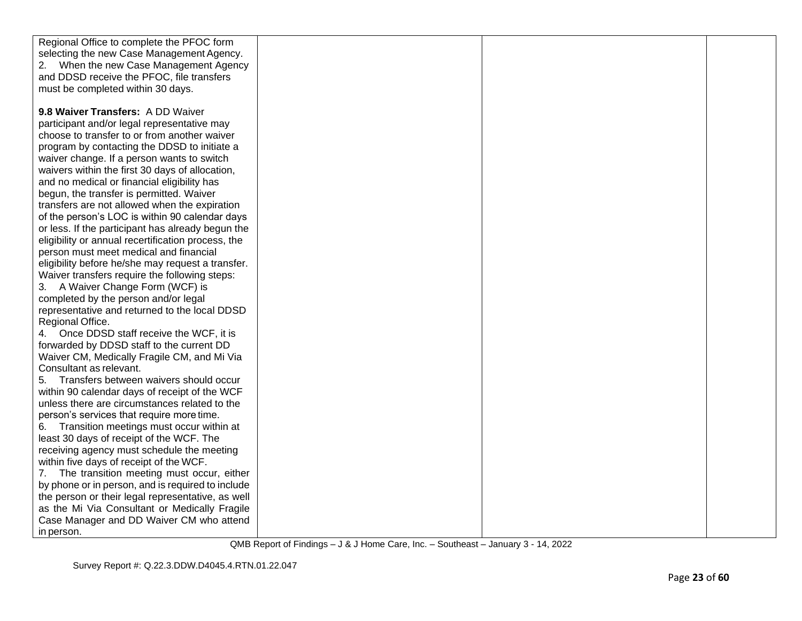| Regional Office to complete the PFOC form          |  |  |
|----------------------------------------------------|--|--|
| selecting the new Case Management Agency.          |  |  |
| 2. When the new Case Management Agency             |  |  |
| and DDSD receive the PFOC, file transfers          |  |  |
| must be completed within 30 days.                  |  |  |
|                                                    |  |  |
| 9.8 Waiver Transfers: A DD Waiver                  |  |  |
| participant and/or legal representative may        |  |  |
| choose to transfer to or from another waiver       |  |  |
| program by contacting the DDSD to initiate a       |  |  |
| waiver change. If a person wants to switch         |  |  |
| waivers within the first 30 days of allocation,    |  |  |
| and no medical or financial eligibility has        |  |  |
| begun, the transfer is permitted. Waiver           |  |  |
| transfers are not allowed when the expiration      |  |  |
| of the person's LOC is within 90 calendar days     |  |  |
| or less. If the participant has already begun the  |  |  |
| eligibility or annual recertification process, the |  |  |
| person must meet medical and financial             |  |  |
| eligibility before he/she may request a transfer.  |  |  |
| Waiver transfers require the following steps:      |  |  |
| 3. A Waiver Change Form (WCF) is                   |  |  |
| completed by the person and/or legal               |  |  |
| representative and returned to the local DDSD      |  |  |
| Regional Office.                                   |  |  |
| 4. Once DDSD staff receive the WCF, it is          |  |  |
| forwarded by DDSD staff to the current DD          |  |  |
| Waiver CM, Medically Fragile CM, and Mi Via        |  |  |
| Consultant as relevant.                            |  |  |
| 5. Transfers between waivers should occur          |  |  |
| within 90 calendar days of receipt of the WCF      |  |  |
| unless there are circumstances related to the      |  |  |
| person's services that require more time.          |  |  |
| 6. Transition meetings must occur within at        |  |  |
| least 30 days of receipt of the WCF. The           |  |  |
| receiving agency must schedule the meeting         |  |  |
| within five days of receipt of the WCF.            |  |  |
| 7. The transition meeting must occur, either       |  |  |
| by phone or in person, and is required to include  |  |  |
| the person or their legal representative, as well  |  |  |
| as the Mi Via Consultant or Medically Fragile      |  |  |
| Case Manager and DD Waiver CM who attend           |  |  |
| in person.                                         |  |  |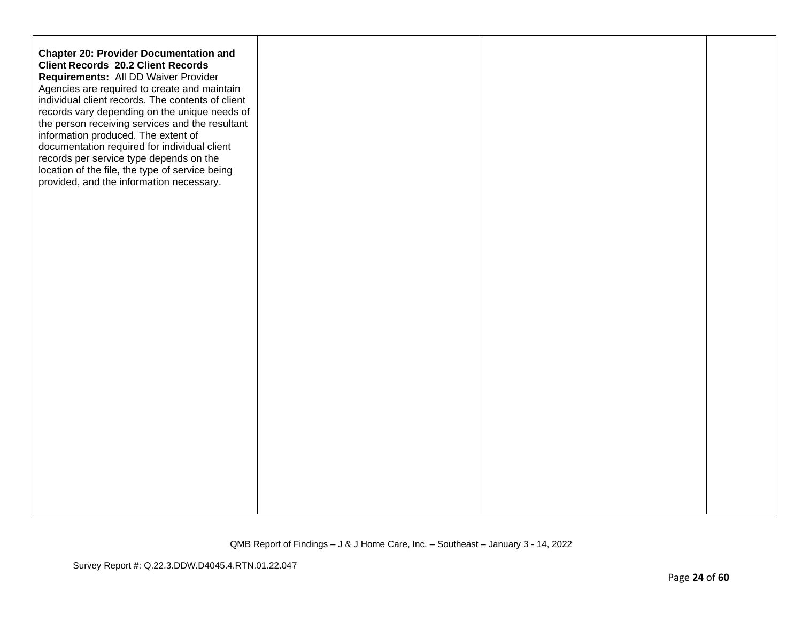| <b>Chapter 20: Provider Documentation and</b><br><b>Client Records 20.2 Client Records</b><br>Requirements: All DD Waiver Provider<br>Agencies are required to create and maintain<br>individual client records. The contents of client<br>records vary depending on the unique needs of<br>the person receiving services and the resultant<br>information produced. The extent of<br>documentation required for individual client<br>records per service type depends on the<br>location of the file, the type of service being<br>provided, and the information necessary. |  |  |
|------------------------------------------------------------------------------------------------------------------------------------------------------------------------------------------------------------------------------------------------------------------------------------------------------------------------------------------------------------------------------------------------------------------------------------------------------------------------------------------------------------------------------------------------------------------------------|--|--|
|                                                                                                                                                                                                                                                                                                                                                                                                                                                                                                                                                                              |  |  |
|                                                                                                                                                                                                                                                                                                                                                                                                                                                                                                                                                                              |  |  |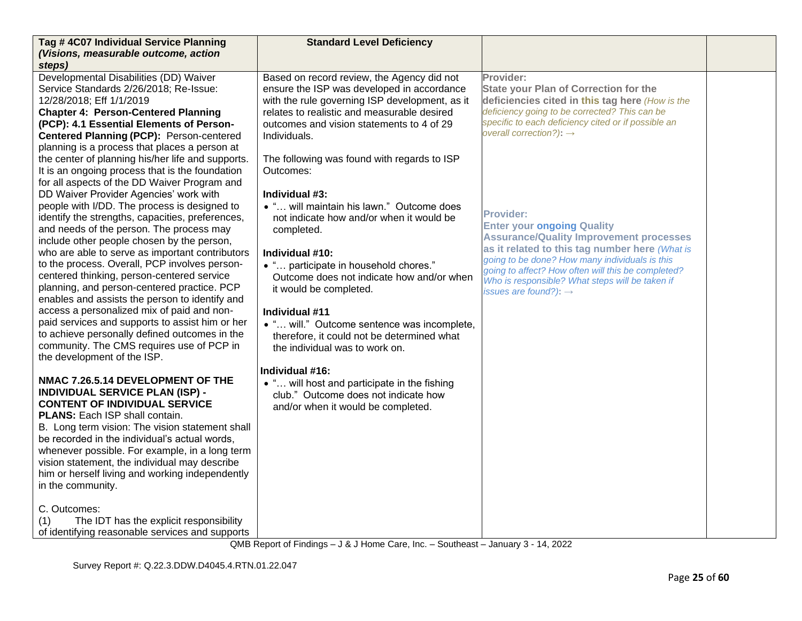| Tag # 4C07 Individual Service Planning<br>(Visions, measurable outcome, action                                                                                                                                                                                                                                                                                                                                                                                                                                | <b>Standard Level Deficiency</b>                                                                                                                                                                                                                              |                                                                                                                                                                                                                                                             |  |
|---------------------------------------------------------------------------------------------------------------------------------------------------------------------------------------------------------------------------------------------------------------------------------------------------------------------------------------------------------------------------------------------------------------------------------------------------------------------------------------------------------------|---------------------------------------------------------------------------------------------------------------------------------------------------------------------------------------------------------------------------------------------------------------|-------------------------------------------------------------------------------------------------------------------------------------------------------------------------------------------------------------------------------------------------------------|--|
| steps)                                                                                                                                                                                                                                                                                                                                                                                                                                                                                                        |                                                                                                                                                                                                                                                               |                                                                                                                                                                                                                                                             |  |
| Developmental Disabilities (DD) Waiver<br>Service Standards 2/26/2018; Re-Issue:<br>12/28/2018; Eff 1/1/2019<br><b>Chapter 4: Person-Centered Planning</b><br>(PCP): 4.1 Essential Elements of Person-<br>Centered Planning (PCP): Person-centered<br>planning is a process that places a person at                                                                                                                                                                                                           | Based on record review, the Agency did not<br>ensure the ISP was developed in accordance<br>with the rule governing ISP development, as it<br>relates to realistic and measurable desired<br>outcomes and vision statements to 4 of 29<br>Individuals.        | Provider:<br><b>State your Plan of Correction for the</b><br>deficiencies cited in this tag here (How is the<br>deficiency going to be corrected? This can be<br>specific to each deficiency cited or if possible an<br>overall correction?): $\rightarrow$ |  |
| the center of planning his/her life and supports.<br>It is an ongoing process that is the foundation<br>for all aspects of the DD Waiver Program and<br>DD Waiver Provider Agencies' work with                                                                                                                                                                                                                                                                                                                | The following was found with regards to ISP<br>Outcomes:<br>Individual #3:                                                                                                                                                                                    |                                                                                                                                                                                                                                                             |  |
| people with I/DD. The process is designed to<br>identify the strengths, capacities, preferences,<br>and needs of the person. The process may<br>include other people chosen by the person,<br>who are able to serve as important contributors                                                                                                                                                                                                                                                                 | • " will maintain his lawn." Outcome does<br>not indicate how and/or when it would be<br>completed.<br>Individual #10:                                                                                                                                        | <b>Provider:</b><br><b>Enter your ongoing Quality</b><br><b>Assurance/Quality Improvement processes</b><br>as it related to this tag number here (What is                                                                                                   |  |
| to the process. Overall, PCP involves person-<br>centered thinking, person-centered service<br>planning, and person-centered practice. PCP<br>enables and assists the person to identify and<br>access a personalized mix of paid and non-<br>paid services and supports to assist him or her<br>to achieve personally defined outcomes in the<br>community. The CMS requires use of PCP in<br>the development of the ISP.                                                                                    | • " participate in household chores."<br>Outcome does not indicate how and/or when<br>it would be completed.<br>Individual #11<br>• " will." Outcome sentence was incomplete,<br>therefore, it could not be determined what<br>the individual was to work on. | going to be done? How many individuals is this<br>going to affect? How often will this be completed?<br>Who is responsible? What steps will be taken if<br>issues are found?): $\rightarrow$                                                                |  |
| NMAC 7.26.5.14 DEVELOPMENT OF THE<br><b>INDIVIDUAL SERVICE PLAN (ISP) -</b><br><b>CONTENT OF INDIVIDUAL SERVICE</b><br><b>PLANS:</b> Each ISP shall contain.<br>B. Long term vision: The vision statement shall<br>be recorded in the individual's actual words,<br>whenever possible. For example, in a long term<br>vision statement, the individual may describe<br>him or herself living and working independently<br>in the community.<br>C. Outcomes:<br>The IDT has the explicit responsibility<br>(1) | Individual #16:<br>• " will host and participate in the fishing<br>club." Outcome does not indicate how<br>and/or when it would be completed.                                                                                                                 |                                                                                                                                                                                                                                                             |  |
| of identifying reasonable services and supports                                                                                                                                                                                                                                                                                                                                                                                                                                                               |                                                                                                                                                                                                                                                               |                                                                                                                                                                                                                                                             |  |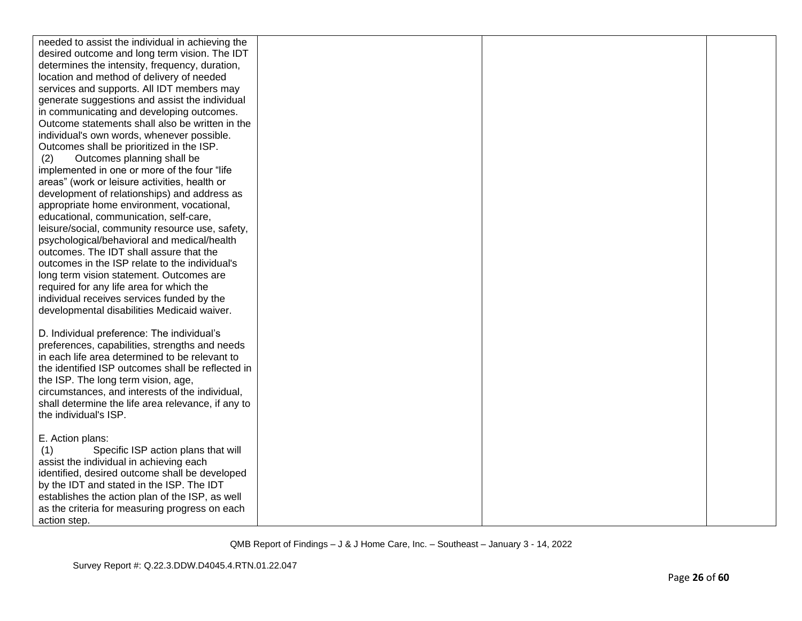| needed to assist the individual in achieving the   |  |  |
|----------------------------------------------------|--|--|
| desired outcome and long term vision. The IDT      |  |  |
| determines the intensity, frequency, duration,     |  |  |
| location and method of delivery of needed          |  |  |
| services and supports. All IDT members may         |  |  |
| generate suggestions and assist the individual     |  |  |
| in communicating and developing outcomes.          |  |  |
| Outcome statements shall also be written in the    |  |  |
| individual's own words, whenever possible.         |  |  |
| Outcomes shall be prioritized in the ISP.          |  |  |
| Outcomes planning shall be<br>(2)                  |  |  |
| implemented in one or more of the four "life       |  |  |
| areas" (work or leisure activities, health or      |  |  |
| development of relationships) and address as       |  |  |
| appropriate home environment, vocational,          |  |  |
| educational, communication, self-care,             |  |  |
| leisure/social, community resource use, safety,    |  |  |
| psychological/behavioral and medical/health        |  |  |
| outcomes. The IDT shall assure that the            |  |  |
| outcomes in the ISP relate to the individual's     |  |  |
| long term vision statement. Outcomes are           |  |  |
| required for any life area for which the           |  |  |
| individual receives services funded by the         |  |  |
| developmental disabilities Medicaid waiver.        |  |  |
|                                                    |  |  |
| D. Individual preference: The individual's         |  |  |
| preferences, capabilities, strengths and needs     |  |  |
| in each life area determined to be relevant to     |  |  |
| the identified ISP outcomes shall be reflected in  |  |  |
| the ISP. The long term vision, age,                |  |  |
| circumstances, and interests of the individual,    |  |  |
| shall determine the life area relevance, if any to |  |  |
| the individual's ISP.                              |  |  |
|                                                    |  |  |
| E. Action plans:                                   |  |  |
| Specific ISP action plans that will<br>(1)         |  |  |
| assist the individual in achieving each            |  |  |
| identified, desired outcome shall be developed     |  |  |
| by the IDT and stated in the ISP. The IDT          |  |  |
| establishes the action plan of the ISP, as well    |  |  |
| as the criteria for measuring progress on each     |  |  |
| action step.                                       |  |  |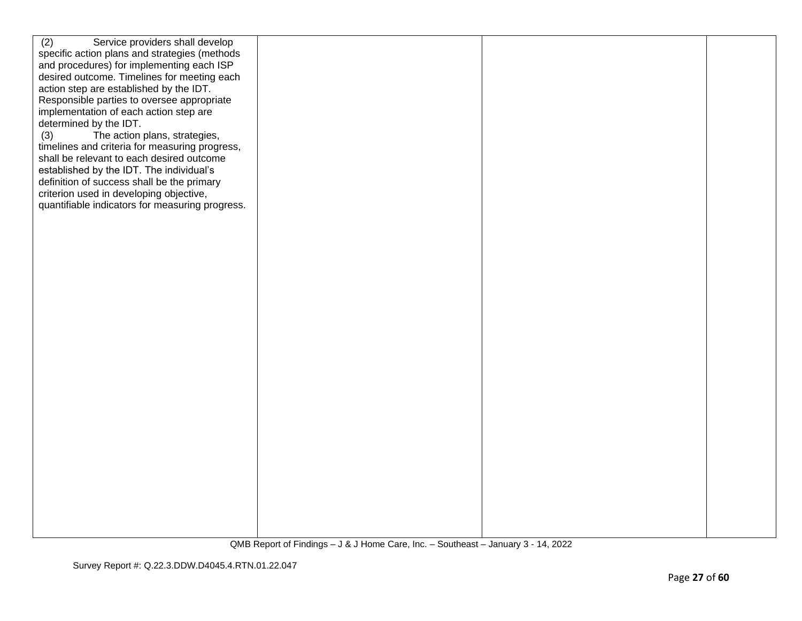| (2)<br>Service providers shall develop                                                   |  |  |
|------------------------------------------------------------------------------------------|--|--|
| specific action plans and strategies (methods                                            |  |  |
| and procedures) for implementing each ISP<br>desired outcome. Timelines for meeting each |  |  |
| action step are established by the IDT.                                                  |  |  |
| Responsible parties to oversee appropriate                                               |  |  |
| implementation of each action step are                                                   |  |  |
| determined by the IDT.                                                                   |  |  |
| (3)<br>The action plans, strategies,                                                     |  |  |
| timelines and criteria for measuring progress,                                           |  |  |
| shall be relevant to each desired outcome<br>established by the IDT. The individual's    |  |  |
| definition of success shall be the primary                                               |  |  |
| criterion used in developing objective,                                                  |  |  |
| quantifiable indicators for measuring progress.                                          |  |  |
|                                                                                          |  |  |
|                                                                                          |  |  |
|                                                                                          |  |  |
|                                                                                          |  |  |
|                                                                                          |  |  |
|                                                                                          |  |  |
|                                                                                          |  |  |
|                                                                                          |  |  |
|                                                                                          |  |  |
|                                                                                          |  |  |
|                                                                                          |  |  |
|                                                                                          |  |  |
|                                                                                          |  |  |
|                                                                                          |  |  |
|                                                                                          |  |  |
|                                                                                          |  |  |
|                                                                                          |  |  |
|                                                                                          |  |  |
|                                                                                          |  |  |
|                                                                                          |  |  |
|                                                                                          |  |  |
|                                                                                          |  |  |
|                                                                                          |  |  |
|                                                                                          |  |  |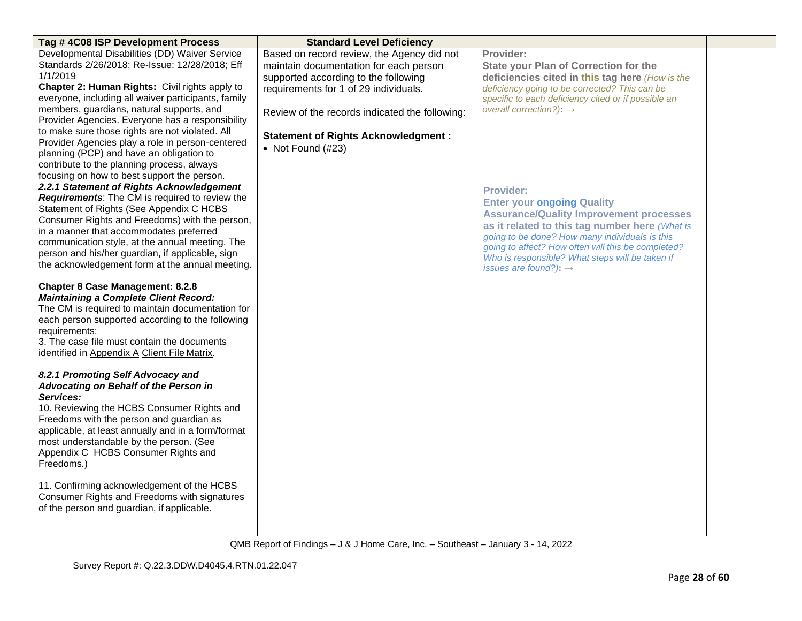| Tag #4C08 ISP Development Process                                                                                                                                                                                                                                                                               | <b>Standard Level Deficiency</b>               |                                                     |  |
|-----------------------------------------------------------------------------------------------------------------------------------------------------------------------------------------------------------------------------------------------------------------------------------------------------------------|------------------------------------------------|-----------------------------------------------------|--|
| Developmental Disabilities (DD) Waiver Service                                                                                                                                                                                                                                                                  | Based on record review, the Agency did not     | Provider:                                           |  |
| Standards 2/26/2018; Re-Issue: 12/28/2018; Eff                                                                                                                                                                                                                                                                  | maintain documentation for each person         | <b>State your Plan of Correction for the</b>        |  |
| 1/1/2019                                                                                                                                                                                                                                                                                                        | supported according to the following           | deficiencies cited in this tag here (How is the     |  |
| Chapter 2: Human Rights: Civil rights apply to                                                                                                                                                                                                                                                                  | requirements for 1 of 29 individuals.          | deficiency going to be corrected? This can be       |  |
| everyone, including all waiver participants, family                                                                                                                                                                                                                                                             |                                                | specific to each deficiency cited or if possible an |  |
| members, guardians, natural supports, and<br>Provider Agencies. Everyone has a responsibility                                                                                                                                                                                                                   | Review of the records indicated the following: | overall correction?): $\rightarrow$                 |  |
| to make sure those rights are not violated. All                                                                                                                                                                                                                                                                 | <b>Statement of Rights Acknowledgment:</b>     |                                                     |  |
| Provider Agencies play a role in person-centered                                                                                                                                                                                                                                                                | • Not Found $(H23)$                            |                                                     |  |
| planning (PCP) and have an obligation to                                                                                                                                                                                                                                                                        |                                                |                                                     |  |
| contribute to the planning process, always                                                                                                                                                                                                                                                                      |                                                |                                                     |  |
| focusing on how to best support the person.                                                                                                                                                                                                                                                                     |                                                |                                                     |  |
| 2.2.1 Statement of Rights Acknowledgement                                                                                                                                                                                                                                                                       |                                                | <b>Provider:</b>                                    |  |
| Requirements: The CM is required to review the                                                                                                                                                                                                                                                                  |                                                | <b>Enter your ongoing Quality</b>                   |  |
| Statement of Rights (See Appendix C HCBS<br>Consumer Rights and Freedoms) with the person,                                                                                                                                                                                                                      |                                                | <b>Assurance/Quality Improvement processes</b>      |  |
| in a manner that accommodates preferred                                                                                                                                                                                                                                                                         |                                                | as it related to this tag number here (What is      |  |
| communication style, at the annual meeting. The                                                                                                                                                                                                                                                                 |                                                | going to be done? How many individuals is this      |  |
| person and his/her guardian, if applicable, sign                                                                                                                                                                                                                                                                |                                                | going to affect? How often will this be completed?  |  |
| the acknowledgement form at the annual meeting.                                                                                                                                                                                                                                                                 |                                                | Who is responsible? What steps will be taken if     |  |
|                                                                                                                                                                                                                                                                                                                 |                                                | issues are found?): $\rightarrow$                   |  |
| <b>Chapter 8 Case Management: 8.2.8</b><br><b>Maintaining a Complete Client Record:</b><br>The CM is required to maintain documentation for<br>each person supported according to the following<br>requirements:<br>3. The case file must contain the documents<br>identified in Appendix A Client File Matrix. |                                                |                                                     |  |
| 8.2.1 Promoting Self Advocacy and<br>Advocating on Behalf of the Person in                                                                                                                                                                                                                                      |                                                |                                                     |  |
| Services:                                                                                                                                                                                                                                                                                                       |                                                |                                                     |  |
| 10. Reviewing the HCBS Consumer Rights and                                                                                                                                                                                                                                                                      |                                                |                                                     |  |
| Freedoms with the person and guardian as                                                                                                                                                                                                                                                                        |                                                |                                                     |  |
| applicable, at least annually and in a form/format                                                                                                                                                                                                                                                              |                                                |                                                     |  |
| most understandable by the person. (See                                                                                                                                                                                                                                                                         |                                                |                                                     |  |
| Appendix C HCBS Consumer Rights and<br>Freedoms.)                                                                                                                                                                                                                                                               |                                                |                                                     |  |
|                                                                                                                                                                                                                                                                                                                 |                                                |                                                     |  |
| 11. Confirming acknowledgement of the HCBS                                                                                                                                                                                                                                                                      |                                                |                                                     |  |
| Consumer Rights and Freedoms with signatures                                                                                                                                                                                                                                                                    |                                                |                                                     |  |
| of the person and guardian, if applicable.                                                                                                                                                                                                                                                                      |                                                |                                                     |  |
|                                                                                                                                                                                                                                                                                                                 |                                                |                                                     |  |
|                                                                                                                                                                                                                                                                                                                 |                                                |                                                     |  |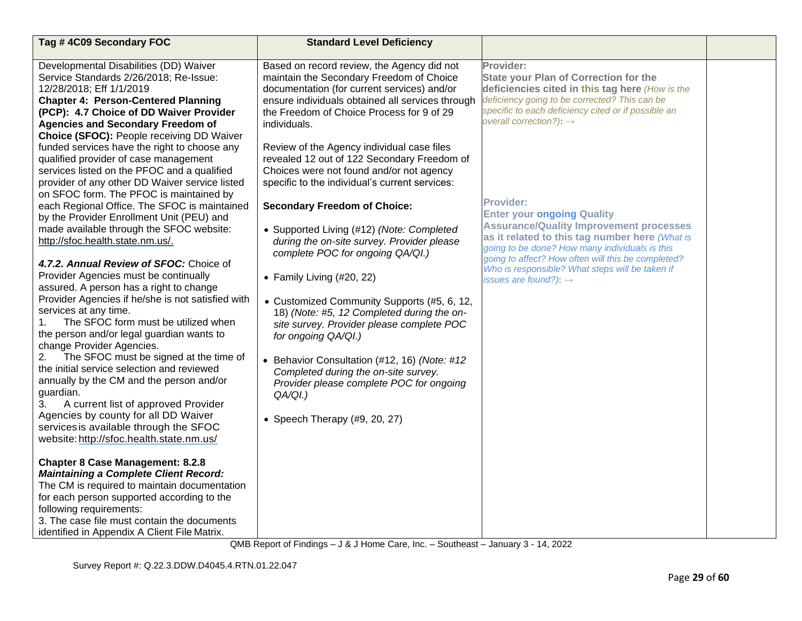| Tag #4C09 Secondary FOC                                                                                                                                                                                                                                                                                                        | <b>Standard Level Deficiency</b>                                                                                                                                                                                                                       |                                                                                                                                                                                                                                                                                                  |  |
|--------------------------------------------------------------------------------------------------------------------------------------------------------------------------------------------------------------------------------------------------------------------------------------------------------------------------------|--------------------------------------------------------------------------------------------------------------------------------------------------------------------------------------------------------------------------------------------------------|--------------------------------------------------------------------------------------------------------------------------------------------------------------------------------------------------------------------------------------------------------------------------------------------------|--|
| Developmental Disabilities (DD) Waiver<br>Service Standards 2/26/2018; Re-Issue:<br>12/28/2018; Eff 1/1/2019<br><b>Chapter 4: Person-Centered Planning</b><br>(PCP): 4.7 Choice of DD Waiver Provider<br><b>Agencies and Secondary Freedom of</b><br>Choice (SFOC): People receiving DD Waiver                                 | Based on record review, the Agency did not<br>maintain the Secondary Freedom of Choice<br>documentation (for current services) and/or<br>ensure individuals obtained all services through<br>the Freedom of Choice Process for 9 of 29<br>individuals. | Provider:<br><b>State your Plan of Correction for the</b><br>deficiencies cited in this tag here (How is the<br>deficiency going to be corrected? This can be<br>specific to each deficiency cited or if possible an<br>overall correction?): $\rightarrow$                                      |  |
| funded services have the right to choose any<br>qualified provider of case management<br>services listed on the PFOC and a qualified<br>provider of any other DD Waiver service listed<br>on SFOC form. The PFOC is maintained by<br>each Regional Office. The SFOC is maintained                                              | Review of the Agency individual case files<br>revealed 12 out of 122 Secondary Freedom of<br>Choices were not found and/or not agency<br>specific to the individual's current services:<br><b>Secondary Freedom of Choice:</b>                         | <b>Provider:</b><br><b>Enter your ongoing Quality</b>                                                                                                                                                                                                                                            |  |
| by the Provider Enrollment Unit (PEU) and<br>made available through the SFOC website:<br>http://sfoc.health.state.nm.us/.<br>4.7.2. Annual Review of SFOC: Choice of<br>Provider Agencies must be continually                                                                                                                  | • Supported Living (#12) (Note: Completed<br>during the on-site survey. Provider please<br>complete POC for ongoing QA/QI.)<br>• Family Living $(\#20, 22)$                                                                                            | <b>Assurance/Quality Improvement processes</b><br>as it related to this tag number here (What is<br>going to be done? How many individuals is this<br>going to affect? How often will this be completed?<br>Who is responsible? What steps will be taken if<br>issues are found?): $\rightarrow$ |  |
| assured. A person has a right to change<br>Provider Agencies if he/she is not satisfied with<br>services at any time.<br>The SFOC form must be utilized when<br>the person and/or legal guardian wants to<br>change Provider Agencies.                                                                                         | • Customized Community Supports (#5, 6, 12,<br>18) (Note: #5, 12 Completed during the on-<br>site survey. Provider please complete POC<br>for ongoing QA/QI.)                                                                                          |                                                                                                                                                                                                                                                                                                  |  |
| The SFOC must be signed at the time of<br>2.<br>the initial service selection and reviewed<br>annually by the CM and the person and/or<br>guardian.<br>3.<br>A current list of approved Provider<br>Agencies by county for all DD Waiver<br>services is available through the SFOC<br>website: http://sfoc.health.state.nm.us/ | • Behavior Consultation (#12, 16) (Note: #12<br>Completed during the on-site survey.<br>Provider please complete POC for ongoing<br>$QA/QI.$ )<br>• Speech Therapy $(#9, 20, 27)$                                                                      |                                                                                                                                                                                                                                                                                                  |  |
| <b>Chapter 8 Case Management: 8.2.8</b><br><b>Maintaining a Complete Client Record:</b><br>The CM is required to maintain documentation<br>for each person supported according to the<br>following requirements:<br>3. The case file must contain the documents<br>identified in Appendix A Client File Matrix.                |                                                                                                                                                                                                                                                        |                                                                                                                                                                                                                                                                                                  |  |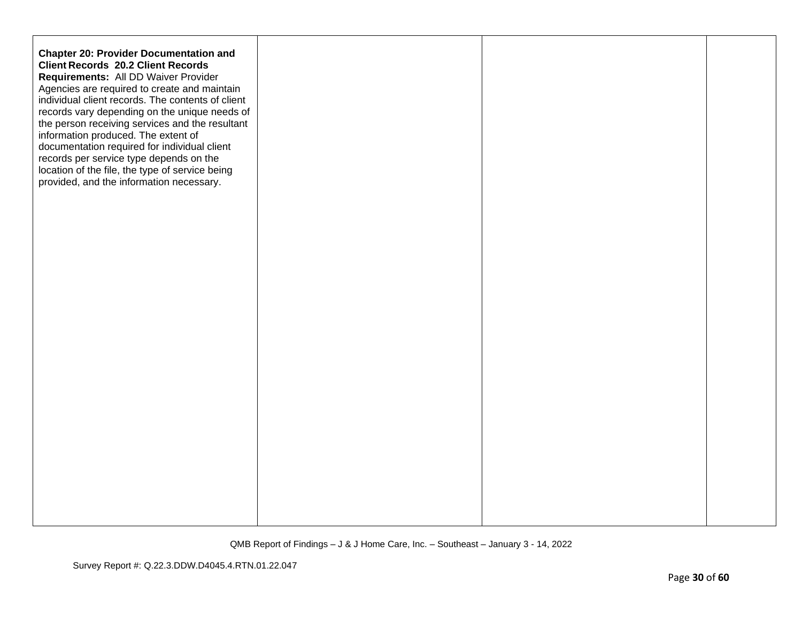| <b>Chapter 20: Provider Documentation and</b><br><b>Client Records 20.2 Client Records</b><br>Requirements: All DD Waiver Provider<br>Agencies are required to create and maintain<br>individual client records. The contents of client<br>records vary depending on the unique needs of<br>the person receiving services and the resultant<br>information produced. The extent of<br>documentation required for individual client<br>records per service type depends on the<br>location of the file, the type of service being<br>provided, and the information necessary. |  |  |
|------------------------------------------------------------------------------------------------------------------------------------------------------------------------------------------------------------------------------------------------------------------------------------------------------------------------------------------------------------------------------------------------------------------------------------------------------------------------------------------------------------------------------------------------------------------------------|--|--|
|                                                                                                                                                                                                                                                                                                                                                                                                                                                                                                                                                                              |  |  |
|                                                                                                                                                                                                                                                                                                                                                                                                                                                                                                                                                                              |  |  |
|                                                                                                                                                                                                                                                                                                                                                                                                                                                                                                                                                                              |  |  |
|                                                                                                                                                                                                                                                                                                                                                                                                                                                                                                                                                                              |  |  |
|                                                                                                                                                                                                                                                                                                                                                                                                                                                                                                                                                                              |  |  |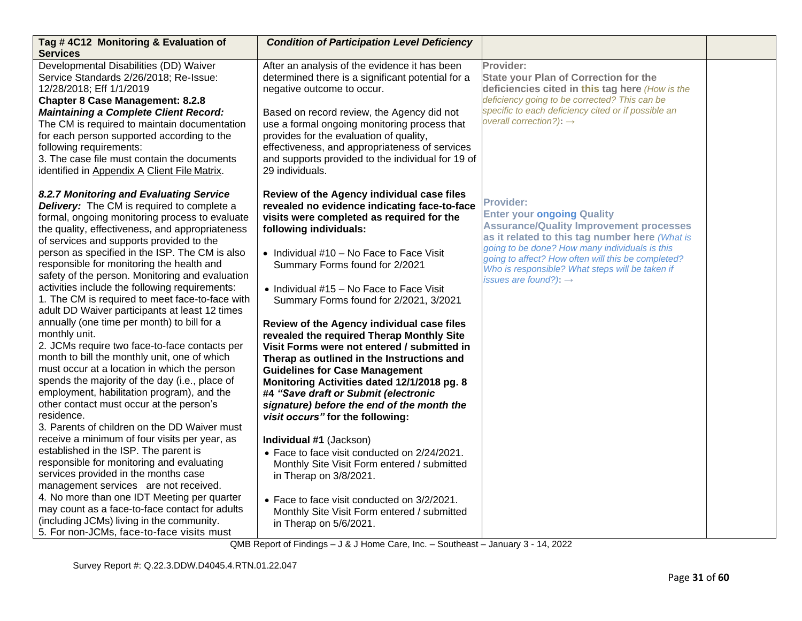| Tag #4C12 Monitoring & Evaluation of<br><b>Services</b>                                                                                                                                                                                                                                                                                                                                                                                                                                                                                                                                                                                                                                                                                                                                                                                                                                                                                                                                                                                                                                                                                                                                                                                                                                                                                                                                       | <b>Condition of Participation Level Deficiency</b>                                                                                                                                                                                                                                                                                                                                                                                                                                                                                                                                                                                                                                                                                                                                                                                                                                                                                                                                                                          |                                                                                                                                                                                                                                                                                                                                                           |  |
|-----------------------------------------------------------------------------------------------------------------------------------------------------------------------------------------------------------------------------------------------------------------------------------------------------------------------------------------------------------------------------------------------------------------------------------------------------------------------------------------------------------------------------------------------------------------------------------------------------------------------------------------------------------------------------------------------------------------------------------------------------------------------------------------------------------------------------------------------------------------------------------------------------------------------------------------------------------------------------------------------------------------------------------------------------------------------------------------------------------------------------------------------------------------------------------------------------------------------------------------------------------------------------------------------------------------------------------------------------------------------------------------------|-----------------------------------------------------------------------------------------------------------------------------------------------------------------------------------------------------------------------------------------------------------------------------------------------------------------------------------------------------------------------------------------------------------------------------------------------------------------------------------------------------------------------------------------------------------------------------------------------------------------------------------------------------------------------------------------------------------------------------------------------------------------------------------------------------------------------------------------------------------------------------------------------------------------------------------------------------------------------------------------------------------------------------|-----------------------------------------------------------------------------------------------------------------------------------------------------------------------------------------------------------------------------------------------------------------------------------------------------------------------------------------------------------|--|
| Developmental Disabilities (DD) Waiver<br>Service Standards 2/26/2018; Re-Issue:<br>12/28/2018; Eff 1/1/2019<br><b>Chapter 8 Case Management: 8.2.8</b><br><b>Maintaining a Complete Client Record:</b><br>The CM is required to maintain documentation<br>for each person supported according to the<br>following requirements:<br>3. The case file must contain the documents<br>identified in Appendix A Client File Matrix.                                                                                                                                                                                                                                                                                                                                                                                                                                                                                                                                                                                                                                                                                                                                                                                                                                                                                                                                                               | After an analysis of the evidence it has been<br>determined there is a significant potential for a<br>negative outcome to occur.<br>Based on record review, the Agency did not<br>use a formal ongoing monitoring process that<br>provides for the evaluation of quality,<br>effectiveness, and appropriateness of services<br>and supports provided to the individual for 19 of<br>29 individuals.                                                                                                                                                                                                                                                                                                                                                                                                                                                                                                                                                                                                                         | Provider:<br><b>State your Plan of Correction for the</b><br>deficiencies cited in this tag here (How is the<br>deficiency going to be corrected? This can be<br>specific to each deficiency cited or if possible an<br>overall correction?): $\rightarrow$                                                                                               |  |
| 8.2.7 Monitoring and Evaluating Service<br>Delivery: The CM is required to complete a<br>formal, ongoing monitoring process to evaluate<br>the quality, effectiveness, and appropriateness<br>of services and supports provided to the<br>person as specified in the ISP. The CM is also<br>responsible for monitoring the health and<br>safety of the person. Monitoring and evaluation<br>activities include the following requirements:<br>1. The CM is required to meet face-to-face with<br>adult DD Waiver participants at least 12 times<br>annually (one time per month) to bill for a<br>monthly unit.<br>2. JCMs require two face-to-face contacts per<br>month to bill the monthly unit, one of which<br>must occur at a location in which the person<br>spends the majority of the day (i.e., place of<br>employment, habilitation program), and the<br>other contact must occur at the person's<br>residence.<br>3. Parents of children on the DD Waiver must<br>receive a minimum of four visits per year, as<br>established in the ISP. The parent is<br>responsible for monitoring and evaluating<br>services provided in the months case<br>management services are not received.<br>4. No more than one IDT Meeting per quarter<br>may count as a face-to-face contact for adults<br>(including JCMs) living in the community.<br>5. For non-JCMs, face-to-face visits must | Review of the Agency individual case files<br>revealed no evidence indicating face-to-face<br>visits were completed as required for the<br>following individuals:<br>• Individual #10 - No Face to Face Visit<br>Summary Forms found for 2/2021<br>• Individual #15 - No Face to Face Visit<br>Summary Forms found for 2/2021, 3/2021<br>Review of the Agency individual case files<br>revealed the required Therap Monthly Site<br>Visit Forms were not entered / submitted in<br>Therap as outlined in the Instructions and<br><b>Guidelines for Case Management</b><br>Monitoring Activities dated 12/1/2018 pg. 8<br>#4 "Save draft or Submit (electronic<br>signature) before the end of the month the<br>visit occurs" for the following:<br>Individual #1 (Jackson)<br>• Face to face visit conducted on 2/24/2021.<br>Monthly Site Visit Form entered / submitted<br>in Therap on 3/8/2021.<br>• Face to face visit conducted on 3/2/2021.<br>Monthly Site Visit Form entered / submitted<br>in Therap on 5/6/2021. | <b>Provider:</b><br><b>Enter your ongoing Quality</b><br><b>Assurance/Quality Improvement processes</b><br>as it related to this tag number here (What is<br>going to be done? How many individuals is this<br>going to affect? How often will this be completed?<br>Who is responsible? What steps will be taken if<br>issues are found?): $\rightarrow$ |  |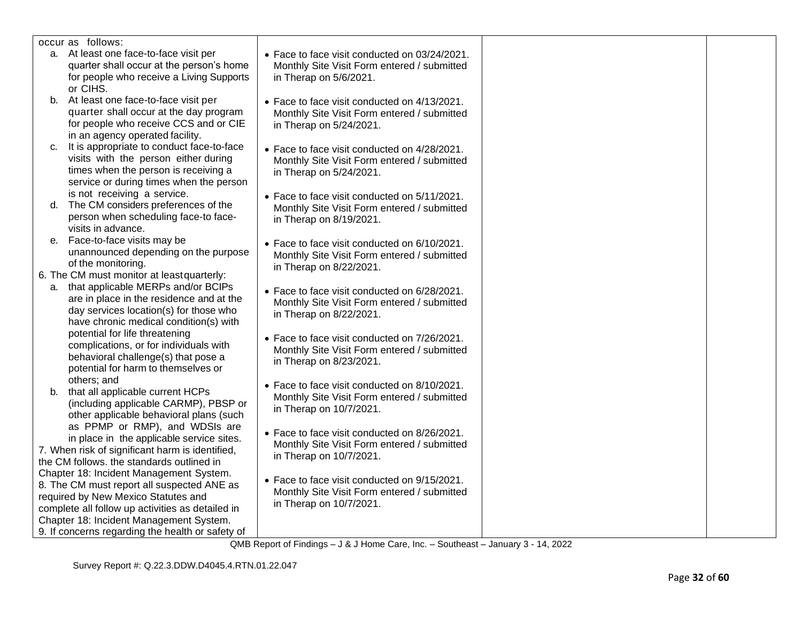| occur as follows:                                |                                               |  |
|--------------------------------------------------|-----------------------------------------------|--|
| a. At least one face-to-face visit per           | • Face to face visit conducted on 03/24/2021. |  |
| quarter shall occur at the person's home         | Monthly Site Visit Form entered / submitted   |  |
| for people who receive a Living Supports         | in Therap on 5/6/2021.                        |  |
| or CIHS.                                         |                                               |  |
| At least one face-to-face visit per<br>b.        | • Face to face visit conducted on 4/13/2021.  |  |
| quarter shall occur at the day program           | Monthly Site Visit Form entered / submitted   |  |
| for people who receive CCS and or CIE            | in Therap on 5/24/2021.                       |  |
| in an agency operated facility.                  |                                               |  |
| It is appropriate to conduct face-to-face<br>C.  | • Face to face visit conducted on 4/28/2021.  |  |
| visits with the person either during             | Monthly Site Visit Form entered / submitted   |  |
| times when the person is receiving a             | in Therap on 5/24/2021.                       |  |
| service or during times when the person          |                                               |  |
| is not receiving a service.                      | • Face to face visit conducted on 5/11/2021.  |  |
| The CM considers preferences of the<br>d.        | Monthly Site Visit Form entered / submitted   |  |
| person when scheduling face-to face-             | in Therap on 8/19/2021.                       |  |
| visits in advance.                               |                                               |  |
| Face-to-face visits may be<br>е.                 | • Face to face visit conducted on 6/10/2021.  |  |
| unannounced depending on the purpose             | Monthly Site Visit Form entered / submitted   |  |
| of the monitoring.                               | in Therap on 8/22/2021.                       |  |
| 6. The CM must monitor at least quarterly:       |                                               |  |
| that applicable MERPs and/or BCIPs<br>а.         | • Face to face visit conducted on 6/28/2021.  |  |
| are in place in the residence and at the         | Monthly Site Visit Form entered / submitted   |  |
| day services location(s) for those who           | in Therap on 8/22/2021.                       |  |
| have chronic medical condition(s) with           |                                               |  |
| potential for life threatening                   | • Face to face visit conducted on 7/26/2021.  |  |
| complications, or for individuals with           | Monthly Site Visit Form entered / submitted   |  |
| behavioral challenge(s) that pose a              | in Therap on 8/23/2021.                       |  |
| potential for harm to themselves or              |                                               |  |
| others; and                                      |                                               |  |
| that all applicable current HCPs<br>b.           | • Face to face visit conducted on 8/10/2021.  |  |
| (including applicable CARMP), PBSP or            | Monthly Site Visit Form entered / submitted   |  |
| other applicable behavioral plans (such          | in Therap on 10/7/2021.                       |  |
| as PPMP or RMP), and WDSIs are                   |                                               |  |
| in place in the applicable service sites.        | • Face to face visit conducted on 8/26/2021.  |  |
| 7. When risk of significant harm is identified,  | Monthly Site Visit Form entered / submitted   |  |
| the CM follows. the standards outlined in        | in Therap on 10/7/2021.                       |  |
| Chapter 18: Incident Management System.          |                                               |  |
| 8. The CM must report all suspected ANE as       | • Face to face visit conducted on 9/15/2021.  |  |
| required by New Mexico Statutes and              | Monthly Site Visit Form entered / submitted   |  |
| complete all follow up activities as detailed in | in Therap on 10/7/2021.                       |  |
| Chapter 18: Incident Management System.          |                                               |  |
| 9. If concerns regarding the health or safety of |                                               |  |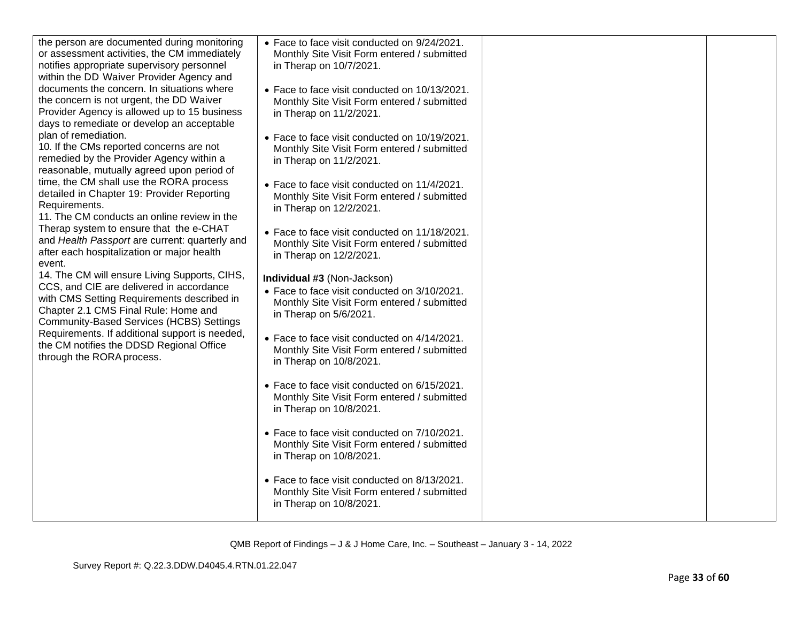| the person are documented during monitoring<br>or assessment activities, the CM immediately<br>notifies appropriate supervisory personnel<br>within the DD Waiver Provider Agency and<br>documents the concern. In situations where<br>the concern is not urgent, the DD Waiver<br>Provider Agency is allowed up to 15 business<br>days to remediate or develop an acceptable<br>plan of remediation.<br>10. If the CMs reported concerns are not<br>remedied by the Provider Agency within a<br>reasonable, mutually agreed upon period of<br>time, the CM shall use the RORA process<br>detailed in Chapter 19: Provider Reporting<br>Requirements.<br>11. The CM conducts an online review in the<br>Therap system to ensure that the e-CHAT<br>and Health Passport are current: quarterly and<br>after each hospitalization or major health<br>event.<br>14. The CM will ensure Living Supports, CIHS,<br>CCS, and CIE are delivered in accordance<br>with CMS Setting Requirements described in<br>Chapter 2.1 CMS Final Rule: Home and<br>Community-Based Services (HCBS) Settings<br>Requirements. If additional support is needed,<br>the CM notifies the DDSD Regional Office<br>through the RORA process. | • Face to face visit conducted on 9/24/2021.<br>Monthly Site Visit Form entered / submitted<br>in Therap on 10/7/2021.<br>• Face to face visit conducted on 10/13/2021.<br>Monthly Site Visit Form entered / submitted<br>in Therap on 11/2/2021.<br>• Face to face visit conducted on 10/19/2021.<br>Monthly Site Visit Form entered / submitted<br>in Therap on 11/2/2021.<br>• Face to face visit conducted on 11/4/2021.<br>Monthly Site Visit Form entered / submitted<br>in Therap on 12/2/2021.<br>• Face to face visit conducted on 11/18/2021.<br>Monthly Site Visit Form entered / submitted<br>in Therap on 12/2/2021.<br>Individual #3 (Non-Jackson)<br>• Face to face visit conducted on 3/10/2021.<br>Monthly Site Visit Form entered / submitted<br>in Therap on 5/6/2021.<br>• Face to face visit conducted on 4/14/2021.<br>Monthly Site Visit Form entered / submitted<br>in Therap on 10/8/2021.<br>• Face to face visit conducted on 6/15/2021.<br>Monthly Site Visit Form entered / submitted<br>in Therap on 10/8/2021.<br>• Face to face visit conducted on 7/10/2021.<br>Monthly Site Visit Form entered / submitted<br>in Therap on 10/8/2021.<br>• Face to face visit conducted on 8/13/2021.<br>Monthly Site Visit Form entered / submitted<br>in Therap on 10/8/2021. |  |
|---------------------------------------------------------------------------------------------------------------------------------------------------------------------------------------------------------------------------------------------------------------------------------------------------------------------------------------------------------------------------------------------------------------------------------------------------------------------------------------------------------------------------------------------------------------------------------------------------------------------------------------------------------------------------------------------------------------------------------------------------------------------------------------------------------------------------------------------------------------------------------------------------------------------------------------------------------------------------------------------------------------------------------------------------------------------------------------------------------------------------------------------------------------------------------------------------------------------|---------------------------------------------------------------------------------------------------------------------------------------------------------------------------------------------------------------------------------------------------------------------------------------------------------------------------------------------------------------------------------------------------------------------------------------------------------------------------------------------------------------------------------------------------------------------------------------------------------------------------------------------------------------------------------------------------------------------------------------------------------------------------------------------------------------------------------------------------------------------------------------------------------------------------------------------------------------------------------------------------------------------------------------------------------------------------------------------------------------------------------------------------------------------------------------------------------------------------------------------------------------------------------------------------|--|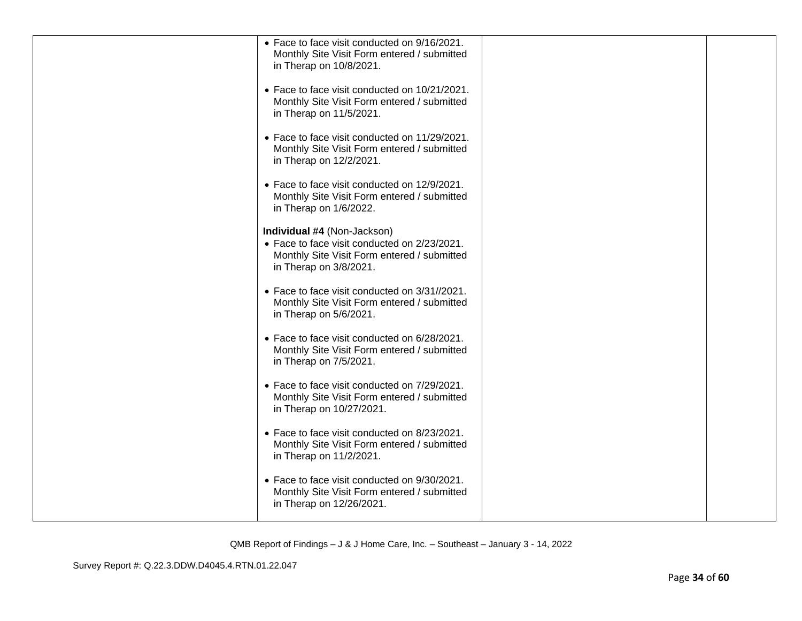| • Face to face visit conducted on 9/16/2021.<br>Monthly Site Visit Form entered / submitted<br>in Therap on 10/8/2021.                               |  |
|------------------------------------------------------------------------------------------------------------------------------------------------------|--|
| • Face to face visit conducted on 10/21/2021.<br>Monthly Site Visit Form entered / submitted<br>in Therap on 11/5/2021.                              |  |
| • Face to face visit conducted on 11/29/2021.<br>Monthly Site Visit Form entered / submitted<br>in Therap on 12/2/2021.                              |  |
| • Face to face visit conducted on 12/9/2021.<br>Monthly Site Visit Form entered / submitted<br>in Therap on 1/6/2022.                                |  |
| Individual #4 (Non-Jackson)<br>• Face to face visit conducted on 2/23/2021.<br>Monthly Site Visit Form entered / submitted<br>in Therap on 3/8/2021. |  |
| • Face to face visit conducted on 3/31//2021.<br>Monthly Site Visit Form entered / submitted<br>in Therap on 5/6/2021.                               |  |
| • Face to face visit conducted on 6/28/2021.<br>Monthly Site Visit Form entered / submitted<br>in Therap on 7/5/2021.                                |  |
| • Face to face visit conducted on 7/29/2021.<br>Monthly Site Visit Form entered / submitted<br>in Therap on 10/27/2021.                              |  |
| • Face to face visit conducted on 8/23/2021.<br>Monthly Site Visit Form entered / submitted<br>in Therap on 11/2/2021.                               |  |
| • Face to face visit conducted on 9/30/2021.<br>Monthly Site Visit Form entered / submitted<br>in Therap on 12/26/2021.                              |  |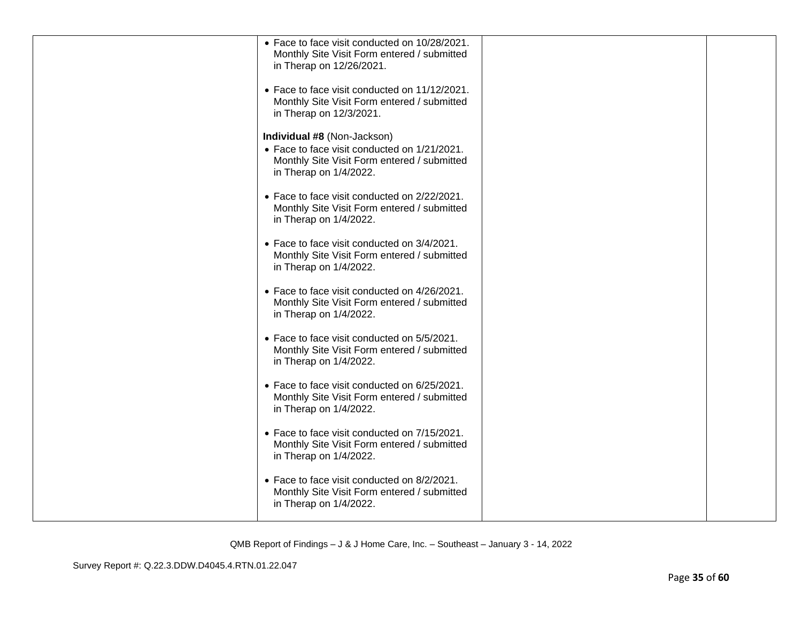| • Face to face visit conducted on 10/28/2021.<br>Monthly Site Visit Form entered / submitted<br>in Therap on 12/26/2021.                             |  |
|------------------------------------------------------------------------------------------------------------------------------------------------------|--|
| • Face to face visit conducted on 11/12/2021.<br>Monthly Site Visit Form entered / submitted<br>in Therap on 12/3/2021.                              |  |
| Individual #8 (Non-Jackson)<br>• Face to face visit conducted on 1/21/2021.<br>Monthly Site Visit Form entered / submitted<br>in Therap on 1/4/2022. |  |
| • Face to face visit conducted on 2/22/2021.<br>Monthly Site Visit Form entered / submitted<br>in Therap on 1/4/2022.                                |  |
| • Face to face visit conducted on 3/4/2021.<br>Monthly Site Visit Form entered / submitted<br>in Therap on 1/4/2022.                                 |  |
| • Face to face visit conducted on 4/26/2021.<br>Monthly Site Visit Form entered / submitted<br>in Therap on 1/4/2022.                                |  |
| • Face to face visit conducted on 5/5/2021.<br>Monthly Site Visit Form entered / submitted<br>in Therap on 1/4/2022.                                 |  |
| • Face to face visit conducted on 6/25/2021.<br>Monthly Site Visit Form entered / submitted<br>in Therap on 1/4/2022.                                |  |
| • Face to face visit conducted on 7/15/2021.<br>Monthly Site Visit Form entered / submitted<br>in Therap on 1/4/2022.                                |  |
| • Face to face visit conducted on 8/2/2021.<br>Monthly Site Visit Form entered / submitted<br>in Therap on 1/4/2022.                                 |  |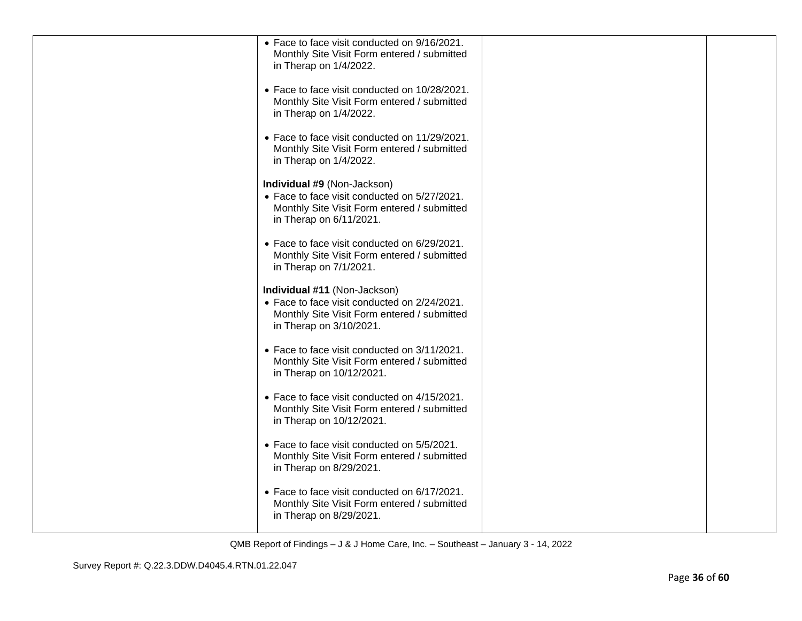| • Face to face visit conducted on 9/16/2021.<br>Monthly Site Visit Form entered / submitted<br>in Therap on 1/4/2022.                                  |  |
|--------------------------------------------------------------------------------------------------------------------------------------------------------|--|
| • Face to face visit conducted on 10/28/2021.<br>Monthly Site Visit Form entered / submitted<br>in Therap on 1/4/2022.                                 |  |
| • Face to face visit conducted on 11/29/2021.<br>Monthly Site Visit Form entered / submitted<br>in Therap on 1/4/2022.                                 |  |
| Individual #9 (Non-Jackson)<br>• Face to face visit conducted on 5/27/2021.<br>Monthly Site Visit Form entered / submitted<br>in Therap on 6/11/2021.  |  |
| • Face to face visit conducted on 6/29/2021.<br>Monthly Site Visit Form entered / submitted<br>in Therap on 7/1/2021.                                  |  |
| Individual #11 (Non-Jackson)<br>• Face to face visit conducted on 2/24/2021.<br>Monthly Site Visit Form entered / submitted<br>in Therap on 3/10/2021. |  |
| • Face to face visit conducted on 3/11/2021.<br>Monthly Site Visit Form entered / submitted<br>in Therap on 10/12/2021.                                |  |
| • Face to face visit conducted on 4/15/2021.<br>Monthly Site Visit Form entered / submitted<br>in Therap on 10/12/2021.                                |  |
| • Face to face visit conducted on 5/5/2021.<br>Monthly Site Visit Form entered / submitted<br>in Therap on 8/29/2021.                                  |  |
| • Face to face visit conducted on 6/17/2021.<br>Monthly Site Visit Form entered / submitted<br>in Therap on 8/29/2021.                                 |  |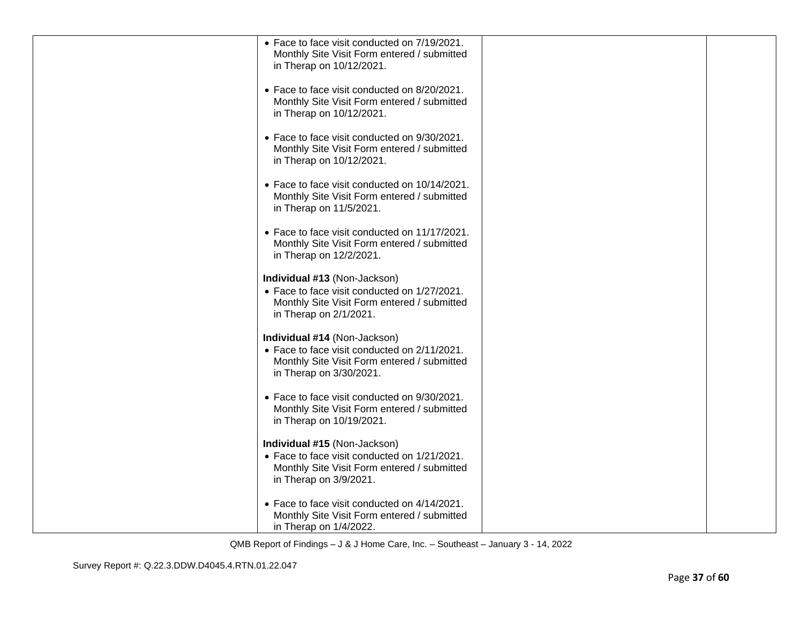| • Face to face visit conducted on 7/19/2021.<br>Monthly Site Visit Form entered / submitted<br>in Therap on 10/12/2021.                                |  |
|--------------------------------------------------------------------------------------------------------------------------------------------------------|--|
| • Face to face visit conducted on 8/20/2021.<br>Monthly Site Visit Form entered / submitted<br>in Therap on 10/12/2021.                                |  |
| • Face to face visit conducted on 9/30/2021.<br>Monthly Site Visit Form entered / submitted<br>in Therap on 10/12/2021.                                |  |
| • Face to face visit conducted on 10/14/2021.<br>Monthly Site Visit Form entered / submitted<br>in Therap on 11/5/2021.                                |  |
| • Face to face visit conducted on 11/17/2021.<br>Monthly Site Visit Form entered / submitted<br>in Therap on 12/2/2021.                                |  |
| Individual #13 (Non-Jackson)<br>• Face to face visit conducted on 1/27/2021.<br>Monthly Site Visit Form entered / submitted<br>in Therap on 2/1/2021.  |  |
| Individual #14 (Non-Jackson)<br>• Face to face visit conducted on 2/11/2021.<br>Monthly Site Visit Form entered / submitted<br>in Therap on 3/30/2021. |  |
| • Face to face visit conducted on 9/30/2021.<br>Monthly Site Visit Form entered / submitted<br>in Therap on 10/19/2021.                                |  |
| Individual #15 (Non-Jackson)<br>• Face to face visit conducted on 1/21/2021.<br>Monthly Site Visit Form entered / submitted<br>in Therap on 3/9/2021.  |  |
| • Face to face visit conducted on 4/14/2021.<br>Monthly Site Visit Form entered / submitted<br>in Therap on 1/4/2022.                                  |  |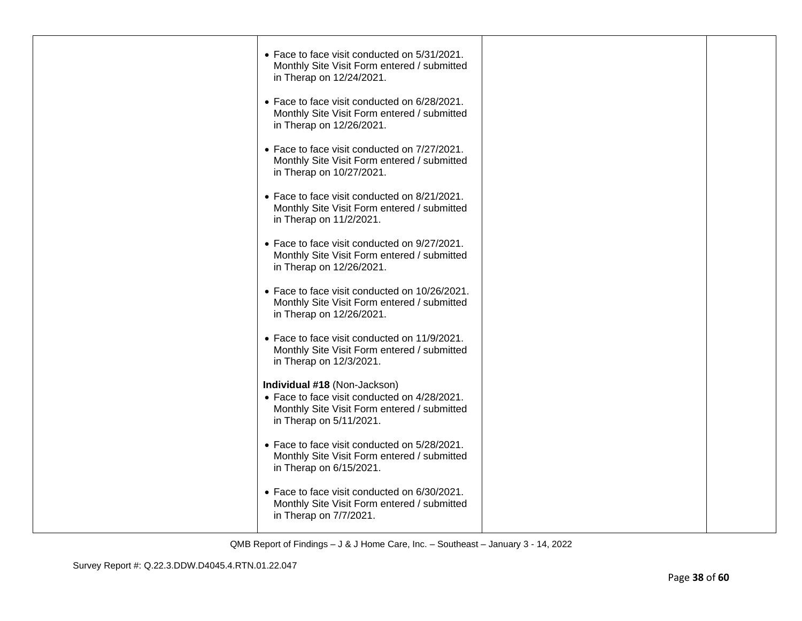| • Face to face visit conducted on 5/31/2021.<br>Monthly Site Visit Form entered / submitted<br>in Therap on 12/24/2021.                                |  |
|--------------------------------------------------------------------------------------------------------------------------------------------------------|--|
| • Face to face visit conducted on 6/28/2021.<br>Monthly Site Visit Form entered / submitted<br>in Therap on 12/26/2021.                                |  |
| • Face to face visit conducted on 7/27/2021.<br>Monthly Site Visit Form entered / submitted<br>in Therap on 10/27/2021.                                |  |
| • Face to face visit conducted on 8/21/2021.<br>Monthly Site Visit Form entered / submitted<br>in Therap on 11/2/2021.                                 |  |
| • Face to face visit conducted on 9/27/2021.<br>Monthly Site Visit Form entered / submitted<br>in Therap on 12/26/2021.                                |  |
| • Face to face visit conducted on 10/26/2021.<br>Monthly Site Visit Form entered / submitted<br>in Therap on 12/26/2021.                               |  |
| • Face to face visit conducted on 11/9/2021.<br>Monthly Site Visit Form entered / submitted<br>in Therap on 12/3/2021.                                 |  |
| Individual #18 (Non-Jackson)<br>• Face to face visit conducted on 4/28/2021.<br>Monthly Site Visit Form entered / submitted<br>in Therap on 5/11/2021. |  |
| • Face to face visit conducted on 5/28/2021.<br>Monthly Site Visit Form entered / submitted<br>in Therap on 6/15/2021.                                 |  |
| • Face to face visit conducted on 6/30/2021.<br>Monthly Site Visit Form entered / submitted<br>in Therap on 7/7/2021.                                  |  |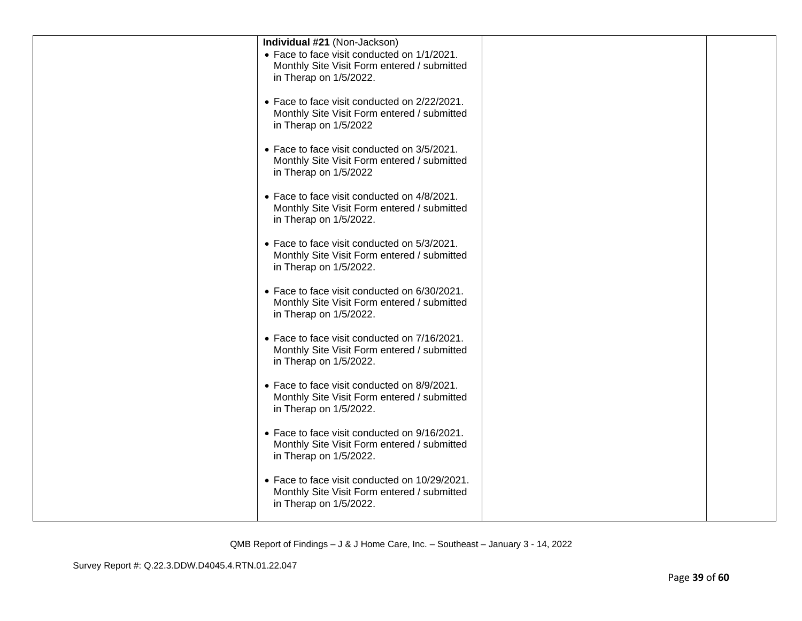| Individual #21 (Non-Jackson)                  |  |
|-----------------------------------------------|--|
| • Face to face visit conducted on 1/1/2021.   |  |
| Monthly Site Visit Form entered / submitted   |  |
|                                               |  |
| in Therap on 1/5/2022.                        |  |
|                                               |  |
| • Face to face visit conducted on 2/22/2021.  |  |
| Monthly Site Visit Form entered / submitted   |  |
| in Therap on 1/5/2022                         |  |
|                                               |  |
| • Face to face visit conducted on 3/5/2021.   |  |
| Monthly Site Visit Form entered / submitted   |  |
| in Therap on 1/5/2022                         |  |
|                                               |  |
| • Face to face visit conducted on 4/8/2021.   |  |
| Monthly Site Visit Form entered / submitted   |  |
|                                               |  |
| in Therap on 1/5/2022.                        |  |
|                                               |  |
| • Face to face visit conducted on 5/3/2021.   |  |
| Monthly Site Visit Form entered / submitted   |  |
| in Therap on 1/5/2022.                        |  |
|                                               |  |
| • Face to face visit conducted on 6/30/2021.  |  |
| Monthly Site Visit Form entered / submitted   |  |
| in Therap on 1/5/2022.                        |  |
|                                               |  |
| • Face to face visit conducted on 7/16/2021.  |  |
| Monthly Site Visit Form entered / submitted   |  |
| in Therap on 1/5/2022.                        |  |
|                                               |  |
| • Face to face visit conducted on 8/9/2021.   |  |
| Monthly Site Visit Form entered / submitted   |  |
|                                               |  |
| in Therap on 1/5/2022.                        |  |
|                                               |  |
| • Face to face visit conducted on 9/16/2021.  |  |
| Monthly Site Visit Form entered / submitted   |  |
| in Therap on 1/5/2022.                        |  |
|                                               |  |
| • Face to face visit conducted on 10/29/2021. |  |
| Monthly Site Visit Form entered / submitted   |  |
| in Therap on 1/5/2022.                        |  |
|                                               |  |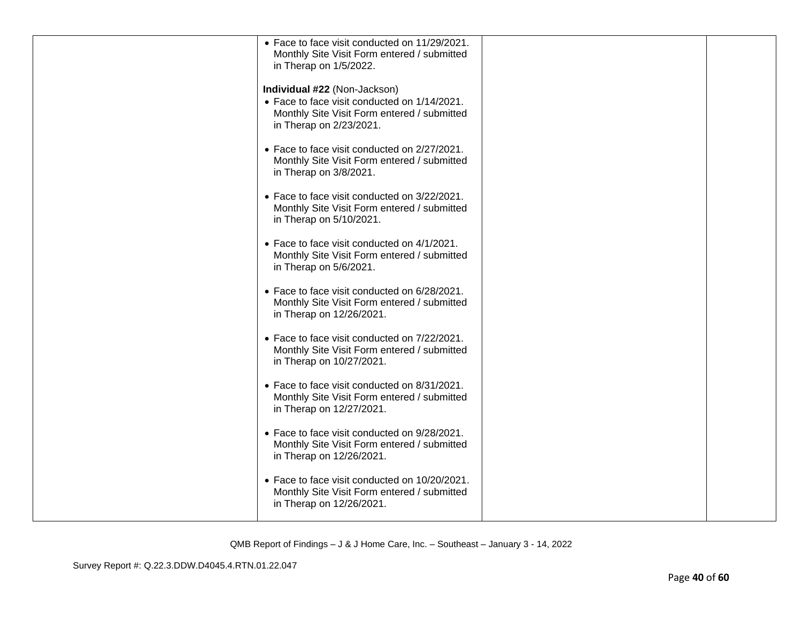| • Face to face visit conducted on 11/29/2021.<br>Monthly Site Visit Form entered / submitted<br>in Therap on 1/5/2022.                                 |  |
|--------------------------------------------------------------------------------------------------------------------------------------------------------|--|
| Individual #22 (Non-Jackson)<br>• Face to face visit conducted on 1/14/2021.<br>Monthly Site Visit Form entered / submitted<br>in Therap on 2/23/2021. |  |
| • Face to face visit conducted on 2/27/2021.<br>Monthly Site Visit Form entered / submitted<br>in Therap on 3/8/2021.                                  |  |
| • Face to face visit conducted on 3/22/2021.<br>Monthly Site Visit Form entered / submitted<br>in Therap on 5/10/2021.                                 |  |
| • Face to face visit conducted on 4/1/2021.<br>Monthly Site Visit Form entered / submitted<br>in Therap on 5/6/2021.                                   |  |
| • Face to face visit conducted on 6/28/2021.<br>Monthly Site Visit Form entered / submitted<br>in Therap on 12/26/2021.                                |  |
| • Face to face visit conducted on 7/22/2021.<br>Monthly Site Visit Form entered / submitted<br>in Therap on 10/27/2021.                                |  |
| • Face to face visit conducted on 8/31/2021.<br>Monthly Site Visit Form entered / submitted<br>in Therap on 12/27/2021.                                |  |
| • Face to face visit conducted on 9/28/2021.<br>Monthly Site Visit Form entered / submitted<br>in Therap on 12/26/2021.                                |  |
| • Face to face visit conducted on 10/20/2021.<br>Monthly Site Visit Form entered / submitted<br>in Therap on 12/26/2021.                               |  |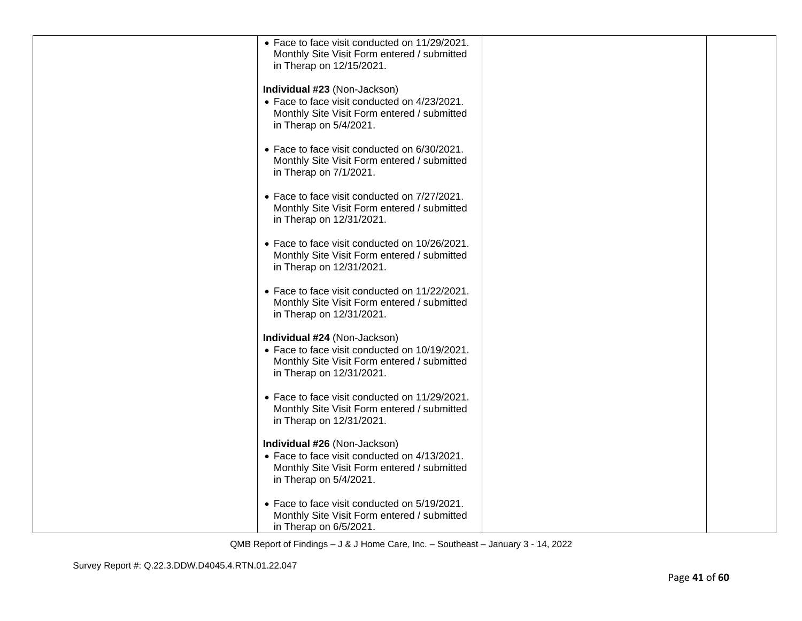| • Face to face visit conducted on 11/29/2021.<br>Monthly Site Visit Form entered / submitted<br>in Therap on 12/15/2021.                                 |  |
|----------------------------------------------------------------------------------------------------------------------------------------------------------|--|
| Individual #23 (Non-Jackson)<br>• Face to face visit conducted on 4/23/2021.<br>Monthly Site Visit Form entered / submitted<br>in Therap on 5/4/2021.    |  |
| • Face to face visit conducted on 6/30/2021.<br>Monthly Site Visit Form entered / submitted<br>in Therap on 7/1/2021.                                    |  |
| • Face to face visit conducted on 7/27/2021.<br>Monthly Site Visit Form entered / submitted<br>in Therap on 12/31/2021.                                  |  |
| • Face to face visit conducted on 10/26/2021.<br>Monthly Site Visit Form entered / submitted<br>in Therap on 12/31/2021.                                 |  |
| • Face to face visit conducted on 11/22/2021.<br>Monthly Site Visit Form entered / submitted<br>in Therap on 12/31/2021.                                 |  |
| Individual #24 (Non-Jackson)<br>• Face to face visit conducted on 10/19/2021.<br>Monthly Site Visit Form entered / submitted<br>in Therap on 12/31/2021. |  |
| • Face to face visit conducted on 11/29/2021.<br>Monthly Site Visit Form entered / submitted<br>in Therap on 12/31/2021.                                 |  |
| Individual #26 (Non-Jackson)<br>• Face to face visit conducted on 4/13/2021.<br>Monthly Site Visit Form entered / submitted<br>in Therap on 5/4/2021.    |  |
| • Face to face visit conducted on 5/19/2021.<br>Monthly Site Visit Form entered / submitted<br>in Therap on 6/5/2021.                                    |  |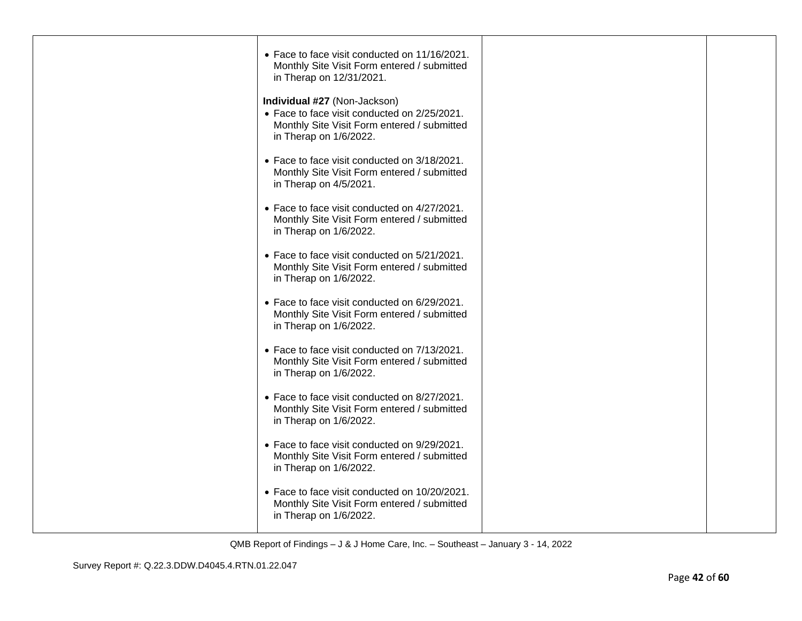| • Face to face visit conducted on 11/16/2021.<br>Monthly Site Visit Form entered / submitted<br>in Therap on 12/31/2021.                              |  |
|-------------------------------------------------------------------------------------------------------------------------------------------------------|--|
| Individual #27 (Non-Jackson)<br>• Face to face visit conducted on 2/25/2021.<br>Monthly Site Visit Form entered / submitted<br>in Therap on 1/6/2022. |  |
| • Face to face visit conducted on 3/18/2021.<br>Monthly Site Visit Form entered / submitted<br>in Therap on 4/5/2021.                                 |  |
| • Face to face visit conducted on 4/27/2021.<br>Monthly Site Visit Form entered / submitted<br>in Therap on 1/6/2022.                                 |  |
| • Face to face visit conducted on 5/21/2021.<br>Monthly Site Visit Form entered / submitted<br>in Therap on 1/6/2022.                                 |  |
| • Face to face visit conducted on 6/29/2021.<br>Monthly Site Visit Form entered / submitted<br>in Therap on 1/6/2022.                                 |  |
| • Face to face visit conducted on 7/13/2021.<br>Monthly Site Visit Form entered / submitted<br>in Therap on 1/6/2022.                                 |  |
| • Face to face visit conducted on 8/27/2021.<br>Monthly Site Visit Form entered / submitted<br>in Therap on 1/6/2022.                                 |  |
| • Face to face visit conducted on 9/29/2021.<br>Monthly Site Visit Form entered / submitted<br>in Therap on 1/6/2022.                                 |  |
| • Face to face visit conducted on 10/20/2021.<br>Monthly Site Visit Form entered / submitted<br>in Therap on 1/6/2022.                                |  |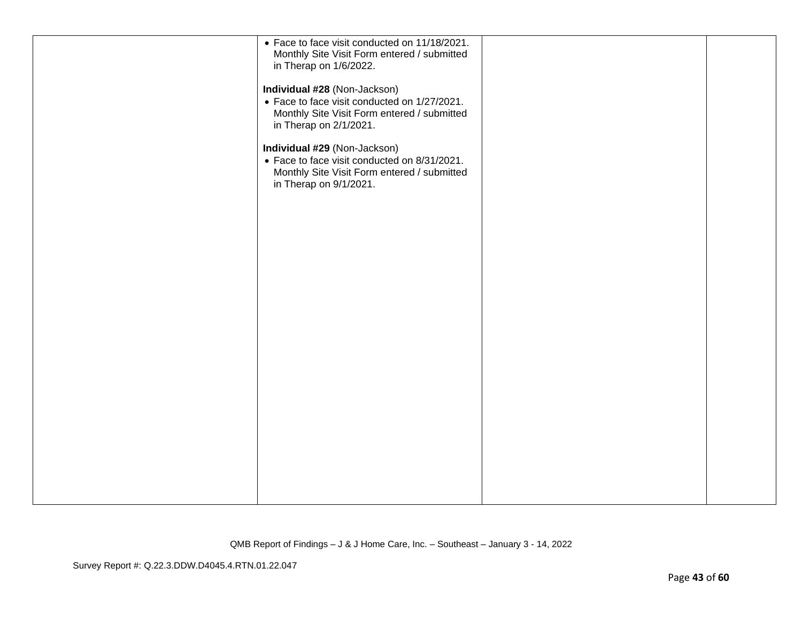| • Face to face visit conducted on 11/18/2021.<br>Monthly Site Visit Form entered / submitted<br>in Therap on 1/6/2022.                                |  |
|-------------------------------------------------------------------------------------------------------------------------------------------------------|--|
| Individual #28 (Non-Jackson)<br>• Face to face visit conducted on 1/27/2021.<br>Monthly Site Visit Form entered / submitted<br>in Therap on 2/1/2021. |  |
| Individual #29 (Non-Jackson)<br>• Face to face visit conducted on 8/31/2021.<br>Monthly Site Visit Form entered / submitted<br>in Therap on 9/1/2021. |  |
|                                                                                                                                                       |  |
|                                                                                                                                                       |  |
|                                                                                                                                                       |  |
|                                                                                                                                                       |  |
|                                                                                                                                                       |  |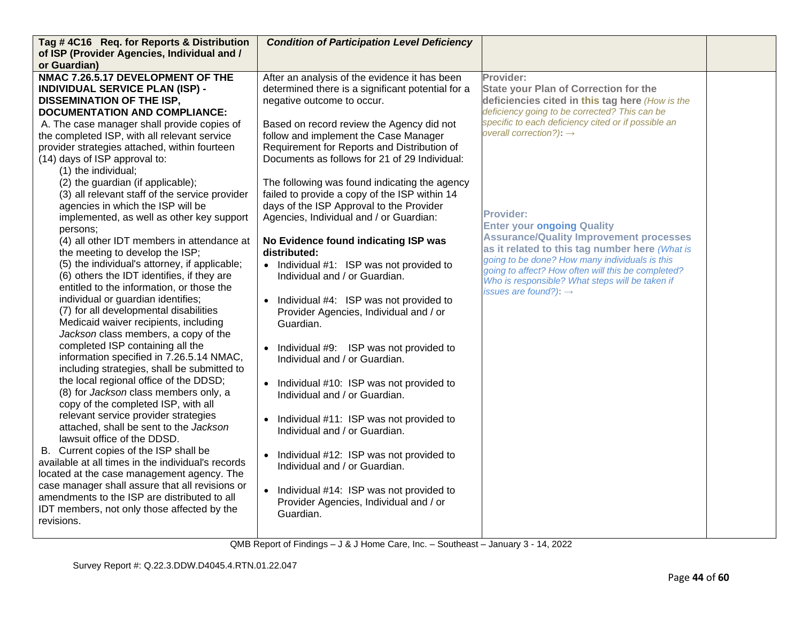| Tag #4C16 Req. for Reports & Distribution                                                     | <b>Condition of Participation Level Deficiency</b>   |                                                                                                  |  |
|-----------------------------------------------------------------------------------------------|------------------------------------------------------|--------------------------------------------------------------------------------------------------|--|
| of ISP (Provider Agencies, Individual and /<br>or Guardian)                                   |                                                      |                                                                                                  |  |
| NMAC 7.26.5.17 DEVELOPMENT OF THE                                                             | After an analysis of the evidence it has been        | Provider:                                                                                        |  |
| <b>INDIVIDUAL SERVICE PLAN (ISP) -</b>                                                        | determined there is a significant potential for a    | <b>State your Plan of Correction for the</b>                                                     |  |
|                                                                                               |                                                      |                                                                                                  |  |
| <b>DISSEMINATION OF THE ISP,</b>                                                              | negative outcome to occur.                           | deficiencies cited in this tag here (How is the<br>deficiency going to be corrected? This can be |  |
| <b>DOCUMENTATION AND COMPLIANCE:</b>                                                          |                                                      | specific to each deficiency cited or if possible an                                              |  |
| A. The case manager shall provide copies of                                                   | Based on record review the Agency did not            | overall correction?): $\rightarrow$                                                              |  |
| the completed ISP, with all relevant service                                                  | follow and implement the Case Manager                |                                                                                                  |  |
| provider strategies attached, within fourteen                                                 | Requirement for Reports and Distribution of          |                                                                                                  |  |
| (14) days of ISP approval to:                                                                 | Documents as follows for 21 of 29 Individual:        |                                                                                                  |  |
| (1) the individual;                                                                           |                                                      |                                                                                                  |  |
| (2) the guardian (if applicable);                                                             | The following was found indicating the agency        |                                                                                                  |  |
| (3) all relevant staff of the service provider                                                | failed to provide a copy of the ISP within 14        |                                                                                                  |  |
| agencies in which the ISP will be                                                             | days of the ISP Approval to the Provider             | <b>Provider:</b>                                                                                 |  |
| implemented, as well as other key support                                                     | Agencies, Individual and / or Guardian:              | <b>Enter your ongoing Quality</b>                                                                |  |
| persons:                                                                                      |                                                      | <b>Assurance/Quality Improvement processes</b>                                                   |  |
| (4) all other IDT members in attendance at                                                    | No Evidence found indicating ISP was                 | as it related to this tag number here (What is                                                   |  |
| the meeting to develop the ISP;                                                               | distributed:                                         | going to be done? How many individuals is this                                                   |  |
| (5) the individual's attorney, if applicable;                                                 | • Individual #1: ISP was not provided to             | going to affect? How often will this be completed?                                               |  |
| (6) others the IDT identifies, if they are                                                    | Individual and / or Guardian.                        | Who is responsible? What steps will be taken if                                                  |  |
| entitled to the information, or those the                                                     |                                                      | issues are found?): $\rightarrow$                                                                |  |
| individual or guardian identifies;                                                            | Individual #4: ISP was not provided to               |                                                                                                  |  |
| (7) for all developmental disabilities                                                        | Provider Agencies, Individual and / or               |                                                                                                  |  |
| Medicaid waiver recipients, including                                                         | Guardian.                                            |                                                                                                  |  |
| Jackson class members, a copy of the                                                          |                                                      |                                                                                                  |  |
| completed ISP containing all the                                                              | Individual #9: ISP was not provided to               |                                                                                                  |  |
| information specified in 7.26.5.14 NMAC,                                                      | Individual and / or Guardian.                        |                                                                                                  |  |
| including strategies, shall be submitted to<br>the local regional office of the DDSD;         |                                                      |                                                                                                  |  |
|                                                                                               | Individual #10: ISP was not provided to              |                                                                                                  |  |
| (8) for Jackson class members only, a                                                         | Individual and / or Guardian.                        |                                                                                                  |  |
| copy of the completed ISP, with all<br>relevant service provider strategies                   |                                                      |                                                                                                  |  |
| attached, shall be sent to the Jackson                                                        | Individual #11: ISP was not provided to<br>$\bullet$ |                                                                                                  |  |
| lawsuit office of the DDSD.                                                                   | Individual and / or Guardian.                        |                                                                                                  |  |
|                                                                                               |                                                      |                                                                                                  |  |
| B. Current copies of the ISP shall be<br>available at all times in the individual's records   | Individual #12: ISP was not provided to<br>$\bullet$ |                                                                                                  |  |
|                                                                                               | Individual and / or Guardian.                        |                                                                                                  |  |
| located at the case management agency. The<br>case manager shall assure that all revisions or |                                                      |                                                                                                  |  |
| amendments to the ISP are distributed to all                                                  | Individual #14: ISP was not provided to<br>$\bullet$ |                                                                                                  |  |
| IDT members, not only those affected by the                                                   | Provider Agencies, Individual and / or               |                                                                                                  |  |
| revisions.                                                                                    | Guardian.                                            |                                                                                                  |  |
|                                                                                               |                                                      |                                                                                                  |  |
|                                                                                               |                                                      |                                                                                                  |  |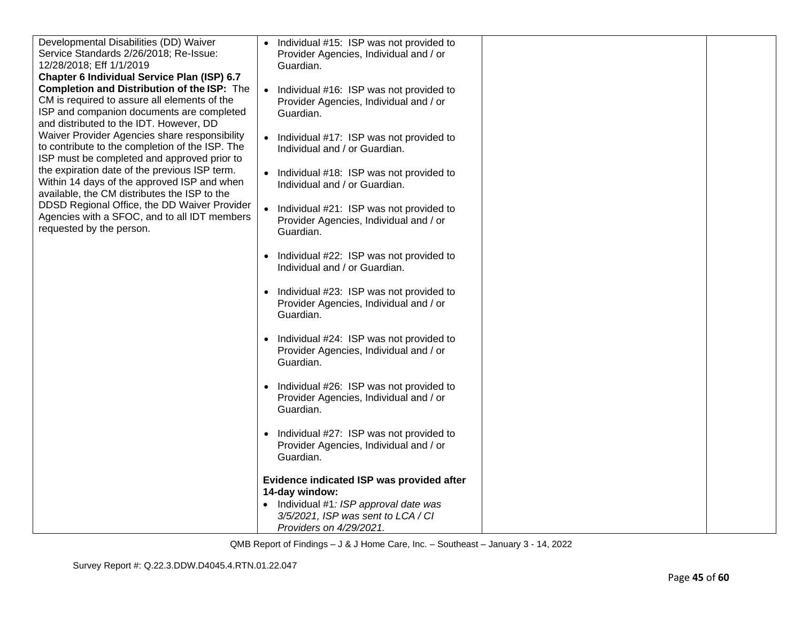| Developmental Disabilities (DD) Waiver<br>Service Standards 2/26/2018; Re-Issue:<br>12/28/2018; Eff 1/1/2019                                                                                                                                                                               | Individual #15: ISP was not provided to<br>$\bullet$<br>Provider Agencies, Individual and / or<br>Guardian. |  |
|--------------------------------------------------------------------------------------------------------------------------------------------------------------------------------------------------------------------------------------------------------------------------------------------|-------------------------------------------------------------------------------------------------------------|--|
| Chapter 6 Individual Service Plan (ISP) 6.7<br><b>Completion and Distribution of the ISP:</b> The<br>CM is required to assure all elements of the<br>ISP and companion documents are completed<br>and distributed to the IDT. However, DD<br>Waiver Provider Agencies share responsibility | Individual #16: ISP was not provided to<br>$\bullet$<br>Provider Agencies, Individual and / or<br>Guardian. |  |
| to contribute to the completion of the ISP. The<br>ISP must be completed and approved prior to                                                                                                                                                                                             | Individual #17: ISP was not provided to<br>$\bullet$<br>Individual and / or Guardian.                       |  |
| the expiration date of the previous ISP term.<br>Within 14 days of the approved ISP and when<br>available, the CM distributes the ISP to the                                                                                                                                               | • Individual #18: ISP was not provided to<br>Individual and / or Guardian.                                  |  |
| DDSD Regional Office, the DD Waiver Provider<br>Agencies with a SFOC, and to all IDT members<br>requested by the person.                                                                                                                                                                   | Individual #21: ISP was not provided to<br>$\bullet$<br>Provider Agencies, Individual and / or<br>Guardian. |  |
|                                                                                                                                                                                                                                                                                            | Individual #22: ISP was not provided to<br>$\bullet$<br>Individual and / or Guardian.                       |  |
|                                                                                                                                                                                                                                                                                            | • Individual #23: ISP was not provided to<br>Provider Agencies, Individual and / or<br>Guardian.            |  |
|                                                                                                                                                                                                                                                                                            | Individual #24: ISP was not provided to<br>$\bullet$<br>Provider Agencies, Individual and / or<br>Guardian. |  |
|                                                                                                                                                                                                                                                                                            | • Individual #26: ISP was not provided to<br>Provider Agencies, Individual and / or<br>Guardian.            |  |
|                                                                                                                                                                                                                                                                                            | Individual #27: ISP was not provided to<br>$\bullet$<br>Provider Agencies, Individual and / or<br>Guardian. |  |
|                                                                                                                                                                                                                                                                                            | Evidence indicated ISP was provided after<br>14-day window:<br>• Individual #1: ISP approval date was       |  |
|                                                                                                                                                                                                                                                                                            | 3/5/2021, ISP was sent to LCA / CI<br>Providers on 4/29/2021.                                               |  |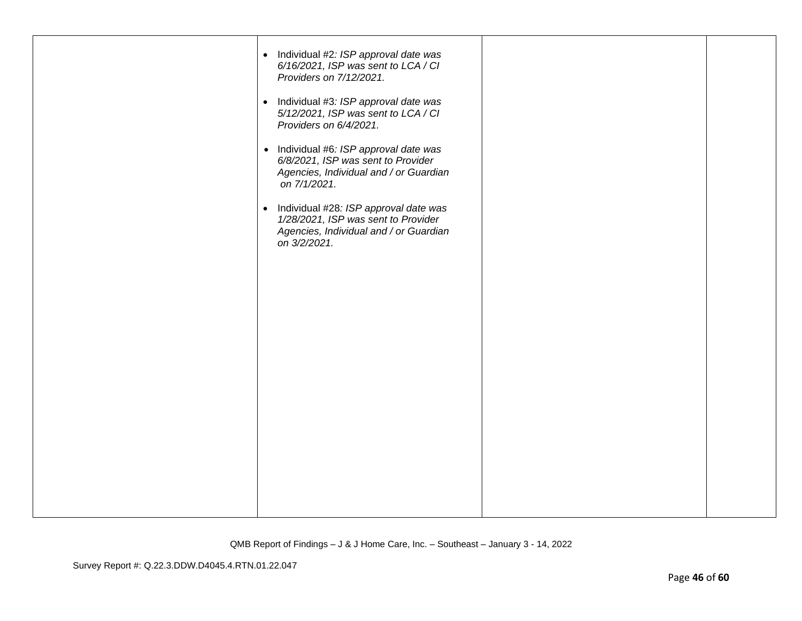| • Individual #2: ISP approval date was<br>6/16/2021, ISP was sent to LCA / CI<br>Providers on 7/12/2021.<br>• Individual #3: ISP approval date was<br>5/12/2021, ISP was sent to LCA / CI<br>Providers on 6/4/2021.<br>• Individual #6: ISP approval date was<br>6/8/2021, ISP was sent to Provider<br>Agencies, Individual and / or Guardian<br>on 7/1/2021.<br>• Individual #28: ISP approval date was<br>1/28/2021, ISP was sent to Provider<br>Agencies, Individual and / or Guardian |  |
|-------------------------------------------------------------------------------------------------------------------------------------------------------------------------------------------------------------------------------------------------------------------------------------------------------------------------------------------------------------------------------------------------------------------------------------------------------------------------------------------|--|
| on 3/2/2021.                                                                                                                                                                                                                                                                                                                                                                                                                                                                              |  |
|                                                                                                                                                                                                                                                                                                                                                                                                                                                                                           |  |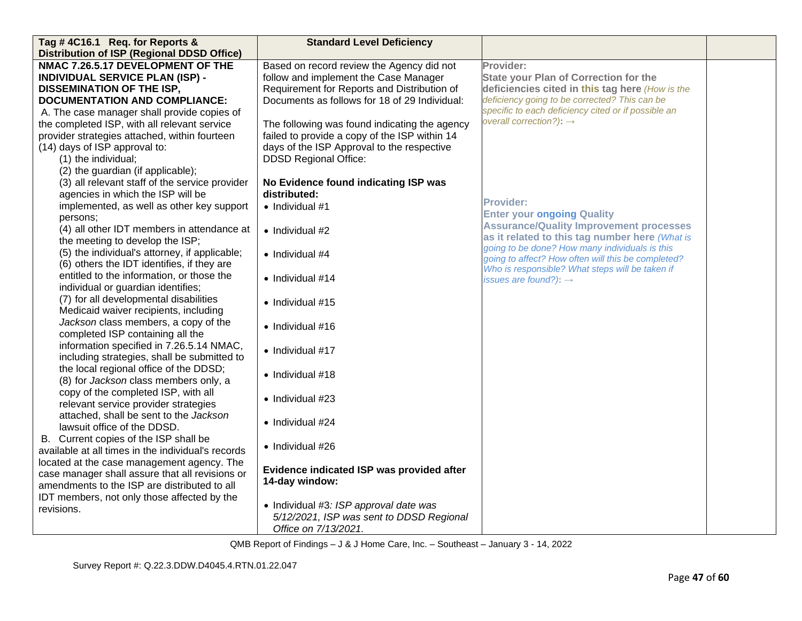| Tag #4C16.1 Req. for Reports &                     | <b>Standard Level Deficiency</b>              |                                                     |  |
|----------------------------------------------------|-----------------------------------------------|-----------------------------------------------------|--|
| <b>Distribution of ISP (Regional DDSD Office)</b>  |                                               |                                                     |  |
| NMAC 7.26.5.17 DEVELOPMENT OF THE                  | Based on record review the Agency did not     | Provider:                                           |  |
| <b>INDIVIDUAL SERVICE PLAN (ISP) -</b>             | follow and implement the Case Manager         | <b>State your Plan of Correction for the</b>        |  |
| <b>DISSEMINATION OF THE ISP,</b>                   | Requirement for Reports and Distribution of   | deficiencies cited in this tag here (How is the     |  |
| <b>DOCUMENTATION AND COMPLIANCE:</b>               | Documents as follows for 18 of 29 Individual: | deficiency going to be corrected? This can be       |  |
| A. The case manager shall provide copies of        |                                               | specific to each deficiency cited or if possible an |  |
| the completed ISP, with all relevant service       | The following was found indicating the agency | overall correction?): $\rightarrow$                 |  |
| provider strategies attached, within fourteen      | failed to provide a copy of the ISP within 14 |                                                     |  |
| (14) days of ISP approval to:                      | days of the ISP Approval to the respective    |                                                     |  |
| (1) the individual;                                | <b>DDSD Regional Office:</b>                  |                                                     |  |
| (2) the guardian (if applicable);                  |                                               |                                                     |  |
| (3) all relevant staff of the service provider     | No Evidence found indicating ISP was          |                                                     |  |
| agencies in which the ISP will be                  | distributed:                                  |                                                     |  |
| implemented, as well as other key support          | $\bullet$ Individual #1                       | Provider:                                           |  |
| persons:                                           |                                               | <b>Enter your ongoing Quality</b>                   |  |
| (4) all other IDT members in attendance at         | • Individual #2                               | <b>Assurance/Quality Improvement processes</b>      |  |
| the meeting to develop the ISP;                    |                                               | as it related to this tag number here (What is      |  |
| (5) the individual's attorney, if applicable;      | • Individual #4                               | going to be done? How many individuals is this      |  |
| (6) others the IDT identifies, if they are         |                                               | going to affect? How often will this be completed?  |  |
| entitled to the information, or those the          | • Individual #14                              | Who is responsible? What steps will be taken if     |  |
| individual or guardian identifies;                 |                                               | issues are found?): $\rightarrow$                   |  |
| (7) for all developmental disabilities             |                                               |                                                     |  |
| Medicaid waiver recipients, including              | • Individual #15                              |                                                     |  |
| Jackson class members, a copy of the               |                                               |                                                     |  |
| completed ISP containing all the                   | · Individual #16                              |                                                     |  |
| information specified in 7.26.5.14 NMAC,           |                                               |                                                     |  |
| including strategies, shall be submitted to        | • Individual #17                              |                                                     |  |
| the local regional office of the DDSD;             |                                               |                                                     |  |
| (8) for Jackson class members only, a              | • Individual #18                              |                                                     |  |
| copy of the completed ISP, with all                |                                               |                                                     |  |
| relevant service provider strategies               | • Individual $#23$                            |                                                     |  |
| attached, shall be sent to the Jackson             |                                               |                                                     |  |
| lawsuit office of the DDSD.                        | • Individual #24                              |                                                     |  |
| B. Current copies of the ISP shall be              |                                               |                                                     |  |
| available at all times in the individual's records | • Individual #26                              |                                                     |  |
| located at the case management agency. The         |                                               |                                                     |  |
| case manager shall assure that all revisions or    | Evidence indicated ISP was provided after     |                                                     |  |
| amendments to the ISP are distributed to all       | 14-day window:                                |                                                     |  |
| IDT members, not only those affected by the        |                                               |                                                     |  |
| revisions.                                         | • Individual #3: ISP approval date was        |                                                     |  |
|                                                    | 5/12/2021, ISP was sent to DDSD Regional      |                                                     |  |
|                                                    | Office on 7/13/2021.                          |                                                     |  |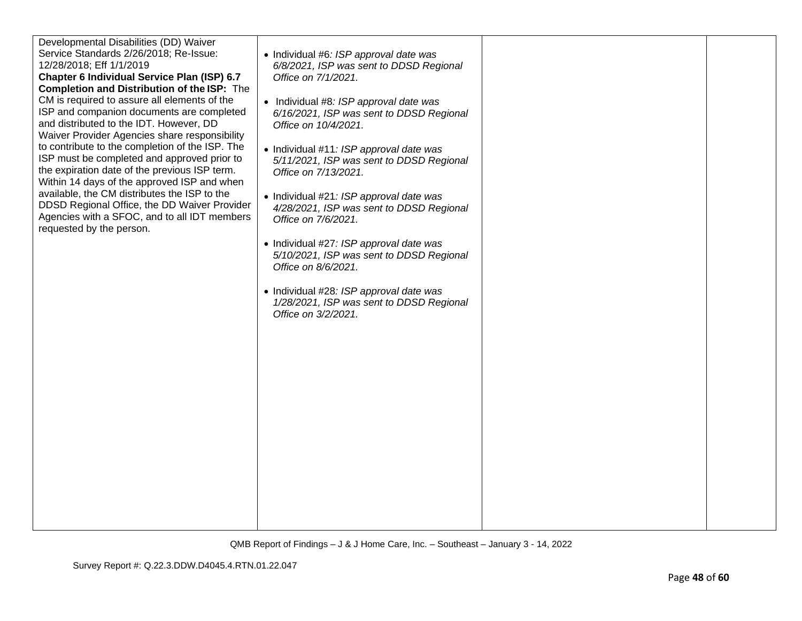| Developmental Disabilities (DD) Waiver<br>Service Standards 2/26/2018; Re-Issue:<br>12/28/2018; Eff 1/1/2019<br>Chapter 6 Individual Service Plan (ISP) 6.7<br><b>Completion and Distribution of the ISP:</b> The<br>CM is required to assure all elements of the<br>ISP and companion documents are completed<br>and distributed to the IDT. However, DD<br>Waiver Provider Agencies share responsibility<br>to contribute to the completion of the ISP. The<br>ISP must be completed and approved prior to<br>the expiration date of the previous ISP term.<br>Within 14 days of the approved ISP and when<br>available, the CM distributes the ISP to the<br>DDSD Regional Office, the DD Waiver Provider<br>Agencies with a SFOC, and to all IDT members<br>requested by the person. | • Individual #6: ISP approval date was<br>6/8/2021, ISP was sent to DDSD Regional<br>Office on 7/1/2021.<br>• Individual #8: ISP approval date was<br>6/16/2021, ISP was sent to DDSD Regional<br>Office on 10/4/2021.<br>• Individual #11: ISP approval date was<br>5/11/2021, ISP was sent to DDSD Regional<br>Office on 7/13/2021.<br>• Individual #21: ISP approval date was<br>4/28/2021, ISP was sent to DDSD Regional<br>Office on 7/6/2021.<br>• Individual #27: ISP approval date was<br>5/10/2021, ISP was sent to DDSD Regional<br>Office on 8/6/2021.<br>• Individual #28: ISP approval date was<br>1/28/2021, ISP was sent to DDSD Regional<br>Office on 3/2/2021. |  |
|------------------------------------------------------------------------------------------------------------------------------------------------------------------------------------------------------------------------------------------------------------------------------------------------------------------------------------------------------------------------------------------------------------------------------------------------------------------------------------------------------------------------------------------------------------------------------------------------------------------------------------------------------------------------------------------------------------------------------------------------------------------------------------------|---------------------------------------------------------------------------------------------------------------------------------------------------------------------------------------------------------------------------------------------------------------------------------------------------------------------------------------------------------------------------------------------------------------------------------------------------------------------------------------------------------------------------------------------------------------------------------------------------------------------------------------------------------------------------------|--|
|                                                                                                                                                                                                                                                                                                                                                                                                                                                                                                                                                                                                                                                                                                                                                                                          |                                                                                                                                                                                                                                                                                                                                                                                                                                                                                                                                                                                                                                                                                 |  |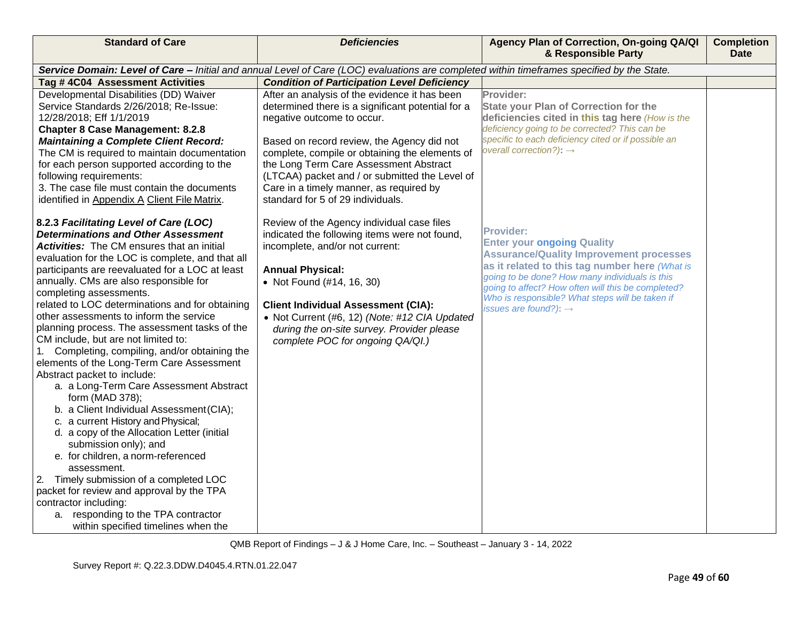| <b>Standard of Care</b>                                                                                                                                                                                                                                                                                                                                                                                                                                                                                                                                                                                                                                                                                                                                                                                                                                                                                                                                                     | <b>Deficiencies</b>                                                                                                                                                                                                                                                                                                                                                                                                                                                                                                                            | Agency Plan of Correction, On-going QA/QI<br>& Responsible Party                                                                                                                                                                                                                                                                                                       | <b>Completion</b><br><b>Date</b> |
|-----------------------------------------------------------------------------------------------------------------------------------------------------------------------------------------------------------------------------------------------------------------------------------------------------------------------------------------------------------------------------------------------------------------------------------------------------------------------------------------------------------------------------------------------------------------------------------------------------------------------------------------------------------------------------------------------------------------------------------------------------------------------------------------------------------------------------------------------------------------------------------------------------------------------------------------------------------------------------|------------------------------------------------------------------------------------------------------------------------------------------------------------------------------------------------------------------------------------------------------------------------------------------------------------------------------------------------------------------------------------------------------------------------------------------------------------------------------------------------------------------------------------------------|------------------------------------------------------------------------------------------------------------------------------------------------------------------------------------------------------------------------------------------------------------------------------------------------------------------------------------------------------------------------|----------------------------------|
|                                                                                                                                                                                                                                                                                                                                                                                                                                                                                                                                                                                                                                                                                                                                                                                                                                                                                                                                                                             | Service Domain: Level of Care - Initial and annual Level of Care (LOC) evaluations are completed within timeframes specified by the State.                                                                                                                                                                                                                                                                                                                                                                                                     |                                                                                                                                                                                                                                                                                                                                                                        |                                  |
| Tag #4C04 Assessment Activities                                                                                                                                                                                                                                                                                                                                                                                                                                                                                                                                                                                                                                                                                                                                                                                                                                                                                                                                             | <b>Condition of Participation Level Deficiency</b>                                                                                                                                                                                                                                                                                                                                                                                                                                                                                             |                                                                                                                                                                                                                                                                                                                                                                        |                                  |
| Developmental Disabilities (DD) Waiver<br>Service Standards 2/26/2018; Re-Issue:<br>12/28/2018; Eff 1/1/2019<br><b>Chapter 8 Case Management: 8.2.8</b><br><b>Maintaining a Complete Client Record:</b><br>The CM is required to maintain documentation<br>for each person supported according to the<br>following requirements:<br>3. The case file must contain the documents<br>identified in Appendix A Client File Matrix.<br>8.2.3 Facilitating Level of Care (LOC)<br><b>Determinations and Other Assessment</b><br><b>Activities:</b> The CM ensures that an initial                                                                                                                                                                                                                                                                                                                                                                                                | After an analysis of the evidence it has been<br>determined there is a significant potential for a<br>negative outcome to occur.<br>Based on record review, the Agency did not<br>complete, compile or obtaining the elements of<br>the Long Term Care Assessment Abstract<br>(LTCAA) packet and / or submitted the Level of<br>Care in a timely manner, as required by<br>standard for 5 of 29 individuals.<br>Review of the Agency individual case files<br>indicated the following items were not found,<br>incomplete, and/or not current: | Provider:<br><b>State your Plan of Correction for the</b><br>deficiencies cited in this tag here (How is the<br>deficiency going to be corrected? This can be<br>specific to each deficiency cited or if possible an<br>overall correction?): $\rightarrow$<br><b>Provider:</b><br><b>Enter your ongoing Quality</b><br><b>Assurance/Quality Improvement processes</b> |                                  |
| evaluation for the LOC is complete, and that all<br>participants are reevaluated for a LOC at least<br>annually. CMs are also responsible for<br>completing assessments.<br>related to LOC determinations and for obtaining<br>other assessments to inform the service<br>planning process. The assessment tasks of the<br>CM include, but are not limited to:<br>1. Completing, compiling, and/or obtaining the<br>elements of the Long-Term Care Assessment<br>Abstract packet to include:<br>a. a Long-Term Care Assessment Abstract<br>form (MAD 378);<br>b. a Client Individual Assessment (CIA);<br>c. a current History and Physical;<br>d. a copy of the Allocation Letter (initial<br>submission only); and<br>e. for children, a norm-referenced<br>assessment.<br>Timely submission of a completed LOC<br>2.<br>packet for review and approval by the TPA<br>contractor including:<br>a. responding to the TPA contractor<br>within specified timelines when the | <b>Annual Physical:</b><br>• Not Found (#14, 16, 30)<br><b>Client Individual Assessment (CIA):</b><br>• Not Current (#6, 12) (Note: #12 CIA Updated<br>during the on-site survey. Provider please<br>complete POC for ongoing QA/QI.)                                                                                                                                                                                                                                                                                                          | as it related to this tag number here (What is<br>going to be done? How many individuals is this<br>going to affect? How often will this be completed?<br>Who is responsible? What steps will be taken if<br>issues are found?): $\rightarrow$                                                                                                                         |                                  |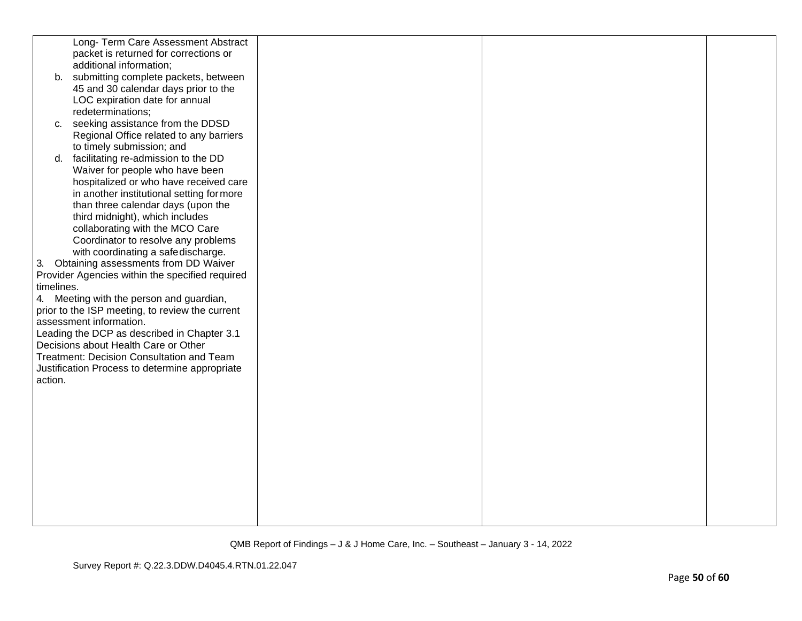|            | Long- Term Care Assessment Abstract             |  |  |
|------------|-------------------------------------------------|--|--|
|            | packet is returned for corrections or           |  |  |
|            | additional information;                         |  |  |
|            | b. submitting complete packets, between         |  |  |
|            | 45 and 30 calendar days prior to the            |  |  |
|            | LOC expiration date for annual                  |  |  |
|            | redeterminations;                               |  |  |
| C.         | seeking assistance from the DDSD                |  |  |
|            | Regional Office related to any barriers         |  |  |
|            | to timely submission; and                       |  |  |
| d.         | facilitating re-admission to the DD             |  |  |
|            | Waiver for people who have been                 |  |  |
|            | hospitalized or who have received care          |  |  |
|            | in another institutional setting for more       |  |  |
|            | than three calendar days (upon the              |  |  |
|            | third midnight), which includes                 |  |  |
|            | collaborating with the MCO Care                 |  |  |
|            | Coordinator to resolve any problems             |  |  |
|            |                                                 |  |  |
|            | with coordinating a safedischarge.              |  |  |
| 3.         | Obtaining assessments from DD Waiver            |  |  |
|            | Provider Agencies within the specified required |  |  |
| timelines. |                                                 |  |  |
|            | 4. Meeting with the person and guardian,        |  |  |
|            | prior to the ISP meeting, to review the current |  |  |
|            | assessment information.                         |  |  |
|            | Leading the DCP as described in Chapter 3.1     |  |  |
|            | Decisions about Health Care or Other            |  |  |
|            | Treatment: Decision Consultation and Team       |  |  |
|            | Justification Process to determine appropriate  |  |  |
| action.    |                                                 |  |  |
|            |                                                 |  |  |
|            |                                                 |  |  |
|            |                                                 |  |  |
|            |                                                 |  |  |
|            |                                                 |  |  |
|            |                                                 |  |  |
|            |                                                 |  |  |
|            |                                                 |  |  |
|            |                                                 |  |  |
|            |                                                 |  |  |
|            |                                                 |  |  |
|            |                                                 |  |  |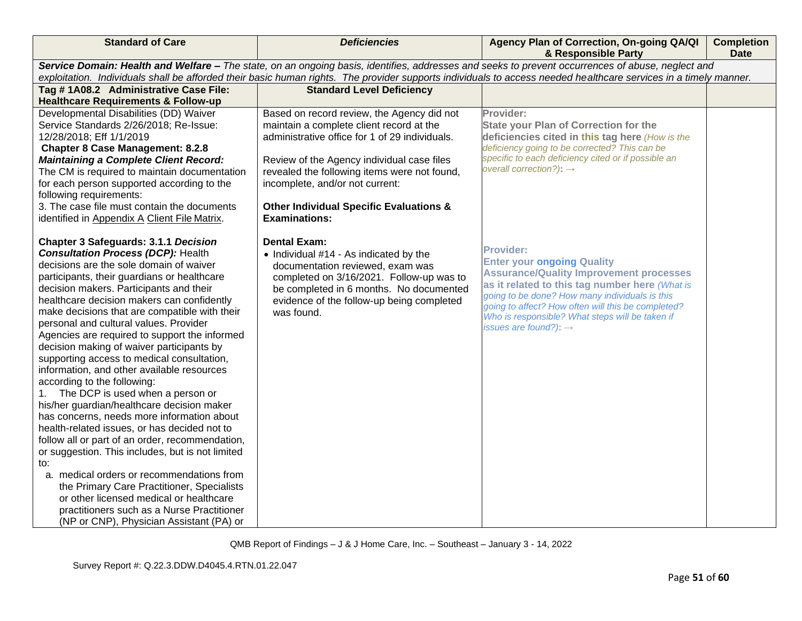| <b>Standard of Care</b>                          | <b>Deficiencies</b>                                                                                                                               | Agency Plan of Correction, On-going QA/QI<br>& Responsible Party                                                                                                 | <b>Completion</b><br><b>Date</b> |  |  |
|--------------------------------------------------|---------------------------------------------------------------------------------------------------------------------------------------------------|------------------------------------------------------------------------------------------------------------------------------------------------------------------|----------------------------------|--|--|
|                                                  | Service Domain: Health and Welfare - The state, on an ongoing basis, identifies, addresses and seeks to prevent occurrences of abuse, neglect and |                                                                                                                                                                  |                                  |  |  |
|                                                  |                                                                                                                                                   | exploitation. Individuals shall be afforded their basic human rights. The provider supports individuals to access needed healthcare services in a timely manner. |                                  |  |  |
| Tag #1A08.2 Administrative Case File:            | <b>Standard Level Deficiency</b>                                                                                                                  |                                                                                                                                                                  |                                  |  |  |
| <b>Healthcare Requirements &amp; Follow-up</b>   |                                                                                                                                                   |                                                                                                                                                                  |                                  |  |  |
| Developmental Disabilities (DD) Waiver           | Based on record review, the Agency did not                                                                                                        | Provider:                                                                                                                                                        |                                  |  |  |
| Service Standards 2/26/2018; Re-Issue:           | maintain a complete client record at the                                                                                                          | <b>State your Plan of Correction for the</b>                                                                                                                     |                                  |  |  |
| 12/28/2018; Eff 1/1/2019                         | administrative office for 1 of 29 individuals.                                                                                                    | deficiencies cited in this tag here (How is the                                                                                                                  |                                  |  |  |
| <b>Chapter 8 Case Management: 8.2.8</b>          |                                                                                                                                                   | deficiency going to be corrected? This can be                                                                                                                    |                                  |  |  |
| <b>Maintaining a Complete Client Record:</b>     | Review of the Agency individual case files                                                                                                        | specific to each deficiency cited or if possible an                                                                                                              |                                  |  |  |
| The CM is required to maintain documentation     | revealed the following items were not found,                                                                                                      | overall correction?): $\rightarrow$                                                                                                                              |                                  |  |  |
| for each person supported according to the       | incomplete, and/or not current:                                                                                                                   |                                                                                                                                                                  |                                  |  |  |
| following requirements:                          |                                                                                                                                                   |                                                                                                                                                                  |                                  |  |  |
| 3. The case file must contain the documents      | <b>Other Individual Specific Evaluations &amp;</b>                                                                                                |                                                                                                                                                                  |                                  |  |  |
| identified in Appendix A Client File Matrix.     | <b>Examinations:</b>                                                                                                                              |                                                                                                                                                                  |                                  |  |  |
|                                                  |                                                                                                                                                   |                                                                                                                                                                  |                                  |  |  |
| <b>Chapter 3 Safeguards: 3.1.1 Decision</b>      | <b>Dental Exam:</b>                                                                                                                               |                                                                                                                                                                  |                                  |  |  |
| <b>Consultation Process (DCP): Health</b>        | • Individual #14 - As indicated by the                                                                                                            | <b>Provider:</b>                                                                                                                                                 |                                  |  |  |
| decisions are the sole domain of waiver          | documentation reviewed, exam was                                                                                                                  | <b>Enter your ongoing Quality</b>                                                                                                                                |                                  |  |  |
| participants, their guardians or healthcare      | completed on 3/16/2021. Follow-up was to                                                                                                          | <b>Assurance/Quality Improvement processes</b>                                                                                                                   |                                  |  |  |
| decision makers. Participants and their          | be completed in 6 months. No documented                                                                                                           | as it related to this tag number here (What is<br>going to be done? How many individuals is this                                                                 |                                  |  |  |
| healthcare decision makers can confidently       | evidence of the follow-up being completed                                                                                                         | going to affect? How often will this be completed?                                                                                                               |                                  |  |  |
| make decisions that are compatible with their    | was found.                                                                                                                                        | Who is responsible? What steps will be taken if                                                                                                                  |                                  |  |  |
| personal and cultural values. Provider           |                                                                                                                                                   | issues are found?): $\rightarrow$                                                                                                                                |                                  |  |  |
| Agencies are required to support the informed    |                                                                                                                                                   |                                                                                                                                                                  |                                  |  |  |
| decision making of waiver participants by        |                                                                                                                                                   |                                                                                                                                                                  |                                  |  |  |
| supporting access to medical consultation,       |                                                                                                                                                   |                                                                                                                                                                  |                                  |  |  |
| information, and other available resources       |                                                                                                                                                   |                                                                                                                                                                  |                                  |  |  |
| according to the following:                      |                                                                                                                                                   |                                                                                                                                                                  |                                  |  |  |
| The DCP is used when a person or                 |                                                                                                                                                   |                                                                                                                                                                  |                                  |  |  |
| his/her guardian/healthcare decision maker       |                                                                                                                                                   |                                                                                                                                                                  |                                  |  |  |
| has concerns, needs more information about       |                                                                                                                                                   |                                                                                                                                                                  |                                  |  |  |
| health-related issues, or has decided not to     |                                                                                                                                                   |                                                                                                                                                                  |                                  |  |  |
| follow all or part of an order, recommendation,  |                                                                                                                                                   |                                                                                                                                                                  |                                  |  |  |
| or suggestion. This includes, but is not limited |                                                                                                                                                   |                                                                                                                                                                  |                                  |  |  |
| to:                                              |                                                                                                                                                   |                                                                                                                                                                  |                                  |  |  |
| a. medical orders or recommendations from        |                                                                                                                                                   |                                                                                                                                                                  |                                  |  |  |
| the Primary Care Practitioner, Specialists       |                                                                                                                                                   |                                                                                                                                                                  |                                  |  |  |
| or other licensed medical or healthcare          |                                                                                                                                                   |                                                                                                                                                                  |                                  |  |  |
| practitioners such as a Nurse Practitioner       |                                                                                                                                                   |                                                                                                                                                                  |                                  |  |  |
| (NP or CNP), Physician Assistant (PA) or         |                                                                                                                                                   |                                                                                                                                                                  |                                  |  |  |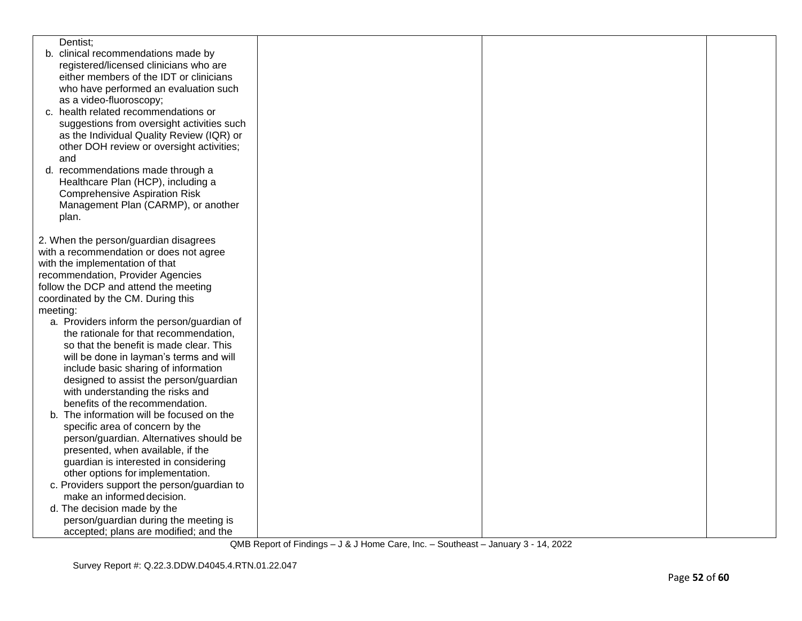| Dentist;                                    |  |  |
|---------------------------------------------|--|--|
| b. clinical recommendations made by         |  |  |
| registered/licensed clinicians who are      |  |  |
| either members of the IDT or clinicians     |  |  |
| who have performed an evaluation such       |  |  |
| as a video-fluoroscopy;                     |  |  |
| c. health related recommendations or        |  |  |
| suggestions from oversight activities such  |  |  |
| as the Individual Quality Review (IQR) or   |  |  |
| other DOH review or oversight activities;   |  |  |
| and                                         |  |  |
|                                             |  |  |
| d. recommendations made through a           |  |  |
| Healthcare Plan (HCP), including a          |  |  |
| <b>Comprehensive Aspiration Risk</b>        |  |  |
| Management Plan (CARMP), or another         |  |  |
| plan.                                       |  |  |
|                                             |  |  |
| 2. When the person/guardian disagrees       |  |  |
| with a recommendation or does not agree     |  |  |
| with the implementation of that             |  |  |
| recommendation, Provider Agencies           |  |  |
| follow the DCP and attend the meeting       |  |  |
| coordinated by the CM. During this          |  |  |
| meeting:                                    |  |  |
| a. Providers inform the person/guardian of  |  |  |
| the rationale for that recommendation,      |  |  |
| so that the benefit is made clear. This     |  |  |
| will be done in layman's terms and will     |  |  |
| include basic sharing of information        |  |  |
| designed to assist the person/guardian      |  |  |
| with understanding the risks and            |  |  |
| benefits of the recommendation.             |  |  |
| b. The information will be focused on the   |  |  |
| specific area of concern by the             |  |  |
| person/guardian. Alternatives should be     |  |  |
| presented, when available, if the           |  |  |
| guardian is interested in considering       |  |  |
| other options for implementation.           |  |  |
| c. Providers support the person/guardian to |  |  |
| make an informed decision.                  |  |  |
| d. The decision made by the                 |  |  |
| person/guardian during the meeting is       |  |  |
| accepted; plans are modified; and the       |  |  |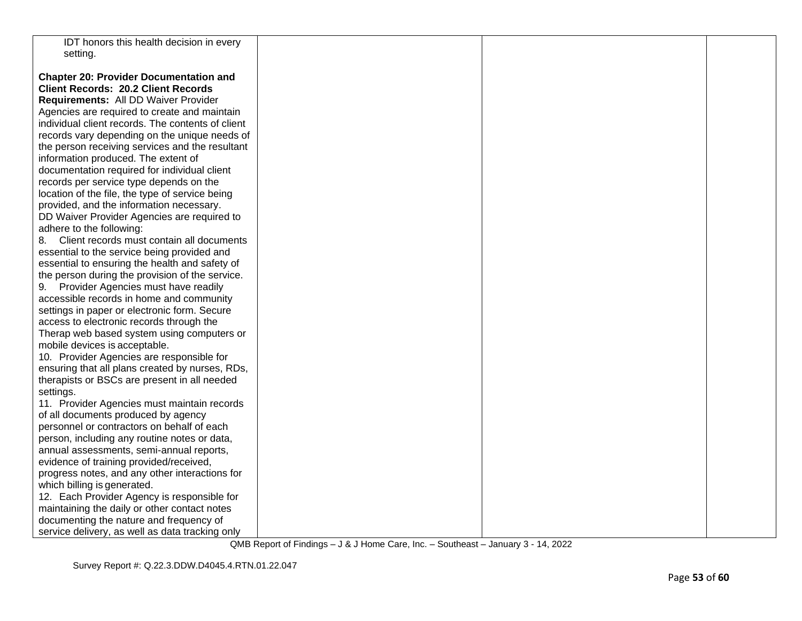| IDT honors this health decision in every          |  |  |
|---------------------------------------------------|--|--|
| setting.                                          |  |  |
|                                                   |  |  |
| <b>Chapter 20: Provider Documentation and</b>     |  |  |
| <b>Client Records: 20.2 Client Records</b>        |  |  |
| Requirements: All DD Waiver Provider              |  |  |
| Agencies are required to create and maintain      |  |  |
| individual client records. The contents of client |  |  |
| records vary depending on the unique needs of     |  |  |
| the person receiving services and the resultant   |  |  |
| information produced. The extent of               |  |  |
| documentation required for individual client      |  |  |
| records per service type depends on the           |  |  |
| location of the file, the type of service being   |  |  |
| provided, and the information necessary.          |  |  |
| DD Waiver Provider Agencies are required to       |  |  |
| adhere to the following:                          |  |  |
| Client records must contain all documents<br>8.   |  |  |
| essential to the service being provided and       |  |  |
| essential to ensuring the health and safety of    |  |  |
| the person during the provision of the service.   |  |  |
| Provider Agencies must have readily<br>9.         |  |  |
| accessible records in home and community          |  |  |
| settings in paper or electronic form. Secure      |  |  |
| access to electronic records through the          |  |  |
| Therap web based system using computers or        |  |  |
| mobile devices is acceptable.                     |  |  |
| 10. Provider Agencies are responsible for         |  |  |
| ensuring that all plans created by nurses, RDs,   |  |  |
| therapists or BSCs are present in all needed      |  |  |
| settings.                                         |  |  |
| 11. Provider Agencies must maintain records       |  |  |
| of all documents produced by agency               |  |  |
| personnel or contractors on behalf of each        |  |  |
| person, including any routine notes or data,      |  |  |
| annual assessments, semi-annual reports,          |  |  |
| evidence of training provided/received,           |  |  |
| progress notes, and any other interactions for    |  |  |
| which billing is generated.                       |  |  |
| 12. Each Provider Agency is responsible for       |  |  |
| maintaining the daily or other contact notes      |  |  |
| documenting the nature and frequency of           |  |  |
| service delivery, as well as data tracking only   |  |  |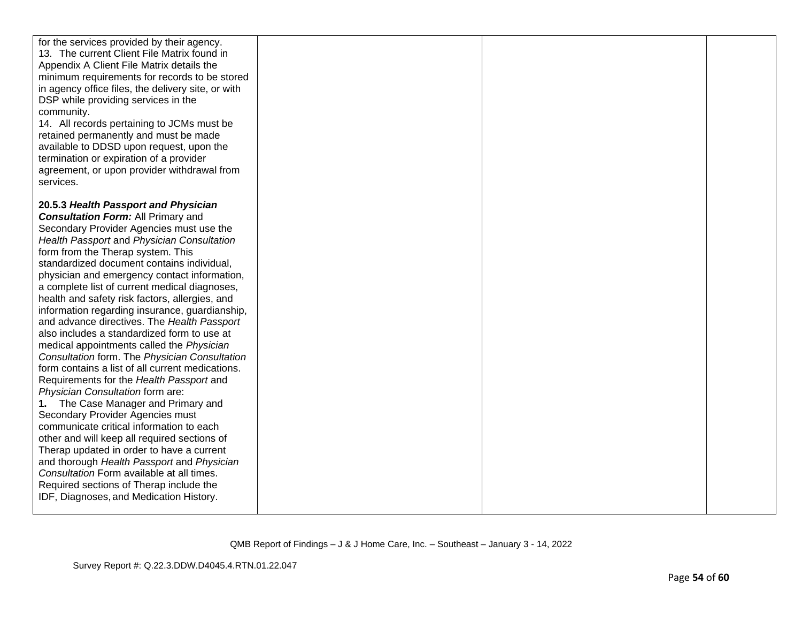| for the services provided by their agency.<br>13. The current Client File Matrix found in<br>Appendix A Client File Matrix details the<br>minimum requirements for records to be stored<br>in agency office files, the delivery site, or with<br>DSP while providing services in the<br>community.<br>14. All records pertaining to JCMs must be<br>retained permanently and must be made<br>available to DDSD upon request, upon the<br>termination or expiration of a provider<br>agreement, or upon provider withdrawal from<br>services.                                                                                                                                                                                                                                                                                                                                                                                                                                                                                                                                                                                                                                                             |  |  |
|----------------------------------------------------------------------------------------------------------------------------------------------------------------------------------------------------------------------------------------------------------------------------------------------------------------------------------------------------------------------------------------------------------------------------------------------------------------------------------------------------------------------------------------------------------------------------------------------------------------------------------------------------------------------------------------------------------------------------------------------------------------------------------------------------------------------------------------------------------------------------------------------------------------------------------------------------------------------------------------------------------------------------------------------------------------------------------------------------------------------------------------------------------------------------------------------------------|--|--|
| 20.5.3 Health Passport and Physician<br><b>Consultation Form: All Primary and</b><br>Secondary Provider Agencies must use the<br>Health Passport and Physician Consultation<br>form from the Therap system. This<br>standardized document contains individual,<br>physician and emergency contact information,<br>a complete list of current medical diagnoses,<br>health and safety risk factors, allergies, and<br>information regarding insurance, guardianship,<br>and advance directives. The Health Passport<br>also includes a standardized form to use at<br>medical appointments called the Physician<br>Consultation form. The Physician Consultation<br>form contains a list of all current medications.<br>Requirements for the Health Passport and<br>Physician Consultation form are:<br>1. The Case Manager and Primary and<br>Secondary Provider Agencies must<br>communicate critical information to each<br>other and will keep all required sections of<br>Therap updated in order to have a current<br>and thorough Health Passport and Physician<br>Consultation Form available at all times.<br>Required sections of Therap include the<br>IDF, Diagnoses, and Medication History. |  |  |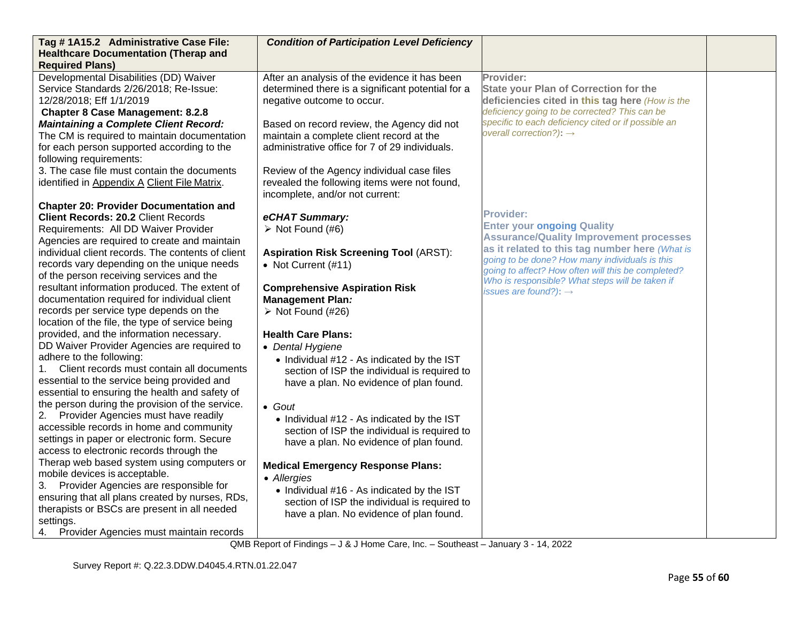| Tag #1A15.2 Administrative Case File:<br><b>Healthcare Documentation (Therap and</b>        | <b>Condition of Participation Level Deficiency</b>                                         |                                                                                                      |  |
|---------------------------------------------------------------------------------------------|--------------------------------------------------------------------------------------------|------------------------------------------------------------------------------------------------------|--|
| <b>Required Plans)</b>                                                                      |                                                                                            |                                                                                                      |  |
| Developmental Disabilities (DD) Waiver                                                      | After an analysis of the evidence it has been                                              | Provider:                                                                                            |  |
| Service Standards 2/26/2018; Re-Issue:                                                      | determined there is a significant potential for a                                          | <b>State your Plan of Correction for the</b>                                                         |  |
| 12/28/2018; Eff 1/1/2019                                                                    | negative outcome to occur.                                                                 | deficiencies cited in this tag here (How is the                                                      |  |
| <b>Chapter 8 Case Management: 8.2.8</b>                                                     |                                                                                            | deficiency going to be corrected? This can be                                                        |  |
| <b>Maintaining a Complete Client Record:</b>                                                | Based on record review, the Agency did not                                                 | specific to each deficiency cited or if possible an<br>overall correction?): $\rightarrow$           |  |
| The CM is required to maintain documentation                                                | maintain a complete client record at the                                                   |                                                                                                      |  |
| for each person supported according to the                                                  | administrative office for 7 of 29 individuals.                                             |                                                                                                      |  |
| following requirements:                                                                     |                                                                                            |                                                                                                      |  |
| 3. The case file must contain the documents<br>identified in Appendix A Client File Matrix. | Review of the Agency individual case files<br>revealed the following items were not found, |                                                                                                      |  |
|                                                                                             | incomplete, and/or not current:                                                            |                                                                                                      |  |
| <b>Chapter 20: Provider Documentation and</b>                                               |                                                                                            |                                                                                                      |  |
| <b>Client Records: 20.2 Client Records</b>                                                  | eCHAT Summary:                                                                             | <b>Provider:</b>                                                                                     |  |
| Requirements: All DD Waiver Provider                                                        | $\triangleright$ Not Found (#6)                                                            | <b>Enter your ongoing Quality</b>                                                                    |  |
| Agencies are required to create and maintain                                                |                                                                                            | <b>Assurance/Quality Improvement processes</b>                                                       |  |
| individual client records. The contents of client                                           | <b>Aspiration Risk Screening Tool (ARST):</b>                                              | as it related to this tag number here (What is                                                       |  |
| records vary depending on the unique needs                                                  | • Not Current (#11)                                                                        | going to be done? How many individuals is this<br>going to affect? How often will this be completed? |  |
| of the person receiving services and the                                                    |                                                                                            | Who is responsible? What steps will be taken if                                                      |  |
| resultant information produced. The extent of                                               | <b>Comprehensive Aspiration Risk</b>                                                       | issues are found?): $\rightarrow$                                                                    |  |
| documentation required for individual client                                                | <b>Management Plan:</b>                                                                    |                                                                                                      |  |
| records per service type depends on the                                                     | $\triangleright$ Not Found (#26)                                                           |                                                                                                      |  |
| location of the file, the type of service being                                             |                                                                                            |                                                                                                      |  |
| provided, and the information necessary.                                                    | <b>Health Care Plans:</b>                                                                  |                                                                                                      |  |
| DD Waiver Provider Agencies are required to<br>adhere to the following:                     | • Dental Hygiene                                                                           |                                                                                                      |  |
| Client records must contain all documents<br>1.                                             | • Individual #12 - As indicated by the IST                                                 |                                                                                                      |  |
| essential to the service being provided and                                                 | section of ISP the individual is required to                                               |                                                                                                      |  |
| essential to ensuring the health and safety of                                              | have a plan. No evidence of plan found.                                                    |                                                                                                      |  |
| the person during the provision of the service.                                             | $\bullet$ Gout                                                                             |                                                                                                      |  |
| Provider Agencies must have readily<br>2.                                                   | • Individual #12 - As indicated by the IST                                                 |                                                                                                      |  |
| accessible records in home and community                                                    | section of ISP the individual is required to                                               |                                                                                                      |  |
| settings in paper or electronic form. Secure                                                | have a plan. No evidence of plan found.                                                    |                                                                                                      |  |
| access to electronic records through the                                                    |                                                                                            |                                                                                                      |  |
| Therap web based system using computers or                                                  | <b>Medical Emergency Response Plans:</b>                                                   |                                                                                                      |  |
| mobile devices is acceptable.                                                               | • Allergies                                                                                |                                                                                                      |  |
| Provider Agencies are responsible for<br>3.                                                 | • Individual #16 - As indicated by the IST                                                 |                                                                                                      |  |
| ensuring that all plans created by nurses, RDs,                                             | section of ISP the individual is required to                                               |                                                                                                      |  |
| therapists or BSCs are present in all needed<br>settings.                                   | have a plan. No evidence of plan found.                                                    |                                                                                                      |  |
| Provider Agencies must maintain records<br>4.                                               |                                                                                            |                                                                                                      |  |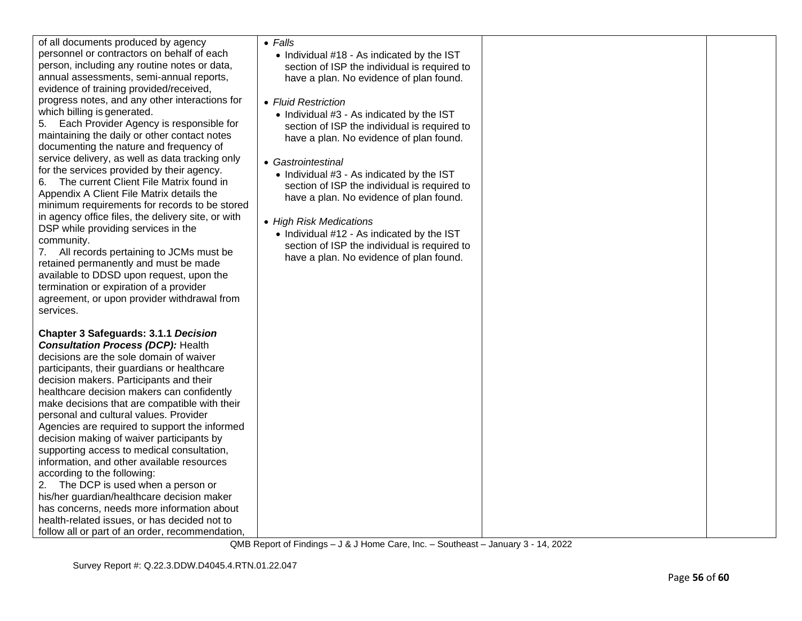| of all documents produced by agency<br>personnel or contractors on behalf of each<br>person, including any routine notes or data,<br>annual assessments, semi-annual reports,<br>evidence of training provided/received,<br>progress notes, and any other interactions for<br>which billing is generated.<br>5. Each Provider Agency is responsible for<br>maintaining the daily or other contact notes<br>documenting the nature and frequency of<br>service delivery, as well as data tracking only<br>for the services provided by their agency.<br>The current Client File Matrix found in<br>6.<br>Appendix A Client File Matrix details the<br>minimum requirements for records to be stored<br>in agency office files, the delivery site, or with<br>DSP while providing services in the<br>community.<br>7. All records pertaining to JCMs must be<br>retained permanently and must be made<br>available to DDSD upon request, upon the<br>termination or expiration of a provider<br>agreement, or upon provider withdrawal from<br>services. | $\bullet$ Falls<br>• Individual #18 - As indicated by the IST<br>section of ISP the individual is required to<br>have a plan. No evidence of plan found.<br>• Fluid Restriction<br>• Individual #3 - As indicated by the IST<br>section of ISP the individual is required to<br>have a plan. No evidence of plan found.<br>• Gastrointestinal<br>• Individual #3 - As indicated by the IST<br>section of ISP the individual is required to<br>have a plan. No evidence of plan found.<br>• High Risk Medications<br>• Individual #12 - As indicated by the IST<br>section of ISP the individual is required to<br>have a plan. No evidence of plan found. |  |
|--------------------------------------------------------------------------------------------------------------------------------------------------------------------------------------------------------------------------------------------------------------------------------------------------------------------------------------------------------------------------------------------------------------------------------------------------------------------------------------------------------------------------------------------------------------------------------------------------------------------------------------------------------------------------------------------------------------------------------------------------------------------------------------------------------------------------------------------------------------------------------------------------------------------------------------------------------------------------------------------------------------------------------------------------------|-----------------------------------------------------------------------------------------------------------------------------------------------------------------------------------------------------------------------------------------------------------------------------------------------------------------------------------------------------------------------------------------------------------------------------------------------------------------------------------------------------------------------------------------------------------------------------------------------------------------------------------------------------------|--|
| <b>Chapter 3 Safeguards: 3.1.1 Decision</b><br><b>Consultation Process (DCP): Health</b><br>decisions are the sole domain of waiver<br>participants, their guardians or healthcare<br>decision makers. Participants and their<br>healthcare decision makers can confidently<br>make decisions that are compatible with their<br>personal and cultural values. Provider<br>Agencies are required to support the informed<br>decision making of waiver participants by<br>supporting access to medical consultation,<br>information, and other available resources<br>according to the following:<br>2. The DCP is used when a person or<br>his/her guardian/healthcare decision maker<br>has concerns, needs more information about<br>health-related issues, or has decided not to<br>follow all or part of an order, recommendation,                                                                                                                                                                                                                  |                                                                                                                                                                                                                                                                                                                                                                                                                                                                                                                                                                                                                                                           |  |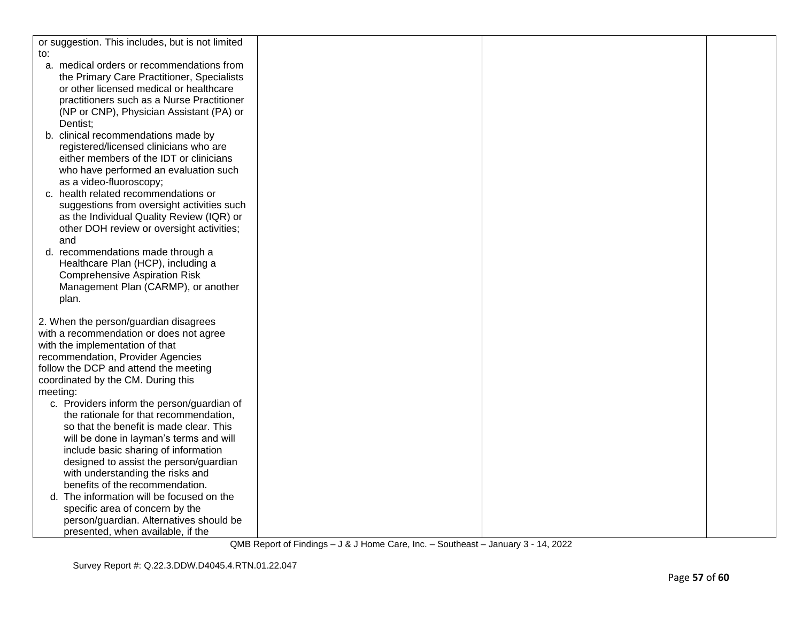| or suggestion. This includes, but is not limited |  |  |
|--------------------------------------------------|--|--|
| to:                                              |  |  |
| a. medical orders or recommendations from        |  |  |
| the Primary Care Practitioner, Specialists       |  |  |
| or other licensed medical or healthcare          |  |  |
| practitioners such as a Nurse Practitioner       |  |  |
| (NP or CNP), Physician Assistant (PA) or         |  |  |
| Dentist:                                         |  |  |
| b. clinical recommendations made by              |  |  |
| registered/licensed clinicians who are           |  |  |
| either members of the IDT or clinicians          |  |  |
| who have performed an evaluation such            |  |  |
| as a video-fluoroscopy;                          |  |  |
| c. health related recommendations or             |  |  |
| suggestions from oversight activities such       |  |  |
| as the Individual Quality Review (IQR) or        |  |  |
| other DOH review or oversight activities;        |  |  |
| and                                              |  |  |
| d. recommendations made through a                |  |  |
| Healthcare Plan (HCP), including a               |  |  |
| <b>Comprehensive Aspiration Risk</b>             |  |  |
| Management Plan (CARMP), or another              |  |  |
| plan.                                            |  |  |
|                                                  |  |  |
| 2. When the person/guardian disagrees            |  |  |
| with a recommendation or does not agree          |  |  |
| with the implementation of that                  |  |  |
| recommendation, Provider Agencies                |  |  |
| follow the DCP and attend the meeting            |  |  |
| coordinated by the CM. During this               |  |  |
| meeting:                                         |  |  |
| c. Providers inform the person/guardian of       |  |  |
| the rationale for that recommendation,           |  |  |
| so that the benefit is made clear. This          |  |  |
| will be done in layman's terms and will          |  |  |
| include basic sharing of information             |  |  |
| designed to assist the person/guardian           |  |  |
| with understanding the risks and                 |  |  |
| benefits of the recommendation.                  |  |  |
| The information will be focused on the<br>d.     |  |  |
| specific area of concern by the                  |  |  |
| person/guardian. Alternatives should be          |  |  |
| presented, when available, if the                |  |  |
|                                                  |  |  |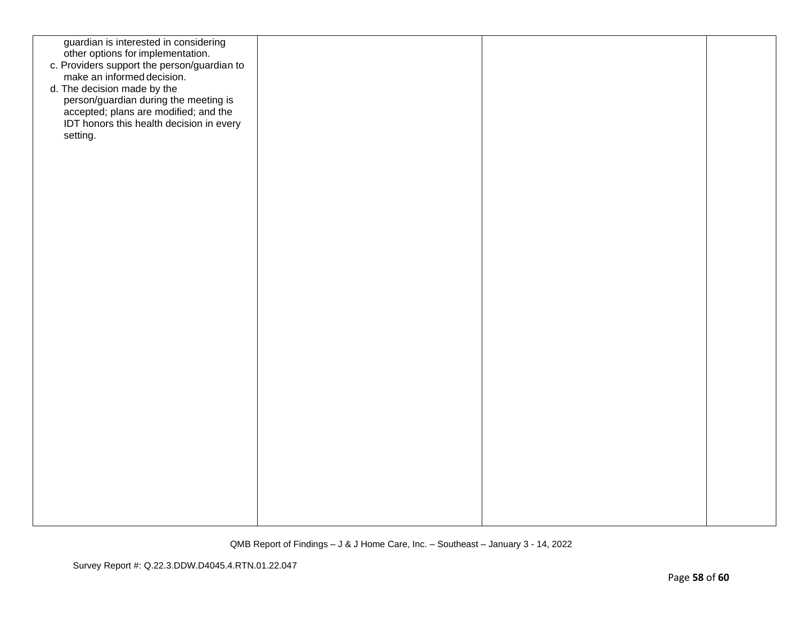| guardian is interested in considering<br>other options for implementation.<br>c. Providers support the person/guardian to<br>make an informed decision.<br>d. The decision made by the<br>person/guardian during the meeting is<br>accepted; plans are modified; and the<br>IDT honors this health decision in every<br>setting. |  |  |
|----------------------------------------------------------------------------------------------------------------------------------------------------------------------------------------------------------------------------------------------------------------------------------------------------------------------------------|--|--|
|                                                                                                                                                                                                                                                                                                                                  |  |  |
|                                                                                                                                                                                                                                                                                                                                  |  |  |
|                                                                                                                                                                                                                                                                                                                                  |  |  |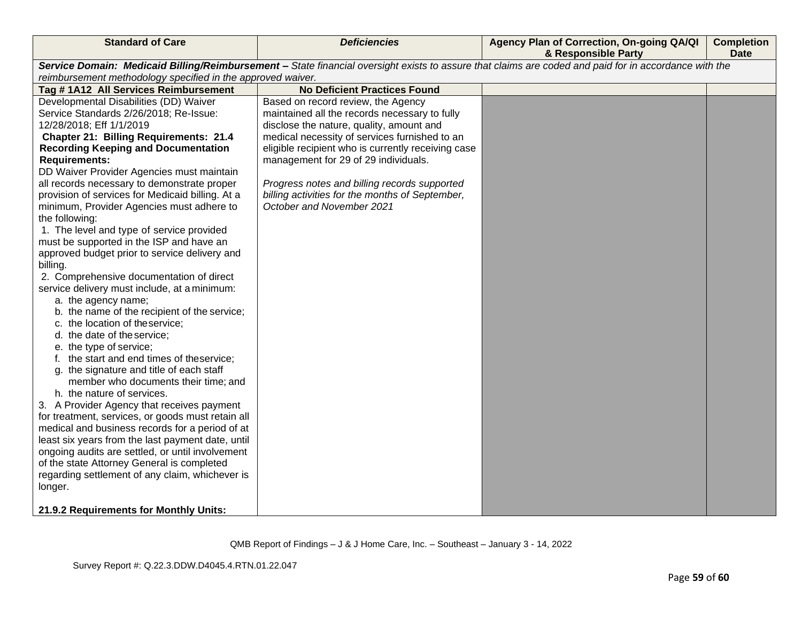| <b>Standard of Care</b>                                                                                                                               | <b>Deficiencies</b>                                | Agency Plan of Correction, On-going QA/QI<br>& Responsible Party | <b>Completion</b><br><b>Date</b> |  |  |
|-------------------------------------------------------------------------------------------------------------------------------------------------------|----------------------------------------------------|------------------------------------------------------------------|----------------------------------|--|--|
| Service Domain: Medicaid Billing/Reimbursement - State financial oversight exists to assure that claims are coded and paid for in accordance with the |                                                    |                                                                  |                                  |  |  |
| reimbursement methodology specified in the approved waiver.                                                                                           |                                                    |                                                                  |                                  |  |  |
| Tag #1A12 All Services Reimbursement                                                                                                                  | <b>No Deficient Practices Found</b>                |                                                                  |                                  |  |  |
| Developmental Disabilities (DD) Waiver                                                                                                                | Based on record review, the Agency                 |                                                                  |                                  |  |  |
| Service Standards 2/26/2018; Re-Issue:                                                                                                                | maintained all the records necessary to fully      |                                                                  |                                  |  |  |
| 12/28/2018; Eff 1/1/2019                                                                                                                              | disclose the nature, quality, amount and           |                                                                  |                                  |  |  |
| <b>Chapter 21: Billing Requirements: 21.4</b>                                                                                                         | medical necessity of services furnished to an      |                                                                  |                                  |  |  |
| <b>Recording Keeping and Documentation</b>                                                                                                            | eligible recipient who is currently receiving case |                                                                  |                                  |  |  |
| <b>Requirements:</b>                                                                                                                                  | management for 29 of 29 individuals.               |                                                                  |                                  |  |  |
| DD Waiver Provider Agencies must maintain                                                                                                             |                                                    |                                                                  |                                  |  |  |
| all records necessary to demonstrate proper                                                                                                           | Progress notes and billing records supported       |                                                                  |                                  |  |  |
| provision of services for Medicaid billing. At a                                                                                                      | billing activities for the months of September,    |                                                                  |                                  |  |  |
| minimum, Provider Agencies must adhere to                                                                                                             | October and November 2021                          |                                                                  |                                  |  |  |
| the following:                                                                                                                                        |                                                    |                                                                  |                                  |  |  |
| 1. The level and type of service provided                                                                                                             |                                                    |                                                                  |                                  |  |  |
| must be supported in the ISP and have an                                                                                                              |                                                    |                                                                  |                                  |  |  |
| approved budget prior to service delivery and                                                                                                         |                                                    |                                                                  |                                  |  |  |
| billing.                                                                                                                                              |                                                    |                                                                  |                                  |  |  |
| 2. Comprehensive documentation of direct                                                                                                              |                                                    |                                                                  |                                  |  |  |
| service delivery must include, at a minimum:                                                                                                          |                                                    |                                                                  |                                  |  |  |
| a. the agency name;                                                                                                                                   |                                                    |                                                                  |                                  |  |  |
| b. the name of the recipient of the service;                                                                                                          |                                                    |                                                                  |                                  |  |  |
| c. the location of theservice;                                                                                                                        |                                                    |                                                                  |                                  |  |  |
| d. the date of the service;                                                                                                                           |                                                    |                                                                  |                                  |  |  |
| e. the type of service;                                                                                                                               |                                                    |                                                                  |                                  |  |  |
| f. the start and end times of theservice;                                                                                                             |                                                    |                                                                  |                                  |  |  |
| g. the signature and title of each staff                                                                                                              |                                                    |                                                                  |                                  |  |  |
| member who documents their time; and                                                                                                                  |                                                    |                                                                  |                                  |  |  |
| h. the nature of services.                                                                                                                            |                                                    |                                                                  |                                  |  |  |
| 3. A Provider Agency that receives payment                                                                                                            |                                                    |                                                                  |                                  |  |  |
| for treatment, services, or goods must retain all                                                                                                     |                                                    |                                                                  |                                  |  |  |
| medical and business records for a period of at                                                                                                       |                                                    |                                                                  |                                  |  |  |
| least six years from the last payment date, until                                                                                                     |                                                    |                                                                  |                                  |  |  |
| ongoing audits are settled, or until involvement                                                                                                      |                                                    |                                                                  |                                  |  |  |
| of the state Attorney General is completed                                                                                                            |                                                    |                                                                  |                                  |  |  |
| regarding settlement of any claim, whichever is                                                                                                       |                                                    |                                                                  |                                  |  |  |
| longer.                                                                                                                                               |                                                    |                                                                  |                                  |  |  |
| 21.9.2 Requirements for Monthly Units:                                                                                                                |                                                    |                                                                  |                                  |  |  |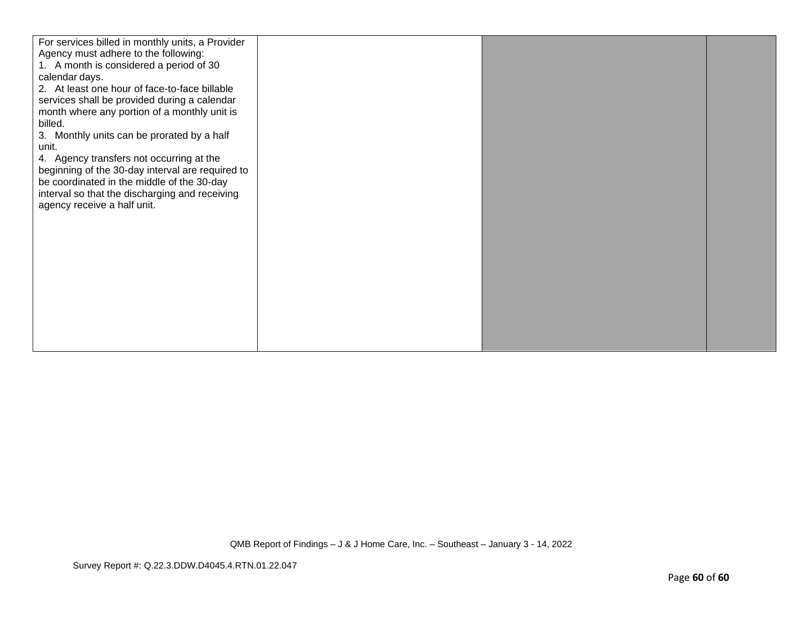| For services billed in monthly units, a Provider<br>Agency must adhere to the following:<br>1. A month is considered a period of 30<br>calendar days.<br>2. At least one hour of face-to-face billable<br>services shall be provided during a calendar<br>month where any portion of a monthly unit is<br>billed.<br>3. Monthly units can be prorated by a half<br>unit.<br>4. Agency transfers not occurring at the<br>beginning of the 30-day interval are required to<br>be coordinated in the middle of the 30-day<br>interval so that the discharging and receiving<br>agency receive a half unit. |  |  |
|---------------------------------------------------------------------------------------------------------------------------------------------------------------------------------------------------------------------------------------------------------------------------------------------------------------------------------------------------------------------------------------------------------------------------------------------------------------------------------------------------------------------------------------------------------------------------------------------------------|--|--|
|                                                                                                                                                                                                                                                                                                                                                                                                                                                                                                                                                                                                         |  |  |